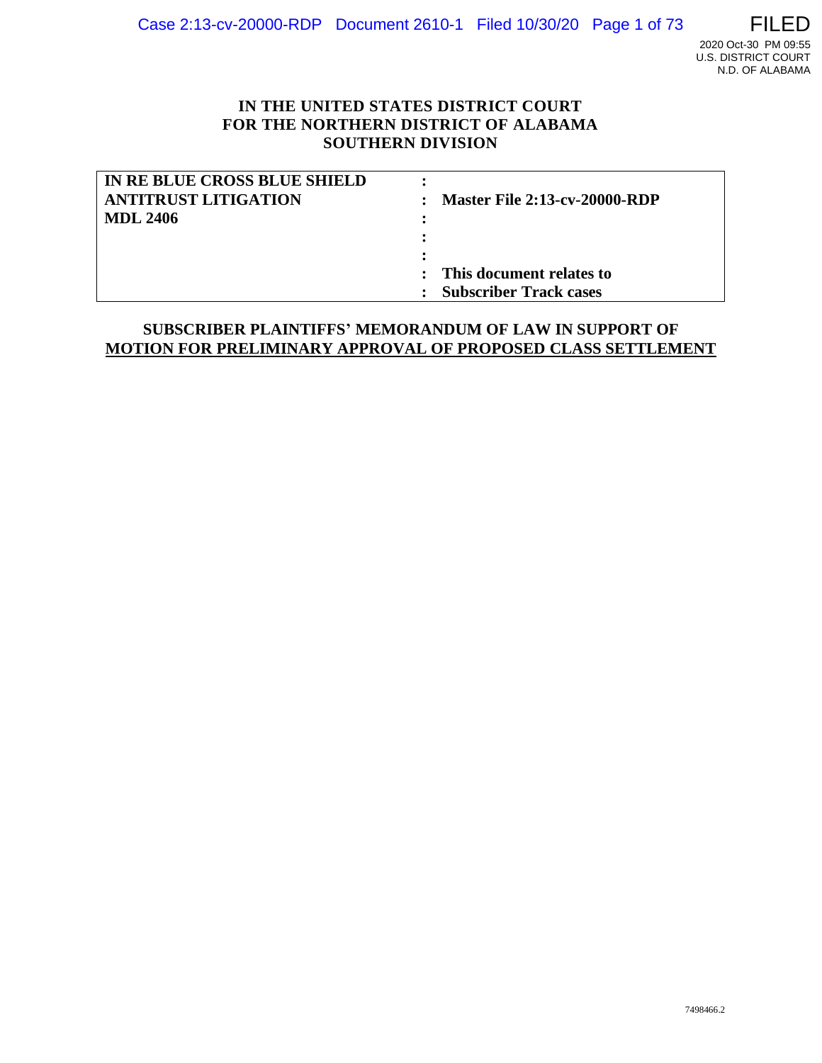

# **IN THE UNITED STATES DISTRICT COURT FOR THE NORTHERN DISTRICT OF ALABAMA SOUTHERN DIVISION**

| IN RE BLUE CROSS BLUE SHIELD |                                      |
|------------------------------|--------------------------------------|
| <b>ANTITRUST LITIGATION</b>  | <b>Master File 2:13-cv-20000-RDP</b> |
| MDL 2406                     |                                      |
|                              |                                      |
|                              |                                      |
|                              | : This document relates to           |
|                              | <b>Subscriber Track cases</b>        |

# **SUBSCRIBER PLAINTIFFS' MEMORANDUM OF LAW IN SUPPORT OF MOTION FOR PRELIMINARY APPROVAL OF PROPOSED CLASS SETTLEMENT**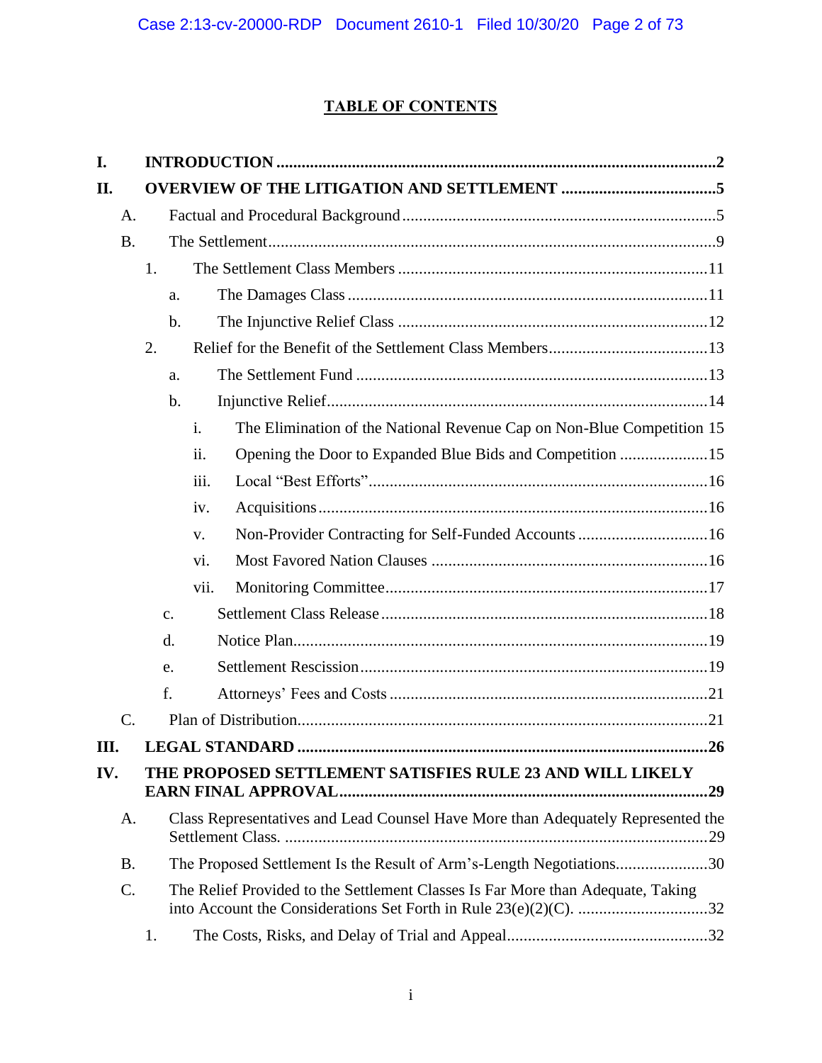# **TABLE OF CONTENTS**

| I.   |                 |                |                                                                                  |  |
|------|-----------------|----------------|----------------------------------------------------------------------------------|--|
| П.   |                 |                |                                                                                  |  |
|      | A.              |                |                                                                                  |  |
|      | <b>B.</b>       |                |                                                                                  |  |
|      |                 | 1.             |                                                                                  |  |
|      |                 | a.             |                                                                                  |  |
|      |                 | $b$            |                                                                                  |  |
|      |                 | 2.             |                                                                                  |  |
|      |                 | a.             |                                                                                  |  |
|      |                 | b.             |                                                                                  |  |
|      |                 |                | The Elimination of the National Revenue Cap on Non-Blue Competition 15<br>i.     |  |
|      |                 |                | Opening the Door to Expanded Blue Bids and Competition 15<br>ii.                 |  |
|      |                 |                | iii.                                                                             |  |
|      |                 |                | iv.                                                                              |  |
|      |                 |                | Non-Provider Contracting for Self-Funded Accounts 16<br>V.                       |  |
|      |                 |                | vi.                                                                              |  |
|      |                 |                | vii.                                                                             |  |
|      |                 | $\mathbf{C}$ . |                                                                                  |  |
|      |                 | d.             |                                                                                  |  |
|      |                 | e.             |                                                                                  |  |
|      |                 | f.             |                                                                                  |  |
|      | $\mathcal{C}$ . |                |                                                                                  |  |
| III. |                 |                |                                                                                  |  |
| IV.  |                 |                | THE PROPOSED SETTLEMENT SATISFIES RULE 23 AND WILL LIKELY                        |  |
|      | A.              |                | Class Representatives and Lead Counsel Have More than Adequately Represented the |  |
|      | <b>B.</b>       |                | The Proposed Settlement Is the Result of Arm's-Length Negotiations30             |  |
|      | C.              |                | The Relief Provided to the Settlement Classes Is Far More than Adequate, Taking  |  |
|      |                 | 1.             |                                                                                  |  |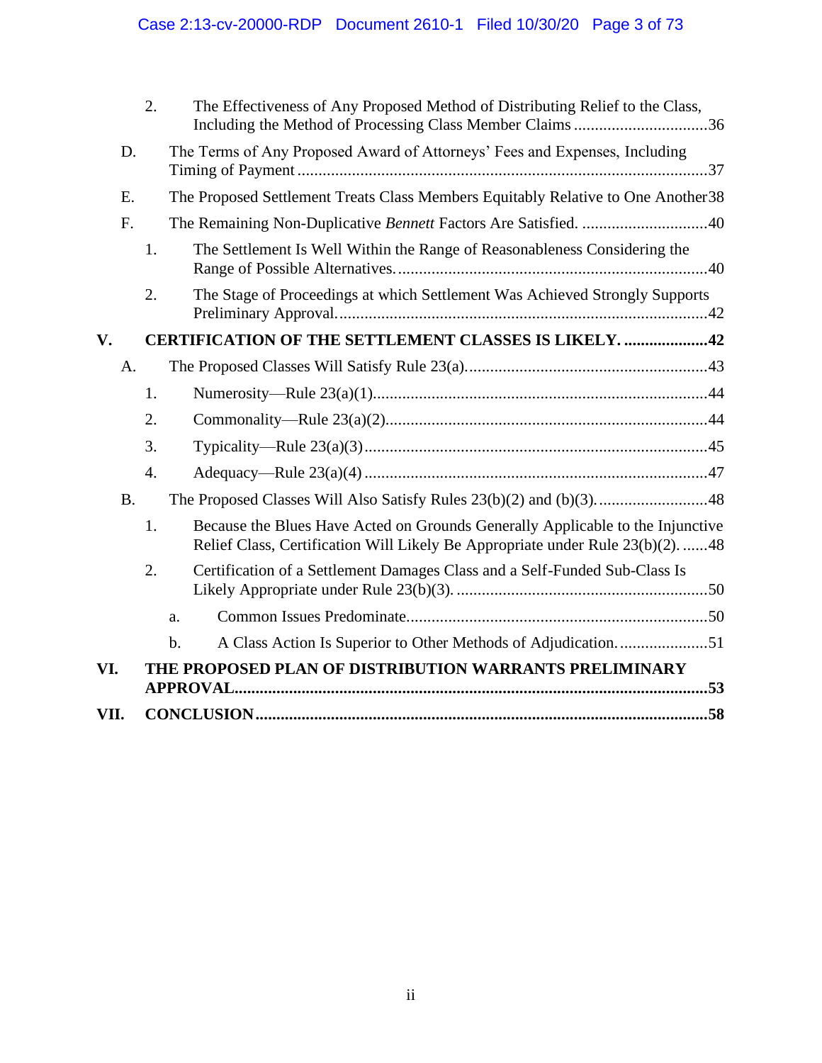|      | 2.               | The Effectiveness of Any Proposed Method of Distributing Relief to the Class,<br>Including the Method of Processing Class Member Claims36                        |
|------|------------------|------------------------------------------------------------------------------------------------------------------------------------------------------------------|
| D.   |                  | The Terms of Any Proposed Award of Attorneys' Fees and Expenses, Including                                                                                       |
| Ε.   |                  | The Proposed Settlement Treats Class Members Equitably Relative to One Another 38                                                                                |
| F.   |                  |                                                                                                                                                                  |
|      | 1.               | The Settlement Is Well Within the Range of Reasonableness Considering the                                                                                        |
|      | 2.               | The Stage of Proceedings at which Settlement Was Achieved Strongly Supports                                                                                      |
| V.   |                  | <b>CERTIFICATION OF THE SETTLEMENT CLASSES IS LIKELY. 42</b>                                                                                                     |
| A.   |                  |                                                                                                                                                                  |
|      | 1.               |                                                                                                                                                                  |
|      | 2.               |                                                                                                                                                                  |
|      | 3.               |                                                                                                                                                                  |
|      | $\overline{4}$ . |                                                                                                                                                                  |
| B.   |                  |                                                                                                                                                                  |
|      | 1.               | Because the Blues Have Acted on Grounds Generally Applicable to the Injunctive<br>Relief Class, Certification Will Likely Be Appropriate under Rule 23(b)(2). 48 |
|      | 2.               | Certification of a Settlement Damages Class and a Self-Funded Sub-Class Is                                                                                       |
|      |                  | a.                                                                                                                                                               |
|      |                  | A Class Action Is Superior to Other Methods of Adjudication51<br>b.                                                                                              |
| VI.  |                  | THE PROPOSED PLAN OF DISTRIBUTION WARRANTS PRELIMINARY                                                                                                           |
| VII. |                  |                                                                                                                                                                  |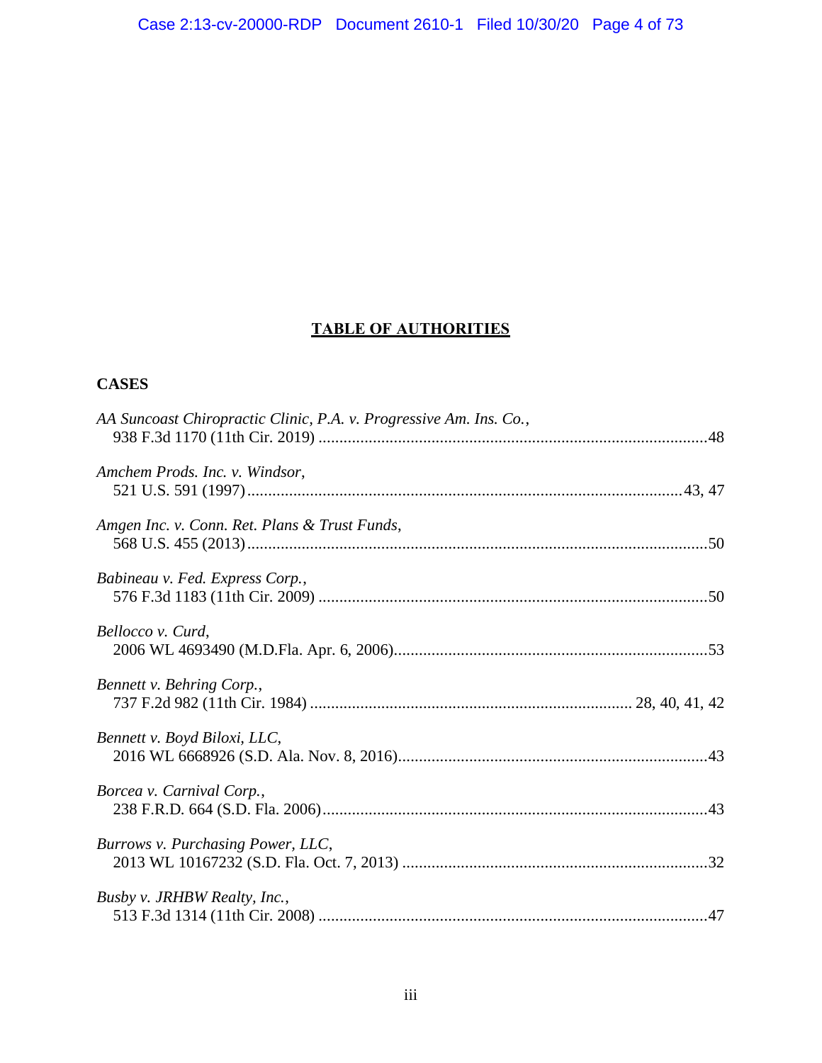# **TABLE OF AUTHORITIES**

# **CASES**

| AA Suncoast Chiropractic Clinic, P.A. v. Progressive Am. Ins. Co., |  |
|--------------------------------------------------------------------|--|
| Amchem Prods. Inc. v. Windsor,                                     |  |
| Amgen Inc. v. Conn. Ret. Plans & Trust Funds,                      |  |
| Babineau v. Fed. Express Corp.,                                    |  |
| Bellocco v. Curd,                                                  |  |
| Bennett v. Behring Corp.,                                          |  |
| Bennett v. Boyd Biloxi, LLC,                                       |  |
| Borcea v. Carnival Corp.,                                          |  |
| Burrows v. Purchasing Power, LLC,                                  |  |
| Busby v. JRHBW Realty, Inc.,                                       |  |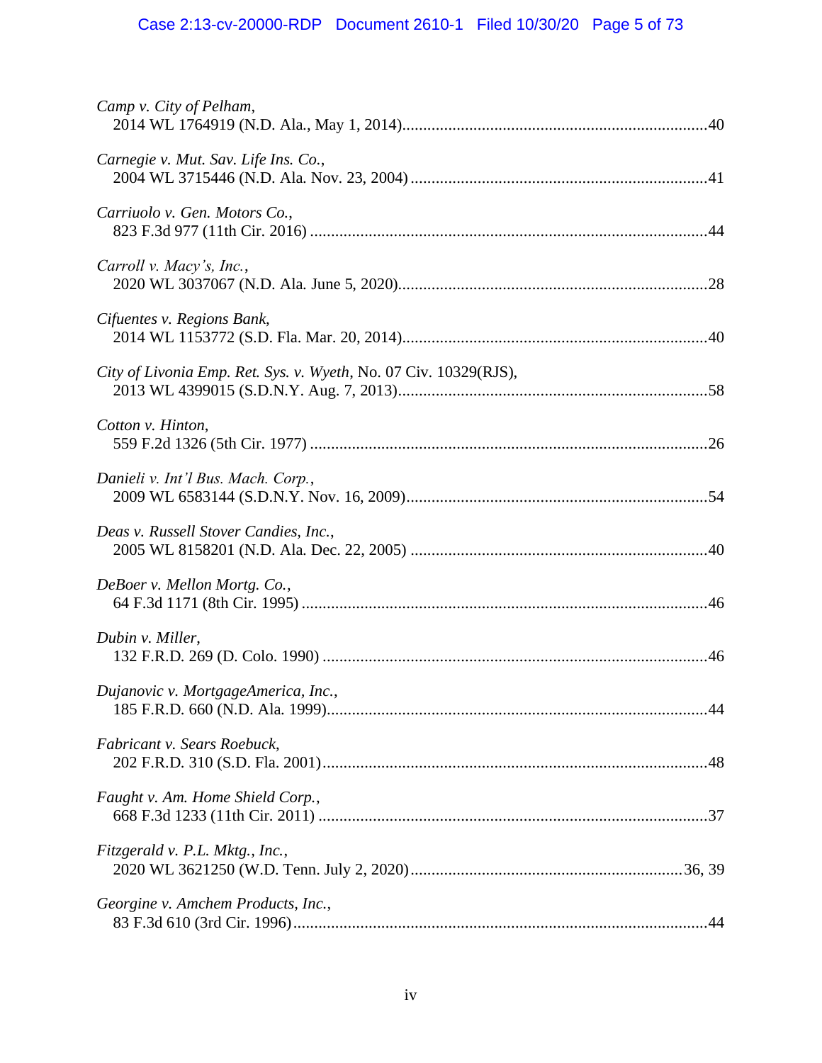# Case 2:13-cv-20000-RDP Document 2610-1 Filed 10/30/20 Page 5 of 73

| Camp v. City of Pelham,                                          |
|------------------------------------------------------------------|
| Carnegie v. Mut. Sav. Life Ins. Co.,                             |
| Carriuolo v. Gen. Motors Co.,                                    |
| Carroll v. Macy's, Inc.,                                         |
| Cifuentes v. Regions Bank,                                       |
| City of Livonia Emp. Ret. Sys. v. Wyeth, No. 07 Civ. 10329(RJS), |
| Cotton v. Hinton,                                                |
| Danieli v. Int'l Bus. Mach. Corp.,                               |
| Deas v. Russell Stover Candies, Inc.,                            |
| DeBoer v. Mellon Mortg. Co.,                                     |
| Dubin v. Miller,                                                 |
| Dujanovic v. MortgageAmerica, Inc.,                              |
| Fabricant v. Sears Roebuck,                                      |
| Faught v. Am. Home Shield Corp.,                                 |
| Fitzgerald v. P.L. Mktg., Inc.,                                  |
| Georgine v. Amchem Products, Inc.,                               |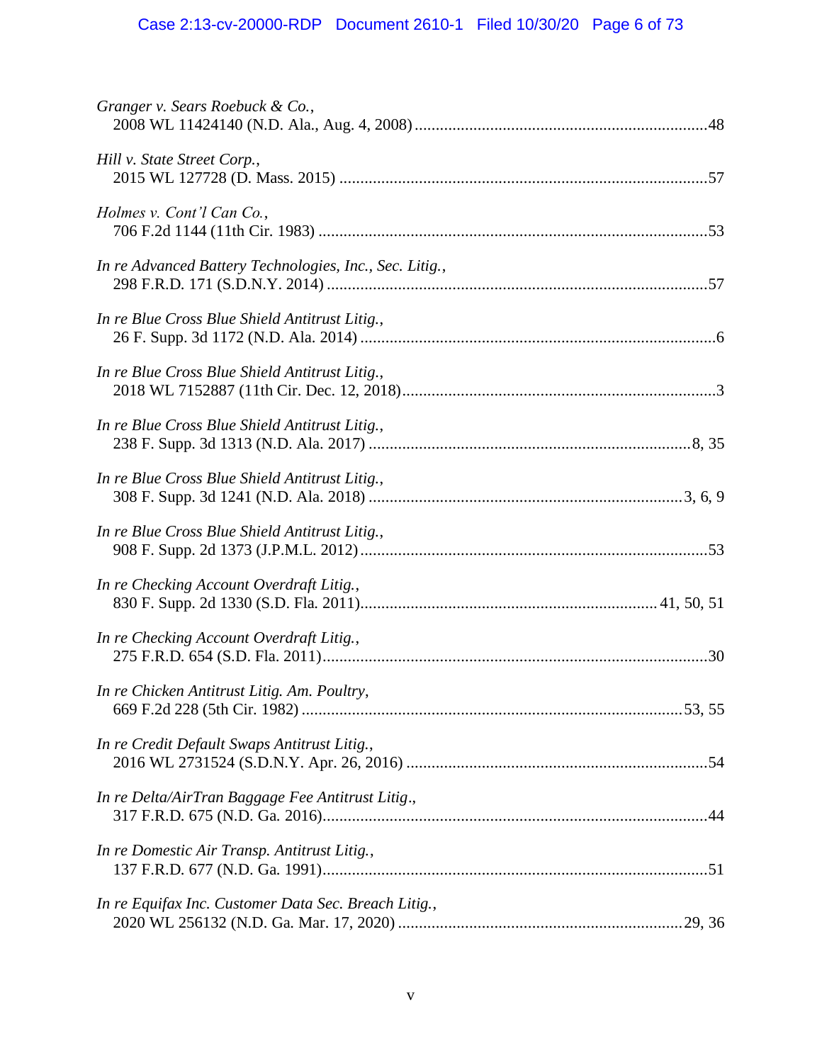# Case 2:13-cv-20000-RDP Document 2610-1 Filed 10/30/20 Page 6 of 73

| Granger v. Sears Roebuck & Co.,                         |  |
|---------------------------------------------------------|--|
| Hill v. State Street Corp.,                             |  |
| Holmes v. Cont'l Can Co.,                               |  |
| In re Advanced Battery Technologies, Inc., Sec. Litig., |  |
| In re Blue Cross Blue Shield Antitrust Litig.,          |  |
| In re Blue Cross Blue Shield Antitrust Litig.,          |  |
| In re Blue Cross Blue Shield Antitrust Litig.,          |  |
| In re Blue Cross Blue Shield Antitrust Litig.,          |  |
| In re Blue Cross Blue Shield Antitrust Litig.,          |  |
| In re Checking Account Overdraft Litig.,                |  |
| In re Checking Account Overdraft Litig.,                |  |
| In re Chicken Antitrust Litig. Am. Poultry,             |  |
| In re Credit Default Swaps Antitrust Litig.,            |  |
| In re Delta/AirTran Baggage Fee Antitrust Litig.,       |  |
| In re Domestic Air Transp. Antitrust Litig.,            |  |
| In re Equifax Inc. Customer Data Sec. Breach Litig.,    |  |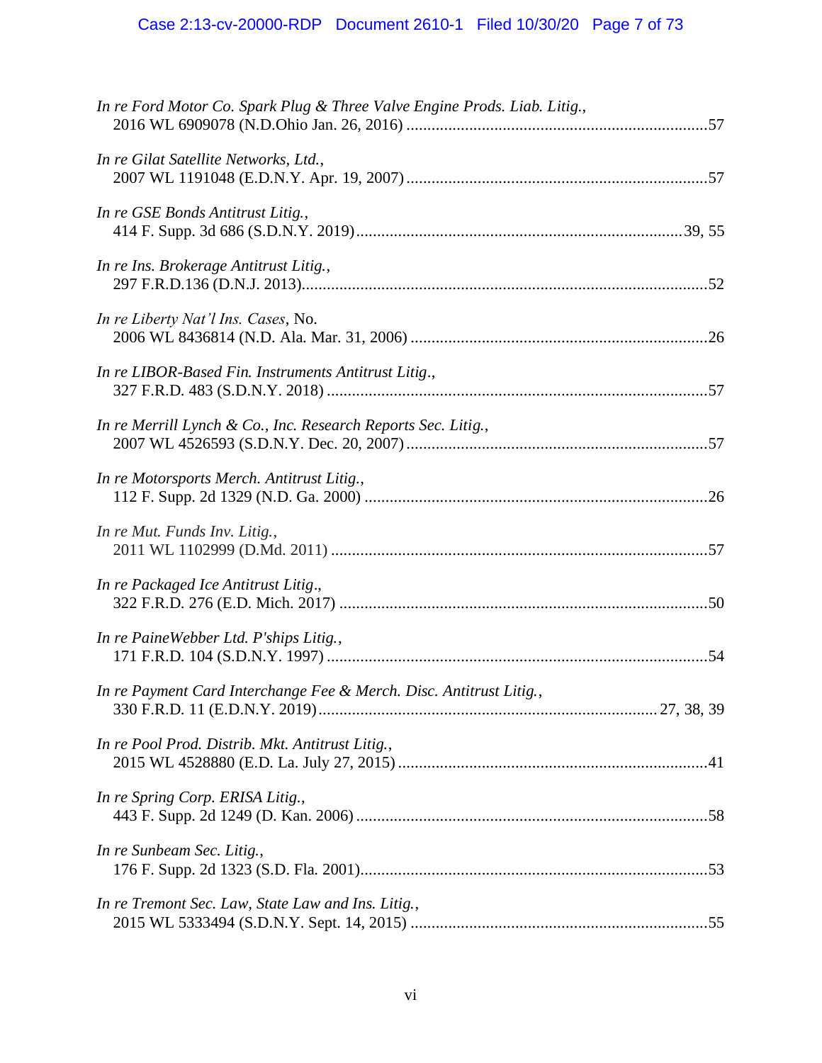| In re Ford Motor Co. Spark Plug & Three Valve Engine Prods. Liab. Litig., |  |
|---------------------------------------------------------------------------|--|
| In re Gilat Satellite Networks, Ltd.,                                     |  |
| In re GSE Bonds Antitrust Litig.,                                         |  |
| In re Ins. Brokerage Antitrust Litig.,                                    |  |
| In re Liberty Nat'l Ins. Cases, No.                                       |  |
| In re LIBOR-Based Fin. Instruments Antitrust Litig.,                      |  |
| In re Merrill Lynch & Co., Inc. Research Reports Sec. Litig.,             |  |
| In re Motorsports Merch. Antitrust Litig.,                                |  |
| In re Mut. Funds Inv. Litig.,                                             |  |
| In re Packaged Ice Antitrust Litig.,                                      |  |
| In re PaineWebber Ltd. P'ships Litig.,                                    |  |
| In re Payment Card Interchange Fee & Merch. Disc. Antitrust Litig.,       |  |
| In re Pool Prod. Distrib. Mkt. Antitrust Litig.,                          |  |
| In re Spring Corp. ERISA Litig.,                                          |  |
| In re Sunbeam Sec. Litig.,                                                |  |
| In re Tremont Sec. Law, State Law and Ins. Litig.,                        |  |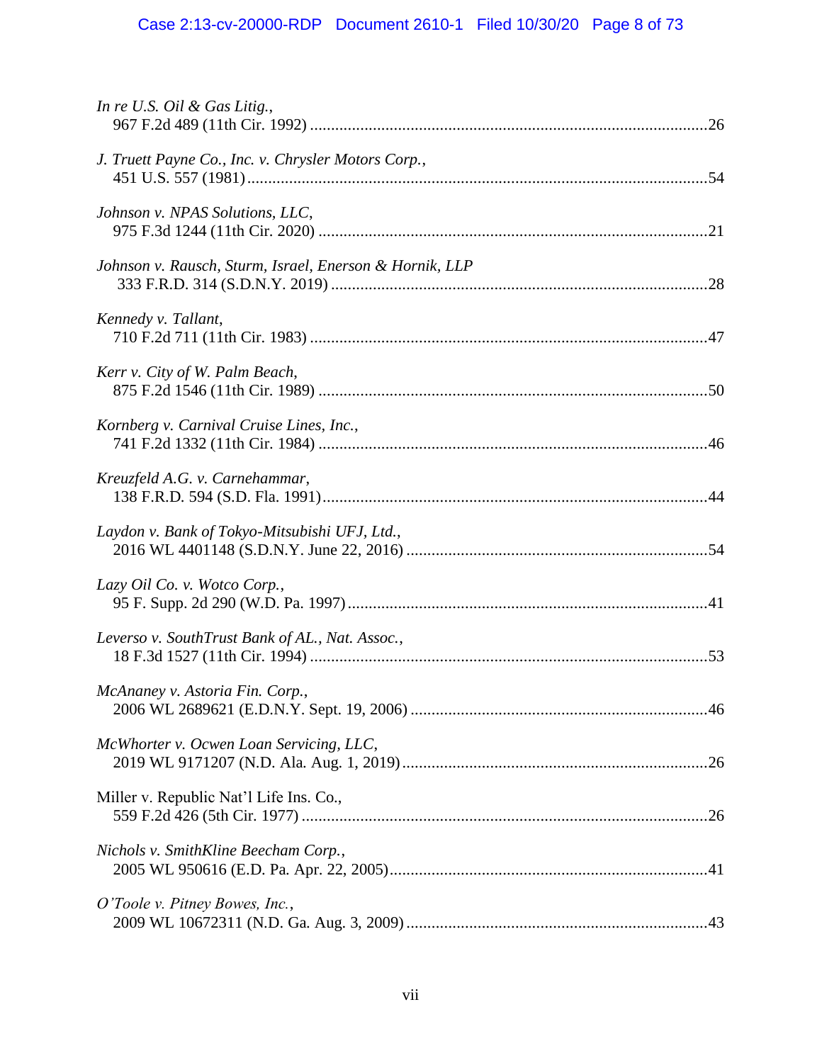# Case 2:13-cv-20000-RDP Document 2610-1 Filed 10/30/20 Page 8 of 73

| In re U.S. Oil & Gas Litig.,                            |  |
|---------------------------------------------------------|--|
| J. Truett Payne Co., Inc. v. Chrysler Motors Corp.,     |  |
| Johnson v. NPAS Solutions, LLC,                         |  |
| Johnson v. Rausch, Sturm, Israel, Enerson & Hornik, LLP |  |
| Kennedy v. Tallant,                                     |  |
| Kerr v. City of W. Palm Beach,                          |  |
| Kornberg v. Carnival Cruise Lines, Inc.,                |  |
| Kreuzfeld A.G. v. Carnehammar,                          |  |
| Laydon v. Bank of Tokyo-Mitsubishi UFJ, Ltd.,           |  |
| Lazy Oil Co. v. Wotco Corp.,                            |  |
| Leverso v. SouthTrust Bank of AL., Nat. Assoc.,         |  |
| McAnaney v. Astoria Fin. Corp.,                         |  |
| McWhorter v. Ocwen Loan Servicing, LLC,                 |  |
| Miller v. Republic Nat'l Life Ins. Co.,                 |  |
| Nichols v. SmithKline Beecham Corp.,                    |  |
| O'Toole v. Pitney Bowes, Inc.,                          |  |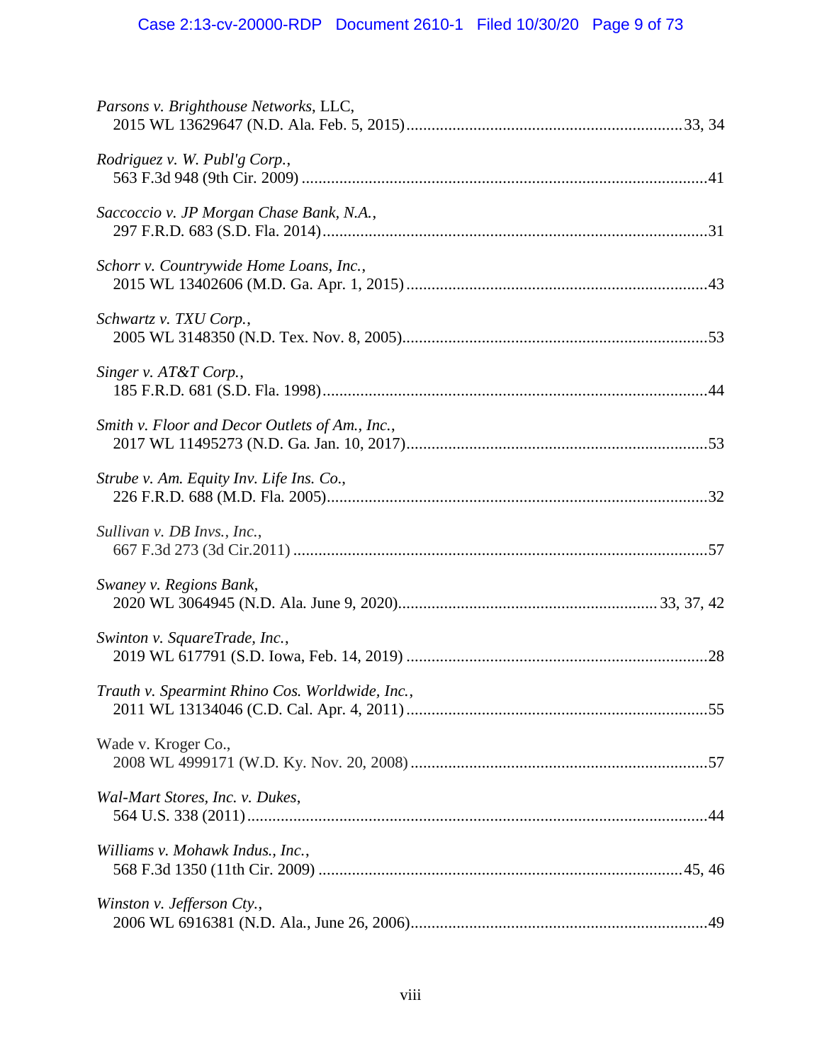| Parsons v. Brighthouse Networks, LLC,           |  |
|-------------------------------------------------|--|
| Rodriguez v. W. Publ'g Corp.,                   |  |
| Saccoccio v. JP Morgan Chase Bank, N.A.,        |  |
| Schorr v. Countrywide Home Loans, Inc.,         |  |
| Schwartz v. TXU Corp.,                          |  |
| Singer v. AT&T Corp.,                           |  |
| Smith v. Floor and Decor Outlets of Am., Inc.,  |  |
| Strube v. Am. Equity Inv. Life Ins. Co.,        |  |
| Sullivan v. DB Invs., Inc.,                     |  |
| Swaney v. Regions Bank,                         |  |
| Swinton v. SquareTrade, Inc.,                   |  |
| Trauth v. Spearmint Rhino Cos. Worldwide, Inc., |  |
| Wade v. Kroger Co.,                             |  |
| Wal-Mart Stores, Inc. v. Dukes,                 |  |
| Williams v. Mohawk Indus., Inc.,                |  |
| Winston v. Jefferson Cty.,                      |  |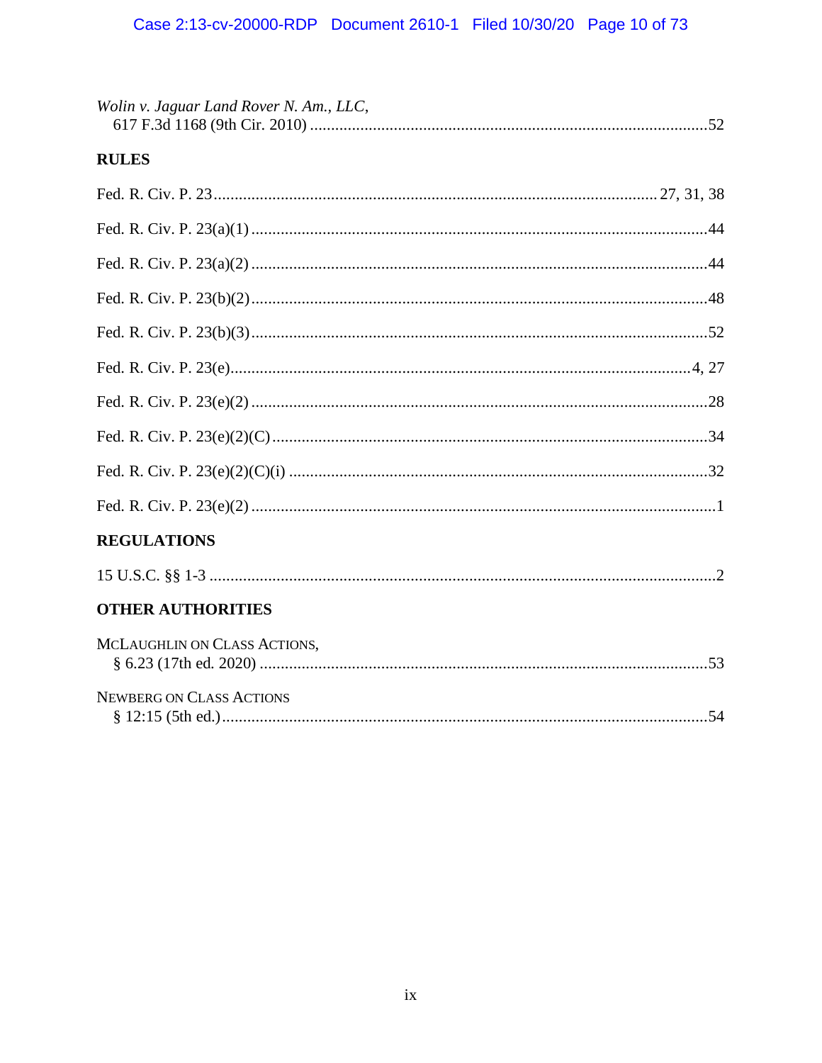| Wolin v. Jaguar Land Rover N. Am., LLC, |
|-----------------------------------------|
| <b>RULES</b>                            |
|                                         |
|                                         |
|                                         |
|                                         |
|                                         |
|                                         |
|                                         |
|                                         |
|                                         |
|                                         |
| <b>REGULATIONS</b>                      |
|                                         |
| <b>OTHER AUTHORITIES</b>                |
| MCLAUGHLIN ON CLASS ACTIONS,            |
| <b>NEWBERG ON CLASS ACTIONS</b>         |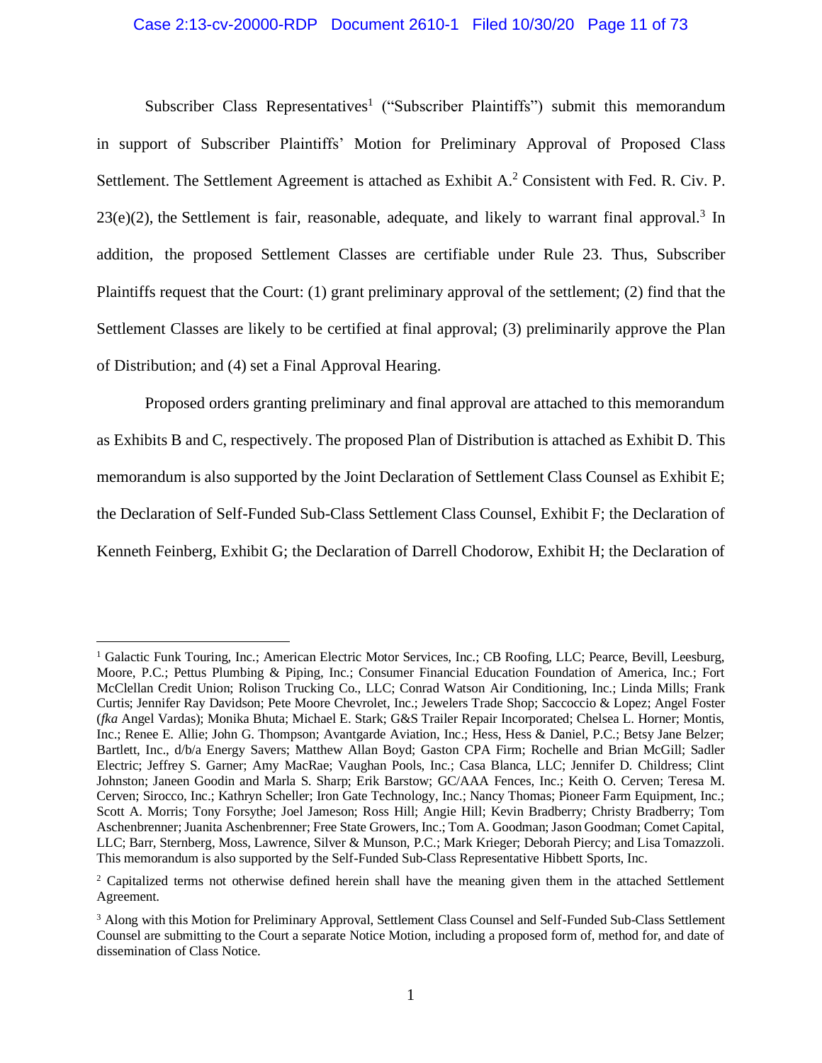## Case 2:13-cv-20000-RDP Document 2610-1 Filed 10/30/20 Page 11 of 73

Subscriber Class Representatives<sup>1</sup> ("Subscriber Plaintiffs") submit this memorandum in support of Subscriber Plaintiffs' Motion for Preliminary Approval of Proposed Class Settlement. The Settlement Agreement is attached as Exhibit  $A<sup>2</sup>$  Consistent with Fed. R. Civ. P.  $23(e)(2)$ , the Settlement is fair, reasonable, adequate, and likely to warrant final approval.<sup>3</sup> In addition, the proposed Settlement Classes are certifiable under Rule 23. Thus, Subscriber Plaintiffs request that the Court: (1) grant preliminary approval of the settlement; (2) find that the Settlement Classes are likely to be certified at final approval; (3) preliminarily approve the Plan of Distribution; and (4) set a Final Approval Hearing.

Proposed orders granting preliminary and final approval are attached to this memorandum as Exhibits B and C, respectively. The proposed Plan of Distribution is attached as Exhibit D. This memorandum is also supported by the Joint Declaration of Settlement Class Counsel as Exhibit E; the Declaration of Self-Funded Sub-Class Settlement Class Counsel, Exhibit F; the Declaration of Kenneth Feinberg, Exhibit G; the Declaration of Darrell Chodorow, Exhibit H; the Declaration of

<sup>&</sup>lt;sup>1</sup> Galactic Funk Touring, Inc.; American Electric Motor Services, Inc.; CB Roofing, LLC; Pearce, Bevill, Leesburg, Moore, P.C.; Pettus Plumbing & Piping, Inc.; Consumer Financial Education Foundation of America, Inc.; Fort McClellan Credit Union; Rolison Trucking Co., LLC; Conrad Watson Air Conditioning, Inc.; Linda Mills; Frank Curtis; Jennifer Ray Davidson; Pete Moore Chevrolet, Inc.; Jewelers Trade Shop; Saccoccio & Lopez; Angel Foster (*fka* Angel Vardas); Monika Bhuta; Michael E. Stark; G&S Trailer Repair Incorporated; Chelsea L. Horner; Montis, Inc.; Renee E. Allie; John G. Thompson; Avantgarde Aviation, Inc.; Hess, Hess & Daniel, P.C.; Betsy Jane Belzer; Bartlett, Inc., d/b/a Energy Savers; Matthew Allan Boyd; Gaston CPA Firm; Rochelle and Brian McGill; Sadler Electric; Jeffrey S. Garner; Amy MacRae; Vaughan Pools, Inc.; Casa Blanca, LLC; Jennifer D. Childress; Clint Johnston; Janeen Goodin and Marla S. Sharp; Erik Barstow; GC/AAA Fences, Inc.; Keith O. Cerven; Teresa M. Cerven; Sirocco, Inc.; Kathryn Scheller; Iron Gate Technology, Inc.; Nancy Thomas; Pioneer Farm Equipment, Inc.; Scott A. Morris; Tony Forsythe; Joel Jameson; Ross Hill; Angie Hill; Kevin Bradberry; Christy Bradberry; Tom Aschenbrenner; Juanita Aschenbrenner; Free State Growers, Inc.; Tom A. Goodman; Jason Goodman; Comet Capital, LLC; Barr, Sternberg, Moss, Lawrence, Silver & Munson, P.C.; Mark Krieger; Deborah Piercy; and Lisa Tomazzoli. This memorandum is also supported by the Self-Funded Sub-Class Representative Hibbett Sports, Inc.

<sup>&</sup>lt;sup>2</sup> Capitalized terms not otherwise defined herein shall have the meaning given them in the attached Settlement Agreement.

<sup>3</sup> Along with this Motion for Preliminary Approval, Settlement Class Counsel and Self-Funded Sub-Class Settlement Counsel are submitting to the Court a separate Notice Motion, including a proposed form of, method for, and date of dissemination of Class Notice.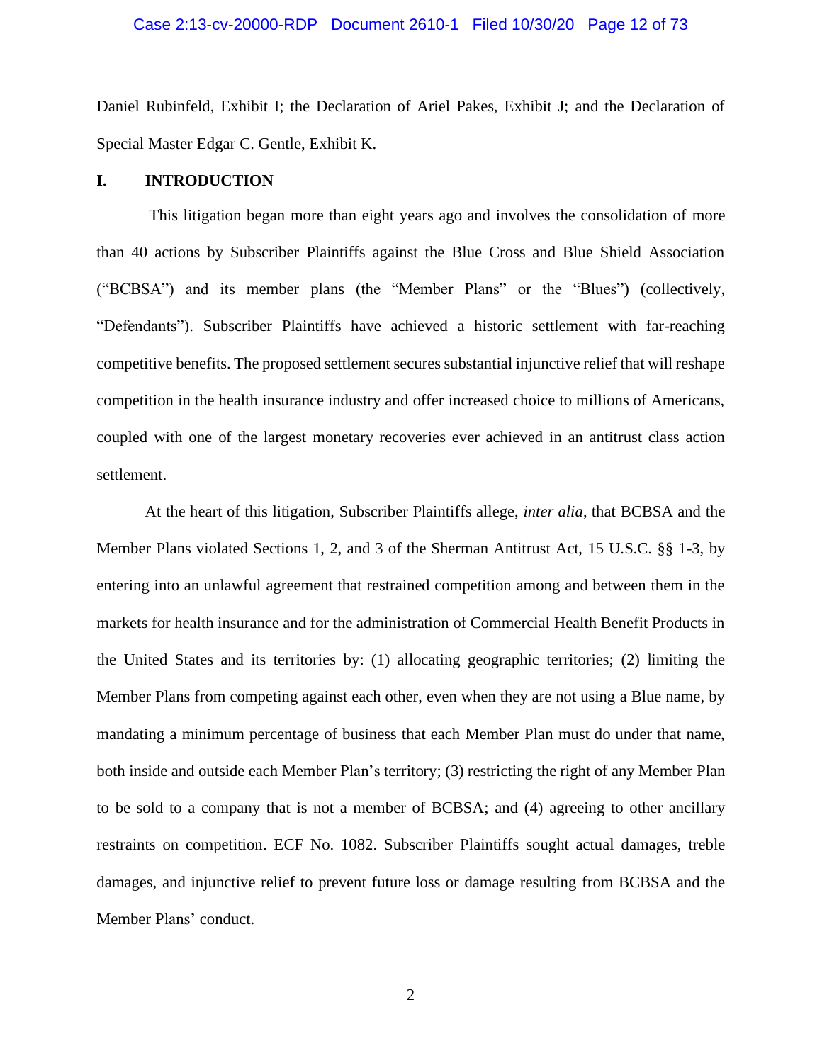## Case 2:13-cv-20000-RDP Document 2610-1 Filed 10/30/20 Page 12 of 73

Daniel Rubinfeld, Exhibit I; the Declaration of Ariel Pakes, Exhibit J; and the Declaration of Special Master Edgar C. Gentle, Exhibit K.

#### <span id="page-11-0"></span>**I. INTRODUCTION**

This litigation began more than eight years ago and involves the consolidation of more than 40 actions by Subscriber Plaintiffs against the Blue Cross and Blue Shield Association ("BCBSA") and its member plans (the "Member Plans" or the "Blues") (collectively, "Defendants"). Subscriber Plaintiffs have achieved a historic settlement with far-reaching competitive benefits. The proposed settlement secures substantial injunctive relief that will reshape competition in the health insurance industry and offer increased choice to millions of Americans, coupled with one of the largest monetary recoveries ever achieved in an antitrust class action settlement.

At the heart of this litigation, Subscriber Plaintiffs allege, *inter alia*, that BCBSA and the Member Plans violated Sections 1, 2, and 3 of the Sherman Antitrust Act, 15 U.S.C. §§ 1-3, by entering into an unlawful agreement that restrained competition among and between them in the markets for health insurance and for the administration of Commercial Health Benefit Products in the United States and its territories by: (1) allocating geographic territories; (2) limiting the Member Plans from competing against each other, even when they are not using a Blue name, by mandating a minimum percentage of business that each Member Plan must do under that name, both inside and outside each Member Plan's territory; (3) restricting the right of any Member Plan to be sold to a company that is not a member of BCBSA; and (4) agreeing to other ancillary restraints on competition. ECF No. 1082. Subscriber Plaintiffs sought actual damages, treble damages, and injunctive relief to prevent future loss or damage resulting from BCBSA and the Member Plans' conduct.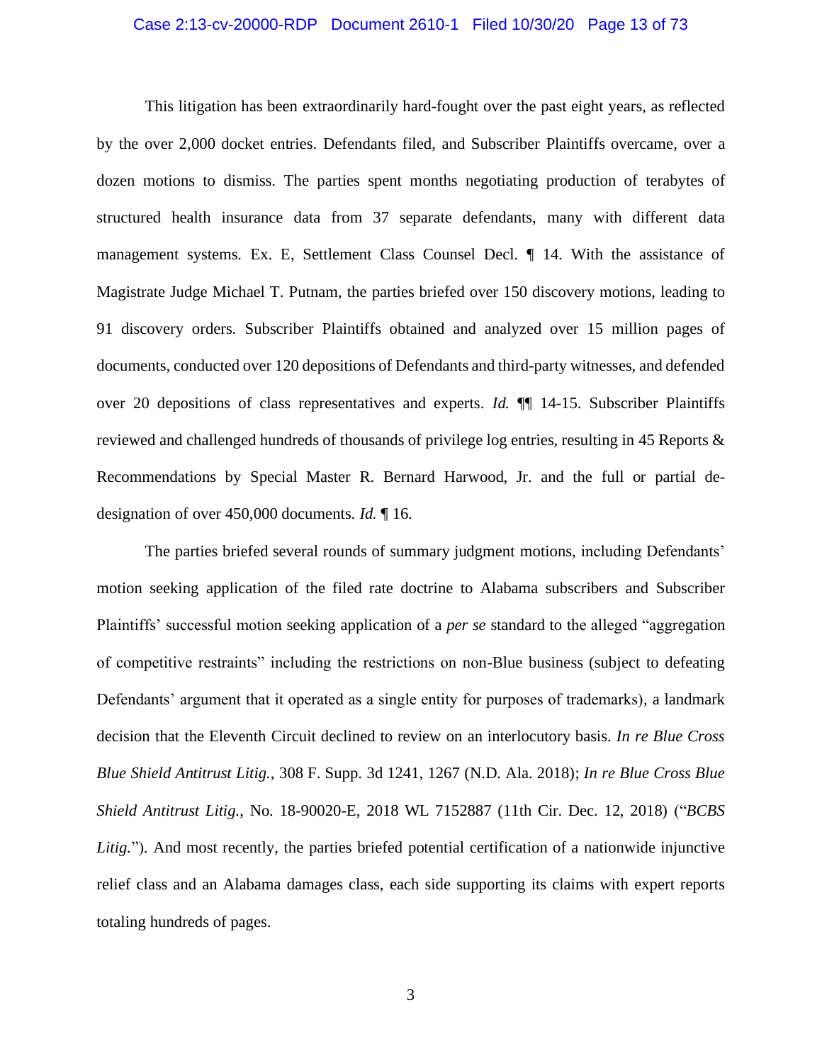## Case 2:13-cv-20000-RDP Document 2610-1 Filed 10/30/20 Page 13 of 73

This litigation has been extraordinarily hard-fought over the past eight years, as reflected by the over 2,000 docket entries. Defendants filed, and Subscriber Plaintiffs overcame, over a dozen motions to dismiss. The parties spent months negotiating production of terabytes of structured health insurance data from 37 separate defendants, many with different data management systems. Ex. E, Settlement Class Counsel Decl. ¶ 14. With the assistance of Magistrate Judge Michael T. Putnam, the parties briefed over 150 discovery motions, leading to 91 discovery orders. Subscriber Plaintiffs obtained and analyzed over 15 million pages of documents, conducted over 120 depositions of Defendants and third-party witnesses, and defended over 20 depositions of class representatives and experts. *Id.* ¶¶ 14-15. Subscriber Plaintiffs reviewed and challenged hundreds of thousands of privilege log entries, resulting in 45 Reports & Recommendations by Special Master R. Bernard Harwood, Jr. and the full or partial dedesignation of over 450,000 documents. *Id.* ¶ 16.

The parties briefed several rounds of summary judgment motions, including Defendants' motion seeking application of the filed rate doctrine to Alabama subscribers and Subscriber Plaintiffs' successful motion seeking application of a *per se* standard to the alleged "aggregation of competitive restraints" including the restrictions on non-Blue business (subject to defeating Defendants' argument that it operated as a single entity for purposes of trademarks), a landmark decision that the Eleventh Circuit declined to review on an interlocutory basis. *In re Blue Cross Blue Shield Antitrust Litig.*, 308 F. Supp. 3d 1241, 1267 (N.D. Ala. 2018); *In re Blue Cross Blue Shield Antitrust Litig.*, No. 18-90020-E, 2018 WL 7152887 (11th Cir. Dec. 12, 2018) ("*BCBS*  Litig."). And most recently, the parties briefed potential certification of a nationwide injunctive relief class and an Alabama damages class, each side supporting its claims with expert reports totaling hundreds of pages.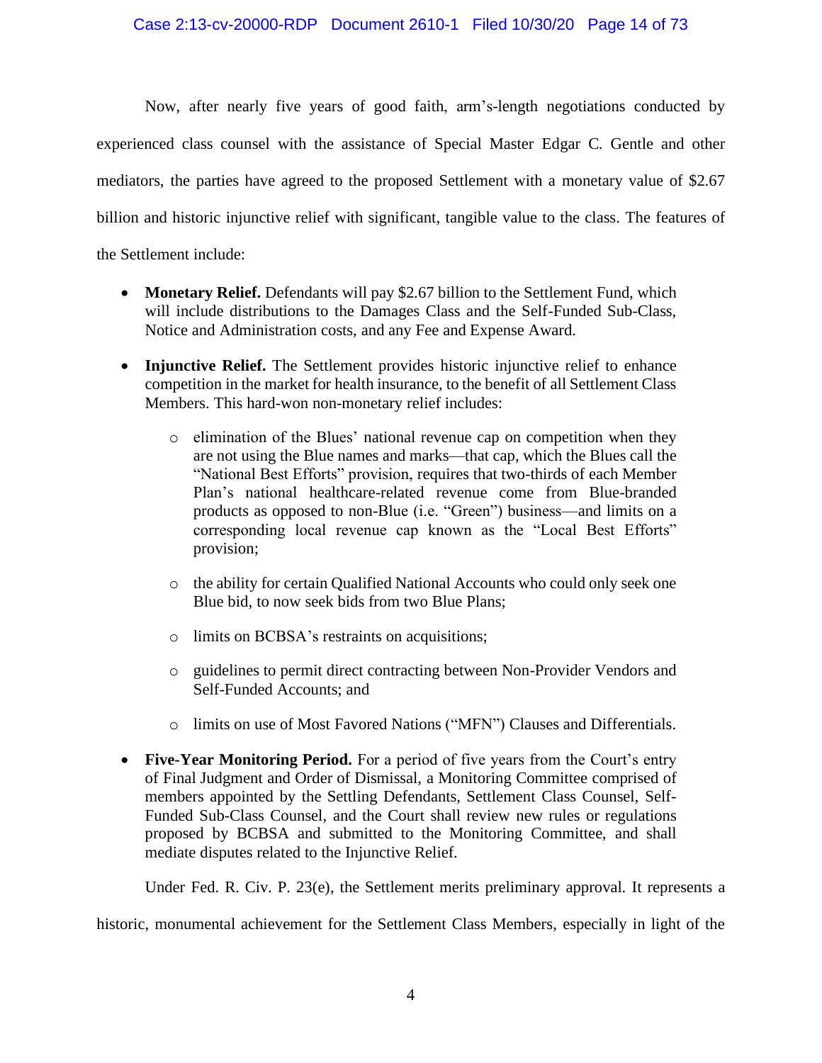Now, after nearly five years of good faith, arm's-length negotiations conducted by experienced class counsel with the assistance of Special Master Edgar C. Gentle and other mediators, the parties have agreed to the proposed Settlement with a monetary value of \$2.67 billion and historic injunctive relief with significant, tangible value to the class. The features of the Settlement include:

- **Monetary Relief.** Defendants will pay \$2.67 billion to the Settlement Fund, which will include distributions to the Damages Class and the Self-Funded Sub-Class, Notice and Administration costs, and any Fee and Expense Award.
- **Injunctive Relief.** The Settlement provides historic injunctive relief to enhance competition in the market for health insurance, to the benefit of all Settlement Class Members. This hard-won non-monetary relief includes:
	- o elimination of the Blues' national revenue cap on competition when they are not using the Blue names and marks—that cap, which the Blues call the "National Best Efforts" provision, requires that two-thirds of each Member Plan's national healthcare-related revenue come from Blue-branded products as opposed to non-Blue (i.e. "Green") business—and limits on a corresponding local revenue cap known as the "Local Best Efforts" provision;
	- o the ability for certain Qualified National Accounts who could only seek one Blue bid, to now seek bids from two Blue Plans;
	- o limits on BCBSA's restraints on acquisitions;
	- o guidelines to permit direct contracting between Non-Provider Vendors and Self-Funded Accounts; and
	- o limits on use of Most Favored Nations ("MFN") Clauses and Differentials.
- **Five-Year Monitoring Period.** For a period of five years from the Court's entry of Final Judgment and Order of Dismissal, a Monitoring Committee comprised of members appointed by the Settling Defendants, Settlement Class Counsel, Self-Funded Sub-Class Counsel, and the Court shall review new rules or regulations proposed by BCBSA and submitted to the Monitoring Committee, and shall mediate disputes related to the Injunctive Relief.

Under Fed. R. Civ. P. 23(e), the Settlement merits preliminary approval. It represents a

historic, monumental achievement for the Settlement Class Members, especially in light of the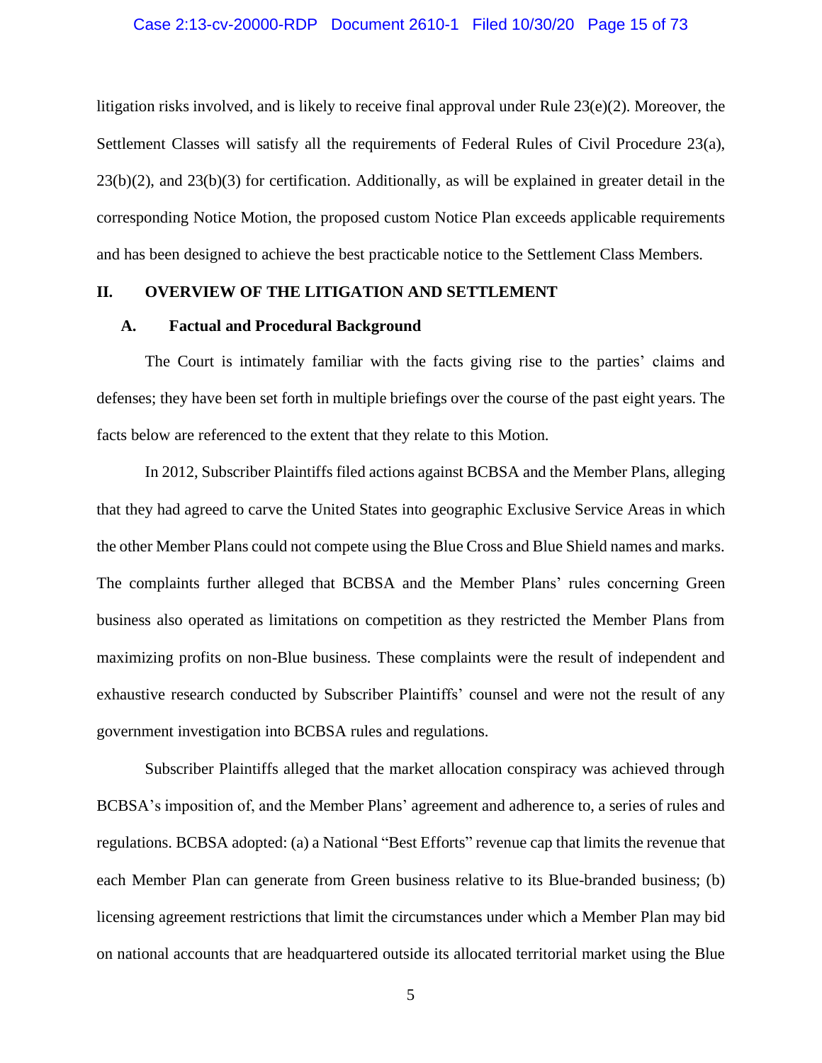## Case 2:13-cv-20000-RDP Document 2610-1 Filed 10/30/20 Page 15 of 73

litigation risks involved, and is likely to receive final approval under Rule 23(e)(2). Moreover, the Settlement Classes will satisfy all the requirements of Federal Rules of Civil Procedure 23(a),  $23(b)(2)$ , and  $23(b)(3)$  for certification. Additionally, as will be explained in greater detail in the corresponding Notice Motion, the proposed custom Notice Plan exceeds applicable requirements and has been designed to achieve the best practicable notice to the Settlement Class Members.

# <span id="page-14-0"></span>**II. OVERVIEW OF THE LITIGATION AND SETTLEMENT**

## <span id="page-14-1"></span>**A. Factual and Procedural Background**

The Court is intimately familiar with the facts giving rise to the parties' claims and defenses; they have been set forth in multiple briefings over the course of the past eight years. The facts below are referenced to the extent that they relate to this Motion.

In 2012, Subscriber Plaintiffs filed actions against BCBSA and the Member Plans, alleging that they had agreed to carve the United States into geographic Exclusive Service Areas in which the other Member Plans could not compete using the Blue Cross and Blue Shield names and marks. The complaints further alleged that BCBSA and the Member Plans' rules concerning Green business also operated as limitations on competition as they restricted the Member Plans from maximizing profits on non-Blue business. These complaints were the result of independent and exhaustive research conducted by Subscriber Plaintiffs' counsel and were not the result of any government investigation into BCBSA rules and regulations.

Subscriber Plaintiffs alleged that the market allocation conspiracy was achieved through BCBSA's imposition of, and the Member Plans' agreement and adherence to, a series of rules and regulations. BCBSA adopted: (a) a National "Best Efforts" revenue cap that limits the revenue that each Member Plan can generate from Green business relative to its Blue-branded business; (b) licensing agreement restrictions that limit the circumstances under which a Member Plan may bid on national accounts that are headquartered outside its allocated territorial market using the Blue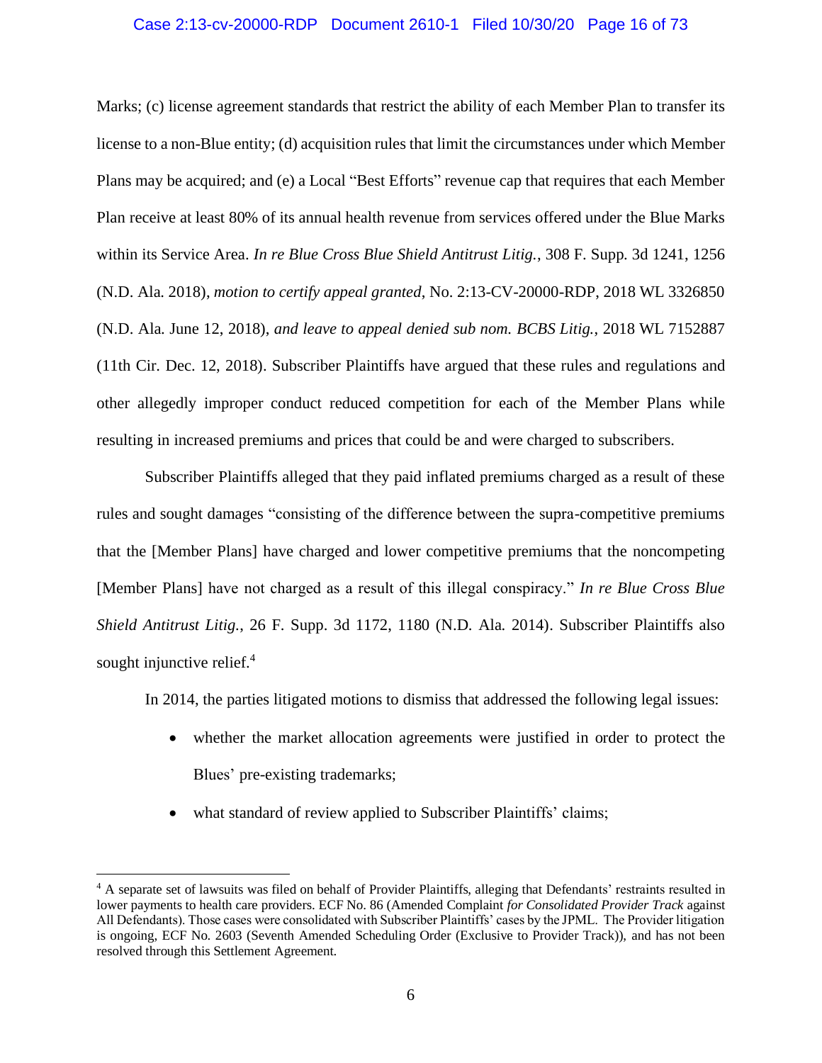## Case 2:13-cv-20000-RDP Document 2610-1 Filed 10/30/20 Page 16 of 73

Marks; (c) license agreement standards that restrict the ability of each Member Plan to transfer its license to a non-Blue entity; (d) acquisition rules that limit the circumstances under which Member Plans may be acquired; and (e) a Local "Best Efforts" revenue cap that requires that each Member Plan receive at least 80% of its annual health revenue from services offered under the Blue Marks within its Service Area. *In re Blue Cross Blue Shield Antitrust Litig.*, 308 F. Supp. 3d 1241, 1256 (N.D. Ala. 2018), *motion to certify appeal granted*, No. 2:13-CV-20000-RDP, 2018 WL 3326850 (N.D. Ala. June 12, 2018), *and leave to appeal denied sub nom. BCBS Litig.*, 2018 WL 7152887 (11th Cir. Dec. 12, 2018). Subscriber Plaintiffs have argued that these rules and regulations and other allegedly improper conduct reduced competition for each of the Member Plans while resulting in increased premiums and prices that could be and were charged to subscribers.

Subscriber Plaintiffs alleged that they paid inflated premiums charged as a result of these rules and sought damages "consisting of the difference between the supra-competitive premiums that the [Member Plans] have charged and lower competitive premiums that the noncompeting [Member Plans] have not charged as a result of this illegal conspiracy." *In re Blue Cross Blue Shield Antitrust Litig.*, 26 F. Supp. 3d 1172, 1180 (N.D. Ala. 2014). Subscriber Plaintiffs also sought injunctive relief. $4$ 

In 2014, the parties litigated motions to dismiss that addressed the following legal issues:

- whether the market allocation agreements were justified in order to protect the Blues' pre-existing trademarks;
- what standard of review applied to Subscriber Plaintiffs' claims;

<sup>&</sup>lt;sup>4</sup> A separate set of lawsuits was filed on behalf of Provider Plaintiffs, alleging that Defendants' restraints resulted in lower payments to health care providers. ECF No. 86 (Amended Complaint *for Consolidated Provider Track* against All Defendants). Those cases were consolidated with Subscriber Plaintiffs' cases by the JPML. The Provider litigation is ongoing, ECF No. 2603 (Seventh Amended Scheduling Order (Exclusive to Provider Track)), and has not been resolved through this Settlement Agreement.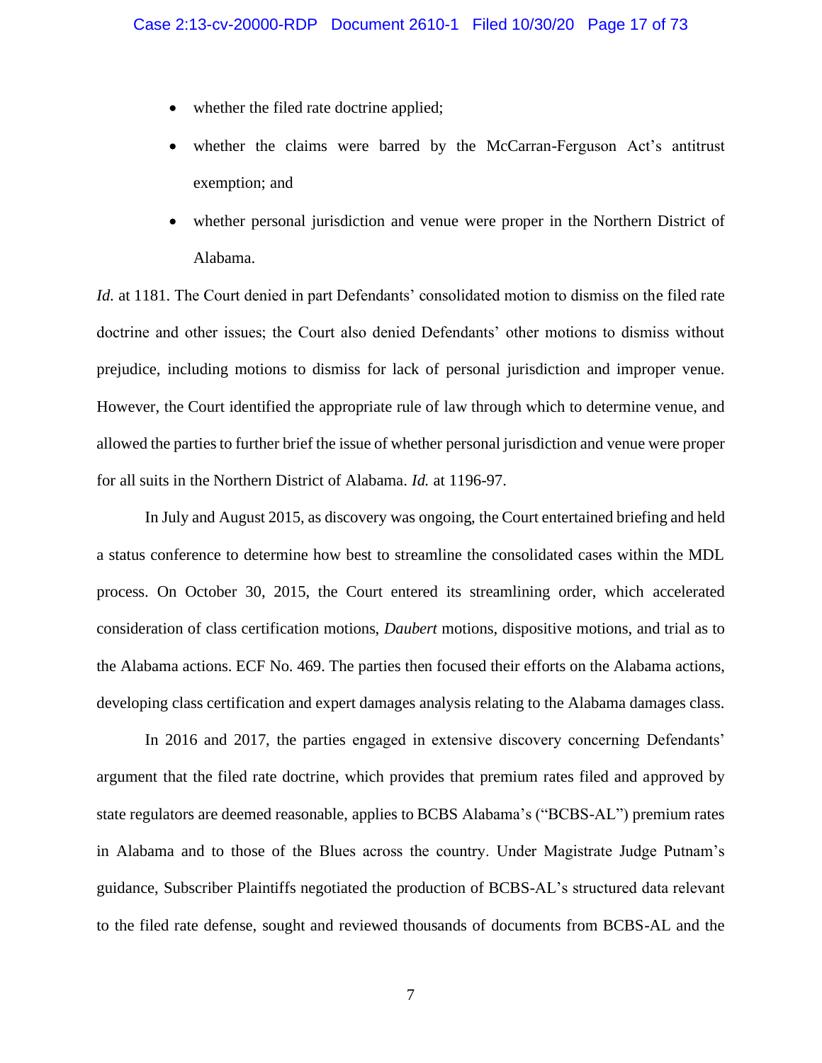- whether the filed rate doctrine applied;
- whether the claims were barred by the McCarran-Ferguson Act's antitrust exemption; and
- whether personal jurisdiction and venue were proper in the Northern District of Alabama.

*Id.* at 1181. The Court denied in part Defendants' consolidated motion to dismiss on the filed rate doctrine and other issues; the Court also denied Defendants' other motions to dismiss without prejudice, including motions to dismiss for lack of personal jurisdiction and improper venue. However, the Court identified the appropriate rule of law through which to determine venue, and allowed the parties to further brief the issue of whether personal jurisdiction and venue were proper for all suits in the Northern District of Alabama. *Id.* at 1196-97.

In July and August 2015, as discovery was ongoing, the Court entertained briefing and held a status conference to determine how best to streamline the consolidated cases within the MDL process. On October 30, 2015, the Court entered its streamlining order, which accelerated consideration of class certification motions, *Daubert* motions, dispositive motions, and trial as to the Alabama actions. ECF No. 469. The parties then focused their efforts on the Alabama actions, developing class certification and expert damages analysis relating to the Alabama damages class.

In 2016 and 2017, the parties engaged in extensive discovery concerning Defendants' argument that the filed rate doctrine, which provides that premium rates filed and approved by state regulators are deemed reasonable, applies to BCBS Alabama's ("BCBS-AL") premium rates in Alabama and to those of the Blues across the country. Under Magistrate Judge Putnam's guidance, Subscriber Plaintiffs negotiated the production of BCBS-AL's structured data relevant to the filed rate defense, sought and reviewed thousands of documents from BCBS-AL and the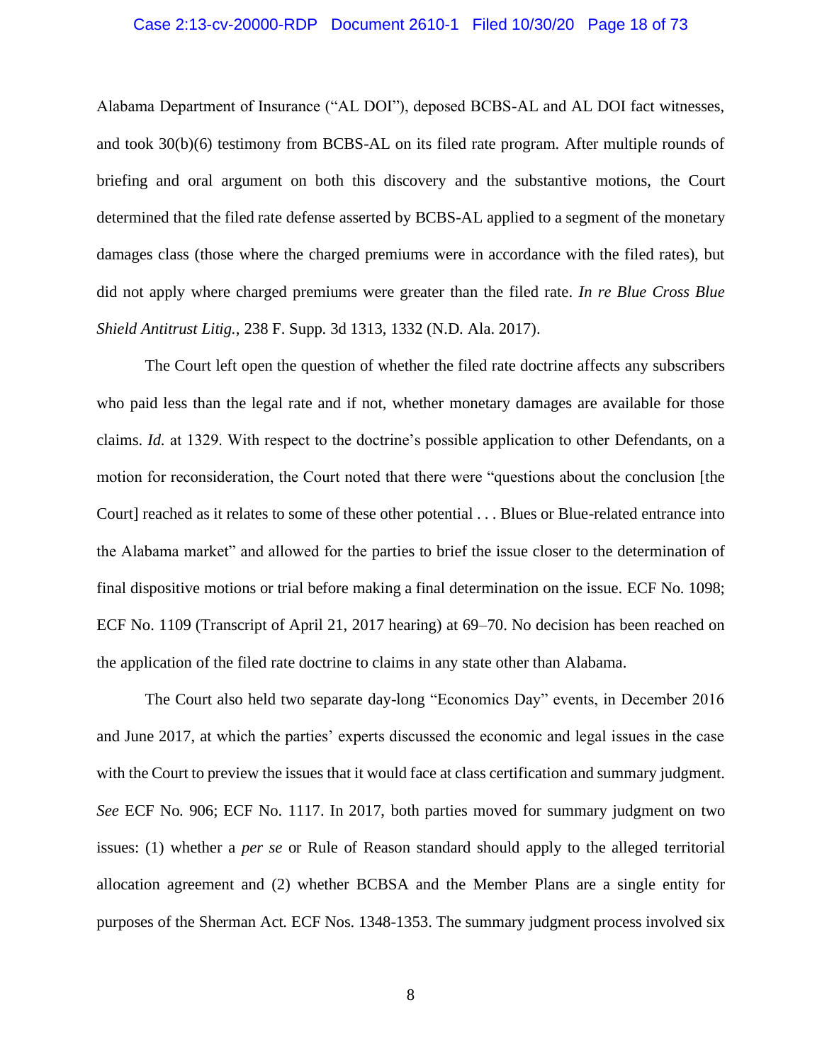## Case 2:13-cv-20000-RDP Document 2610-1 Filed 10/30/20 Page 18 of 73

Alabama Department of Insurance ("AL DOI"), deposed BCBS-AL and AL DOI fact witnesses, and took 30(b)(6) testimony from BCBS-AL on its filed rate program. After multiple rounds of briefing and oral argument on both this discovery and the substantive motions, the Court determined that the filed rate defense asserted by BCBS-AL applied to a segment of the monetary damages class (those where the charged premiums were in accordance with the filed rates), but did not apply where charged premiums were greater than the filed rate. *In re Blue Cross Blue Shield Antitrust Litig.*, 238 F. Supp. 3d 1313, 1332 (N.D. Ala. 2017).

The Court left open the question of whether the filed rate doctrine affects any subscribers who paid less than the legal rate and if not, whether monetary damages are available for those claims. *Id.* at 1329. With respect to the doctrine's possible application to other Defendants, on a motion for reconsideration, the Court noted that there were "questions about the conclusion [the Court] reached as it relates to some of these other potential . . . Blues or Blue-related entrance into the Alabama market" and allowed for the parties to brief the issue closer to the determination of final dispositive motions or trial before making a final determination on the issue. ECF No. 1098; ECF No. 1109 (Transcript of April 21, 2017 hearing) at 69–70. No decision has been reached on the application of the filed rate doctrine to claims in any state other than Alabama.

The Court also held two separate day-long "Economics Day" events, in December 2016 and June 2017, at which the parties' experts discussed the economic and legal issues in the case with the Court to preview the issues that it would face at class certification and summary judgment. *See* ECF No. 906; ECF No. 1117. In 2017, both parties moved for summary judgment on two issues: (1) whether a *per se* or Rule of Reason standard should apply to the alleged territorial allocation agreement and (2) whether BCBSA and the Member Plans are a single entity for purposes of the Sherman Act. ECF Nos. 1348-1353. The summary judgment process involved six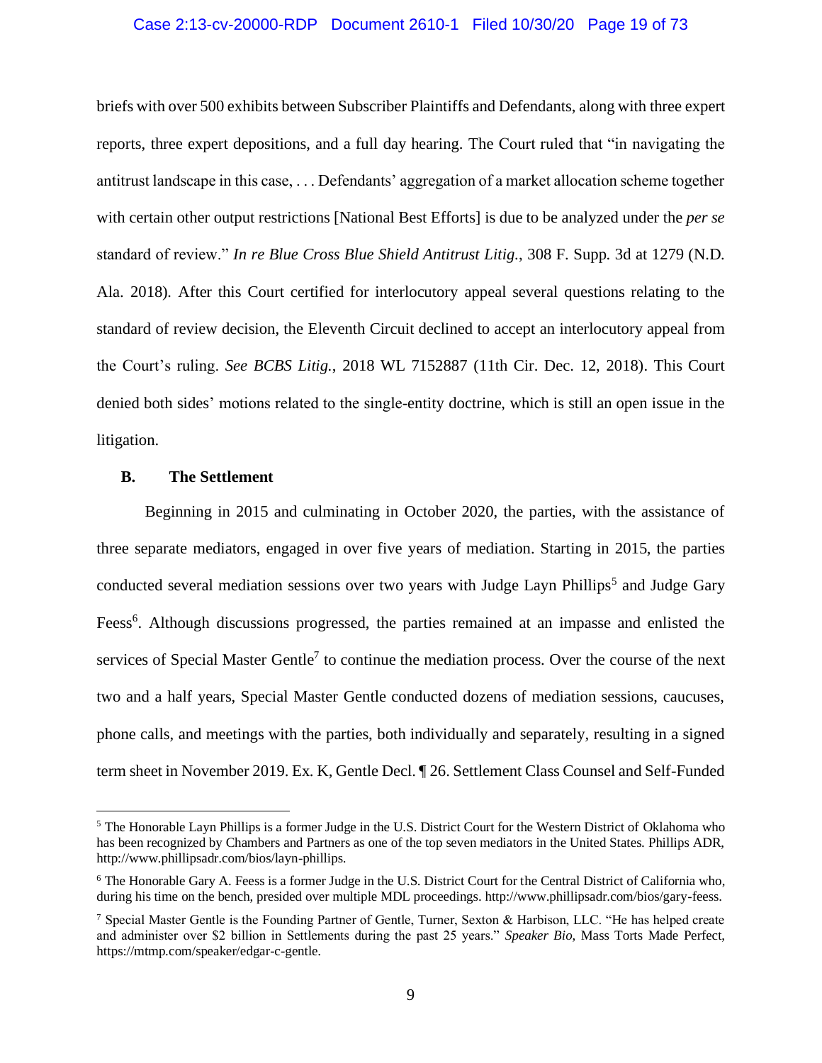## Case 2:13-cv-20000-RDP Document 2610-1 Filed 10/30/20 Page 19 of 73

briefs with over 500 exhibits between Subscriber Plaintiffs and Defendants, along with three expert reports, three expert depositions, and a full day hearing. The Court ruled that "in navigating the antitrust landscape in this case, . . . Defendants' aggregation of a market allocation scheme together with certain other output restrictions [National Best Efforts] is due to be analyzed under the *per se* standard of review." *In re Blue Cross Blue Shield Antitrust Litig.*, 308 F. Supp. 3d at 1279 (N.D. Ala. 2018)*.* After this Court certified for interlocutory appeal several questions relating to the standard of review decision, the Eleventh Circuit declined to accept an interlocutory appeal from the Court's ruling. *See BCBS Litig.*, 2018 WL 7152887 (11th Cir. Dec. 12, 2018). This Court denied both sides' motions related to the single-entity doctrine, which is still an open issue in the litigation.

## <span id="page-18-0"></span>**B. The Settlement**

Beginning in 2015 and culminating in October 2020, the parties, with the assistance of three separate mediators, engaged in over five years of mediation. Starting in 2015, the parties conducted several mediation sessions over two years with Judge Layn Phillips<sup>5</sup> and Judge Gary Feess<sup>6</sup>. Although discussions progressed, the parties remained at an impasse and enlisted the services of Special Master Gentle<sup>7</sup> to continue the mediation process. Over the course of the next two and a half years, Special Master Gentle conducted dozens of mediation sessions, caucuses, phone calls, and meetings with the parties, both individually and separately, resulting in a signed term sheet in November 2019. Ex. K, Gentle Decl. ¶ 26. Settlement Class Counsel and Self-Funded

<sup>5</sup> The Honorable Layn Phillips is a former Judge in the U.S. District Court for the Western District of Oklahoma who has been recognized by Chambers and Partners as one of the top seven mediators in the United States. Phillips ADR, http://www.phillipsadr.com/bios/layn-phillips.

<sup>6</sup> The Honorable Gary A. Feess is a former Judge in the U.S. District Court for the Central District of California who, during his time on the bench, presided over multiple MDL proceedings. http://www.phillipsadr.com/bios/gary-feess.

<sup>7</sup> Special Master Gentle is the Founding Partner of Gentle, Turner, Sexton & Harbison, LLC. "He has helped create and administer over \$2 billion in Settlements during the past 25 years." *Speaker Bio*, Mass Torts Made Perfect, https://mtmp.com/speaker/edgar-c-gentle.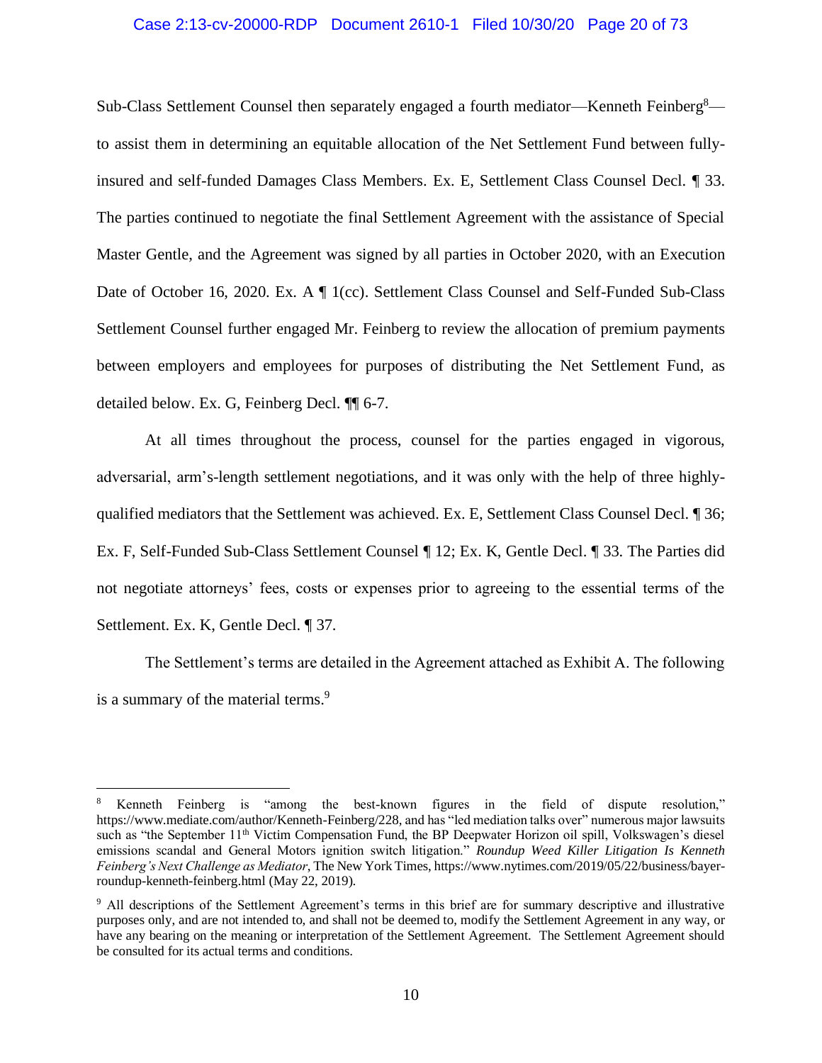## Case 2:13-cv-20000-RDP Document 2610-1 Filed 10/30/20 Page 20 of 73

Sub-Class Settlement Counsel then separately engaged a fourth mediator—Kenneth Feinberg<sup>8</sup> to assist them in determining an equitable allocation of the Net Settlement Fund between fullyinsured and self-funded Damages Class Members. Ex. E, Settlement Class Counsel Decl. ¶ 33. The parties continued to negotiate the final Settlement Agreement with the assistance of Special Master Gentle, and the Agreement was signed by all parties in October 2020, with an Execution Date of October 16, 2020. Ex. A  $\P$  1(cc). Settlement Class Counsel and Self-Funded Sub-Class Settlement Counsel further engaged Mr. Feinberg to review the allocation of premium payments between employers and employees for purposes of distributing the Net Settlement Fund, as detailed below. Ex. G, Feinberg Decl. ¶¶ 6-7.

At all times throughout the process, counsel for the parties engaged in vigorous, adversarial, arm's-length settlement negotiations, and it was only with the help of three highlyqualified mediators that the Settlement was achieved. Ex. E, Settlement Class Counsel Decl. ¶ 36; Ex. F, Self-Funded Sub-Class Settlement Counsel ¶ 12; Ex. K, Gentle Decl. ¶ 33. The Parties did not negotiate attorneys' fees, costs or expenses prior to agreeing to the essential terms of the Settlement. Ex. K, Gentle Decl. ¶ 37.

The Settlement's terms are detailed in the Agreement attached as Exhibit A. The following is a summary of the material terms.<sup>9</sup>

<sup>8</sup> Kenneth Feinberg is "among the best-known figures in the field of dispute resolution," https://www.mediate.com/author/Kenneth-Feinberg/228, and has "led mediation talks over" numerous major lawsuits such as "the September 11<sup>th</sup> Victim Compensation Fund, the BP Deepwater Horizon oil spill, Volkswagen's diesel emissions scandal and General Motors ignition switch litigation." *Roundup Weed Killer Litigation Is Kenneth Feinberg's Next Challenge as Mediator*, The New York Times, https://www.nytimes.com/2019/05/22/business/bayerroundup-kenneth-feinberg.html (May 22, 2019).

<sup>9</sup> All descriptions of the Settlement Agreement's terms in this brief are for summary descriptive and illustrative purposes only, and are not intended to, and shall not be deemed to, modify the Settlement Agreement in any way, or have any bearing on the meaning or interpretation of the Settlement Agreement. The Settlement Agreement should be consulted for its actual terms and conditions.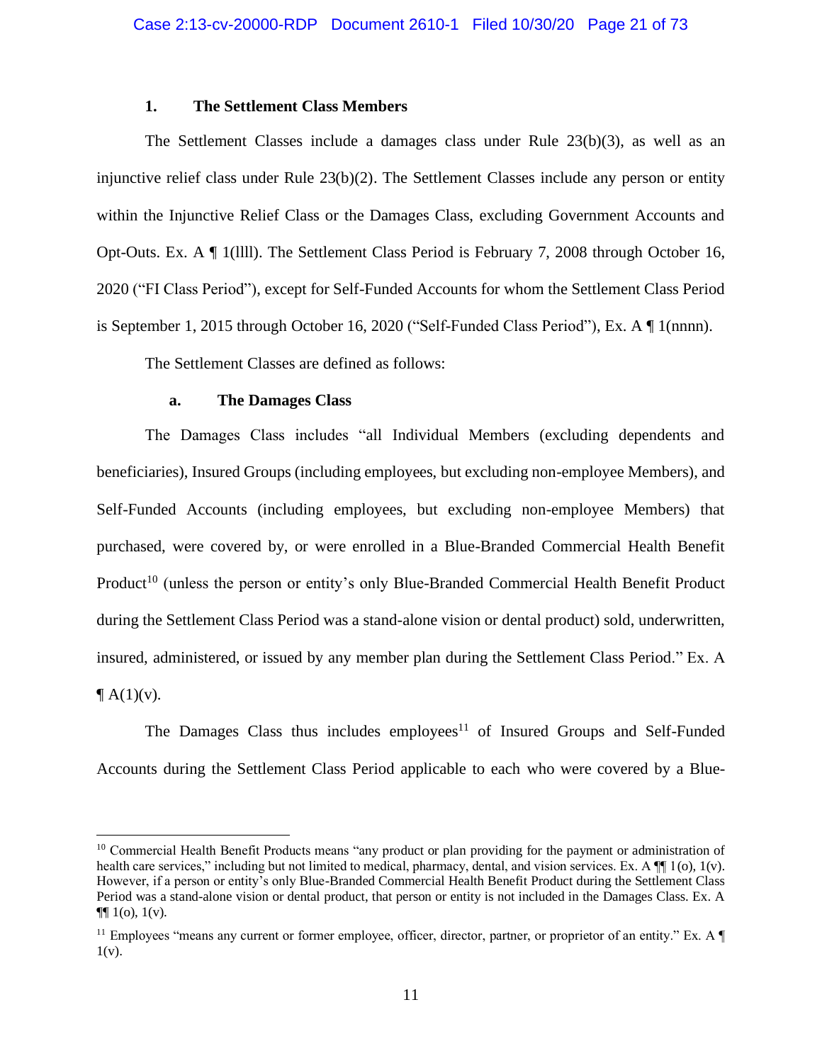## **1. The Settlement Class Members**

<span id="page-20-0"></span>The Settlement Classes include a damages class under Rule 23(b)(3), as well as an injunctive relief class under Rule 23(b)(2). The Settlement Classes include any person or entity within the Injunctive Relief Class or the Damages Class, excluding Government Accounts and Opt-Outs. Ex. A ¶ 1(llll). The Settlement Class Period is February 7, 2008 through October 16, 2020 ("FI Class Period"), except for Self-Funded Accounts for whom the Settlement Class Period is September 1, 2015 through October 16, 2020 ("Self-Funded Class Period"), Ex. A ¶ 1(nnnn).

The Settlement Classes are defined as follows:

## **a. The Damages Class**

<span id="page-20-1"></span>The Damages Class includes "all Individual Members (excluding dependents and beneficiaries), Insured Groups (including employees, but excluding non-employee Members), and Self-Funded Accounts (including employees, but excluding non-employee Members) that purchased, were covered by, or were enrolled in a Blue-Branded Commercial Health Benefit Product<sup>10</sup> (unless the person or entity's only Blue-Branded Commercial Health Benefit Product during the Settlement Class Period was a stand-alone vision or dental product) sold, underwritten, insured, administered, or issued by any member plan during the Settlement Class Period." Ex. A  $\P$  A(1)(v).

The Damages Class thus includes employees<sup>11</sup> of Insured Groups and Self-Funded Accounts during the Settlement Class Period applicable to each who were covered by a Blue-

<sup>&</sup>lt;sup>10</sup> Commercial Health Benefit Products means "any product or plan providing for the payment or administration of health care services," including but not limited to medical, pharmacy, dental, and vision services. Ex. A  $\P$  1(o), 1(v). However, if a person or entity's only Blue-Branded Commercial Health Benefit Product during the Settlement Class Period was a stand-alone vision or dental product, that person or entity is not included in the Damages Class. Ex. A  $\P\P$  1(o), 1(v).

 $11$  Employees "means any current or former employee, officer, director, partner, or proprietor of an entity." Ex. A  $1(v)$ .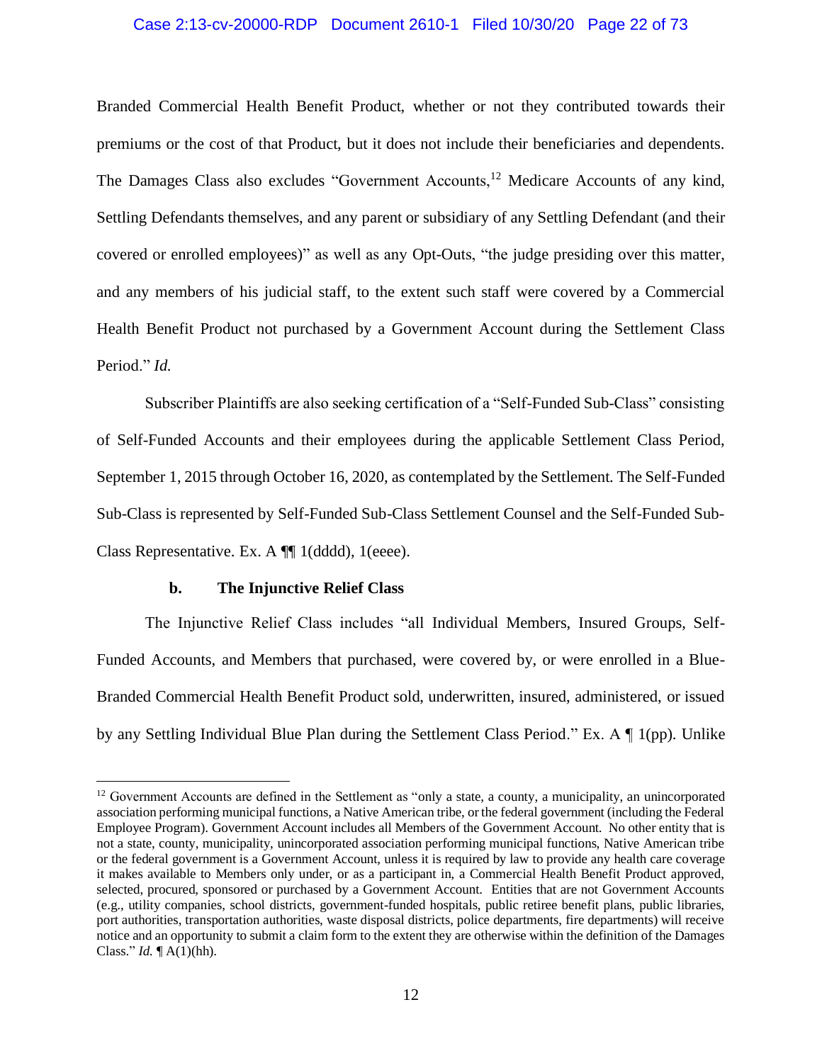## Case 2:13-cv-20000-RDP Document 2610-1 Filed 10/30/20 Page 22 of 73

Branded Commercial Health Benefit Product, whether or not they contributed towards their premiums or the cost of that Product, but it does not include their beneficiaries and dependents. The Damages Class also excludes "Government Accounts,<sup>12</sup> Medicare Accounts of any kind, Settling Defendants themselves, and any parent or subsidiary of any Settling Defendant (and their covered or enrolled employees)" as well as any Opt-Outs, "the judge presiding over this matter, and any members of his judicial staff, to the extent such staff were covered by a Commercial Health Benefit Product not purchased by a Government Account during the Settlement Class Period." *Id.*

Subscriber Plaintiffs are also seeking certification of a "Self-Funded Sub-Class" consisting of Self-Funded Accounts and their employees during the applicable Settlement Class Period, September 1, 2015 through October 16, 2020, as contemplated by the Settlement. The Self-Funded Sub-Class is represented by Self-Funded Sub-Class Settlement Counsel and the Self-Funded Sub-Class Representative. Ex. A ¶¶ 1(dddd), 1(eeee).

## **b. The Injunctive Relief Class**

<span id="page-21-0"></span>The Injunctive Relief Class includes "all Individual Members, Insured Groups, Self-Funded Accounts, and Members that purchased, were covered by, or were enrolled in a Blue-Branded Commercial Health Benefit Product sold, underwritten, insured, administered, or issued by any Settling Individual Blue Plan during the Settlement Class Period." Ex. A ¶ 1(pp). Unlike

<sup>&</sup>lt;sup>12</sup> Government Accounts are defined in the Settlement as "only a state, a county, a municipality, an unincorporated association performing municipal functions, a Native American tribe, or the federal government (including the Federal Employee Program). Government Account includes all Members of the Government Account. No other entity that is not a state, county, municipality, unincorporated association performing municipal functions, Native American tribe or the federal government is a Government Account, unless it is required by law to provide any health care coverage it makes available to Members only under, or as a participant in, a Commercial Health Benefit Product approved, selected, procured, sponsored or purchased by a Government Account. Entities that are not Government Accounts (e.g., utility companies, school districts, government-funded hospitals, public retiree benefit plans, public libraries, port authorities, transportation authorities, waste disposal districts, police departments, fire departments) will receive notice and an opportunity to submit a claim form to the extent they are otherwise within the definition of the Damages Class." *Id.* ¶ A(1)(hh).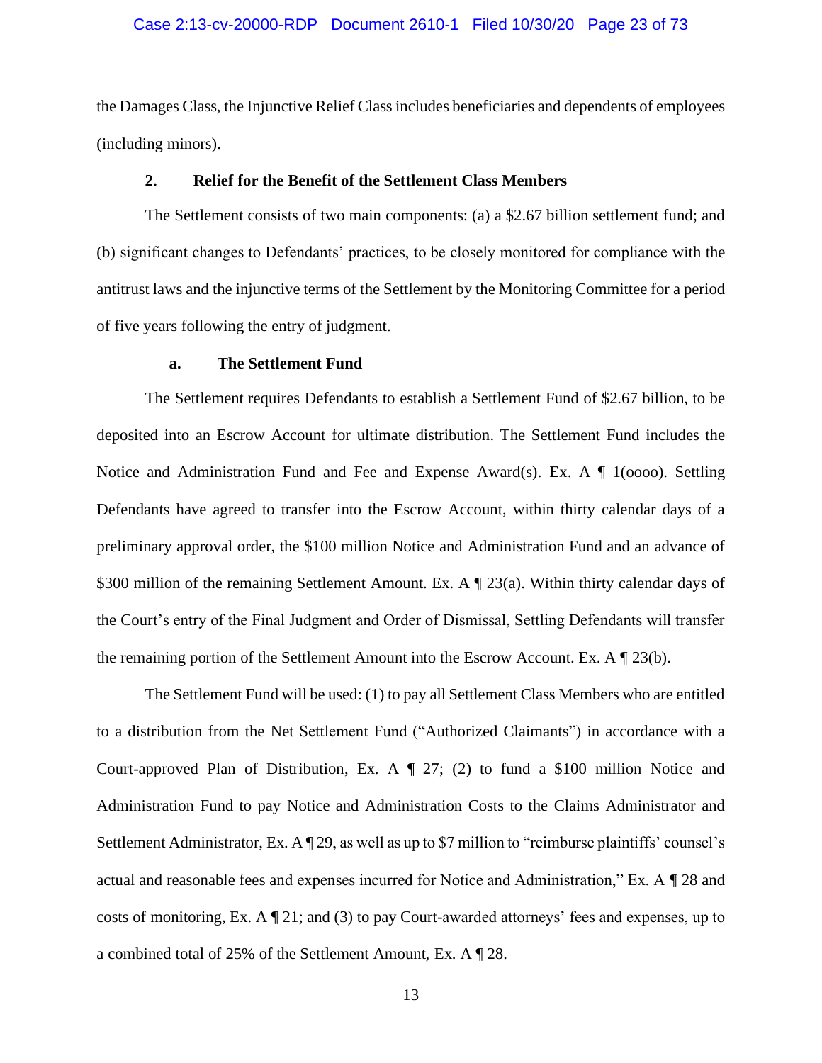## Case 2:13-cv-20000-RDP Document 2610-1 Filed 10/30/20 Page 23 of 73

the Damages Class, the Injunctive Relief Class includes beneficiaries and dependents of employees (including minors).

## **2. Relief for the Benefit of the Settlement Class Members**

<span id="page-22-0"></span>The Settlement consists of two main components: (a) a \$2.67 billion settlement fund; and (b) significant changes to Defendants' practices, to be closely monitored for compliance with the antitrust laws and the injunctive terms of the Settlement by the Monitoring Committee for a period of five years following the entry of judgment.

# **a. The Settlement Fund**

<span id="page-22-1"></span>The Settlement requires Defendants to establish a Settlement Fund of \$2.67 billion, to be deposited into an Escrow Account for ultimate distribution. The Settlement Fund includes the Notice and Administration Fund and Fee and Expense Award(s). Ex. A  $\P$  1(0000). Settling Defendants have agreed to transfer into the Escrow Account, within thirty calendar days of a preliminary approval order, the \$100 million Notice and Administration Fund and an advance of \$300 million of the remaining Settlement Amount. Ex. A ¶ 23(a). Within thirty calendar days of the Court's entry of the Final Judgment and Order of Dismissal, Settling Defendants will transfer the remaining portion of the Settlement Amount into the Escrow Account. Ex. A ¶ 23(b).

The Settlement Fund will be used: (1) to pay all Settlement Class Members who are entitled to a distribution from the Net Settlement Fund ("Authorized Claimants") in accordance with a Court-approved Plan of Distribution, Ex. A  $\P$  27; (2) to fund a \$100 million Notice and Administration Fund to pay Notice and Administration Costs to the Claims Administrator and Settlement Administrator, Ex. A ¶ 29, as well as up to \$7 million to "reimburse plaintiffs' counsel's actual and reasonable fees and expenses incurred for Notice and Administration," Ex. A ¶ 28 and costs of monitoring, Ex.  $A \parallel 21$ ; and (3) to pay Court-awarded attorneys' fees and expenses, up to a combined total of 25% of the Settlement Amount, Ex. A ¶ 28.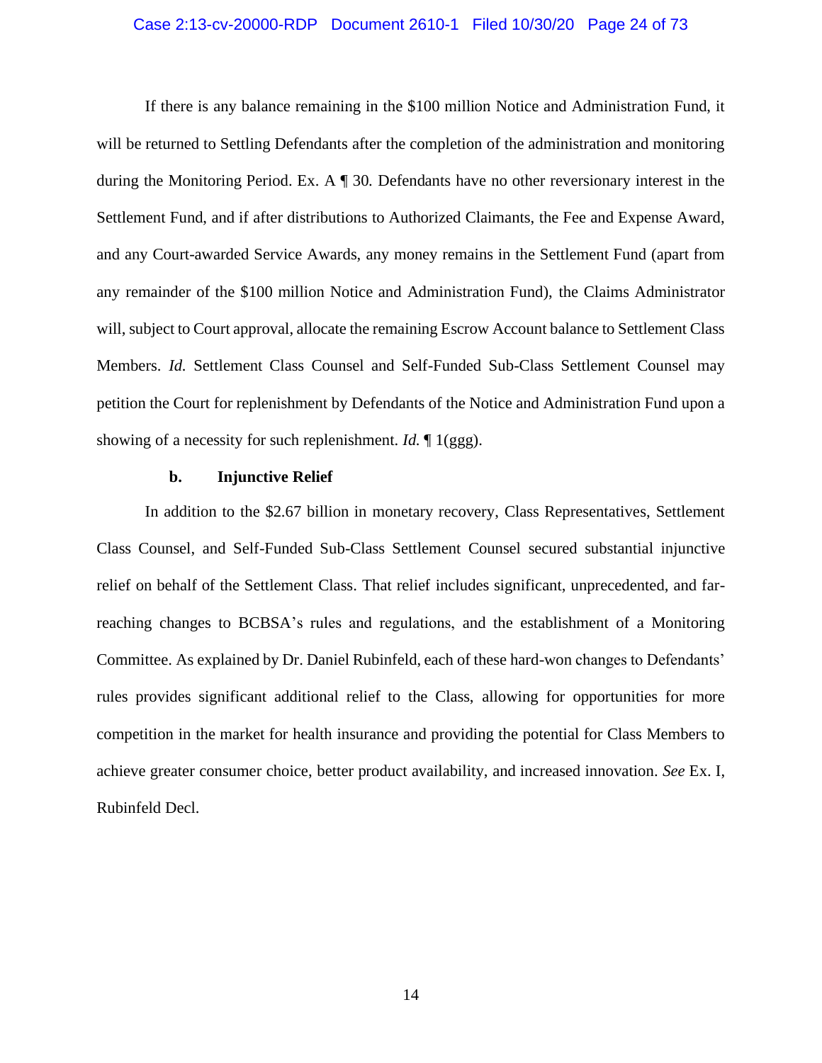## Case 2:13-cv-20000-RDP Document 2610-1 Filed 10/30/20 Page 24 of 73

If there is any balance remaining in the \$100 million Notice and Administration Fund, it will be returned to Settling Defendants after the completion of the administration and monitoring during the Monitoring Period. Ex. A ¶ 30. Defendants have no other reversionary interest in the Settlement Fund, and if after distributions to Authorized Claimants, the Fee and Expense Award, and any Court-awarded Service Awards, any money remains in the Settlement Fund (apart from any remainder of the \$100 million Notice and Administration Fund), the Claims Administrator will, subject to Court approval, allocate the remaining Escrow Account balance to Settlement Class Members. *Id.* Settlement Class Counsel and Self-Funded Sub-Class Settlement Counsel may petition the Court for replenishment by Defendants of the Notice and Administration Fund upon a showing of a necessity for such replenishment. *Id.* ¶ 1(ggg).

#### **b. Injunctive Relief**

<span id="page-23-0"></span>In addition to the \$2.67 billion in monetary recovery, Class Representatives, Settlement Class Counsel, and Self-Funded Sub-Class Settlement Counsel secured substantial injunctive relief on behalf of the Settlement Class. That relief includes significant, unprecedented, and farreaching changes to BCBSA's rules and regulations, and the establishment of a Monitoring Committee. As explained by Dr. Daniel Rubinfeld, each of these hard-won changes to Defendants' rules provides significant additional relief to the Class, allowing for opportunities for more competition in the market for health insurance and providing the potential for Class Members to achieve greater consumer choice, better product availability, and increased innovation. *See* Ex. I, Rubinfeld Decl.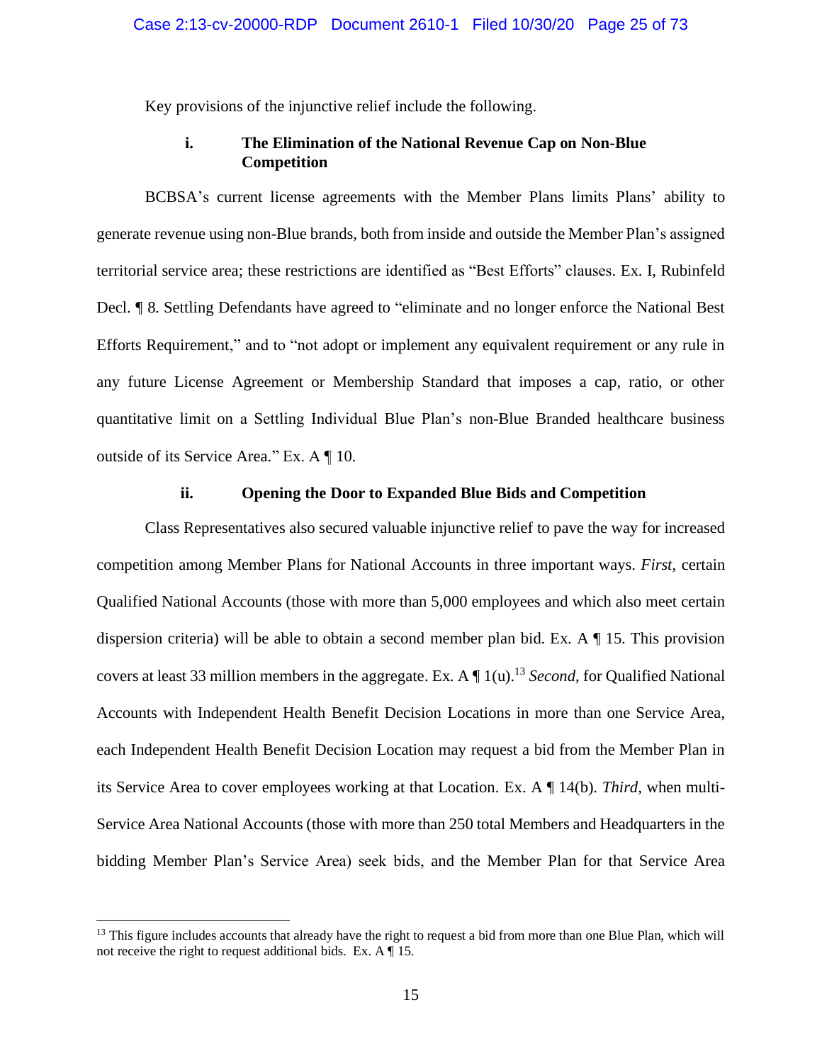Key provisions of the injunctive relief include the following.

# **i. The Elimination of the National Revenue Cap on Non-Blue Competition**

<span id="page-24-0"></span>BCBSA's current license agreements with the Member Plans limits Plans' ability to generate revenue using non-Blue brands, both from inside and outside the Member Plan's assigned territorial service area; these restrictions are identified as "Best Efforts" clauses. Ex. I, Rubinfeld Decl. ¶ 8. Settling Defendants have agreed to "eliminate and no longer enforce the National Best Efforts Requirement," and to "not adopt or implement any equivalent requirement or any rule in any future License Agreement or Membership Standard that imposes a cap, ratio, or other quantitative limit on a Settling Individual Blue Plan's non-Blue Branded healthcare business outside of its Service Area." Ex. A ¶ 10.

## **ii. Opening the Door to Expanded Blue Bids and Competition**

<span id="page-24-1"></span>Class Representatives also secured valuable injunctive relief to pave the way for increased competition among Member Plans for National Accounts in three important ways. *First*, certain Qualified National Accounts (those with more than 5,000 employees and which also meet certain dispersion criteria) will be able to obtain a second member plan bid. Ex. A ¶ 15. This provision covers at least 33 million members in the aggregate. Ex. A ¶ 1(u). <sup>13</sup> *Second*, for Qualified National Accounts with Independent Health Benefit Decision Locations in more than one Service Area, each Independent Health Benefit Decision Location may request a bid from the Member Plan in its Service Area to cover employees working at that Location. Ex. A ¶ 14(b). *Third,* when multi-Service Area National Accounts (those with more than 250 total Members and Headquarters in the bidding Member Plan's Service Area) seek bids, and the Member Plan for that Service Area

 $<sup>13</sup>$  This figure includes accounts that already have the right to request a bid from more than one Blue Plan, which will</sup> not receive the right to request additional bids. Ex. A ¶ 15.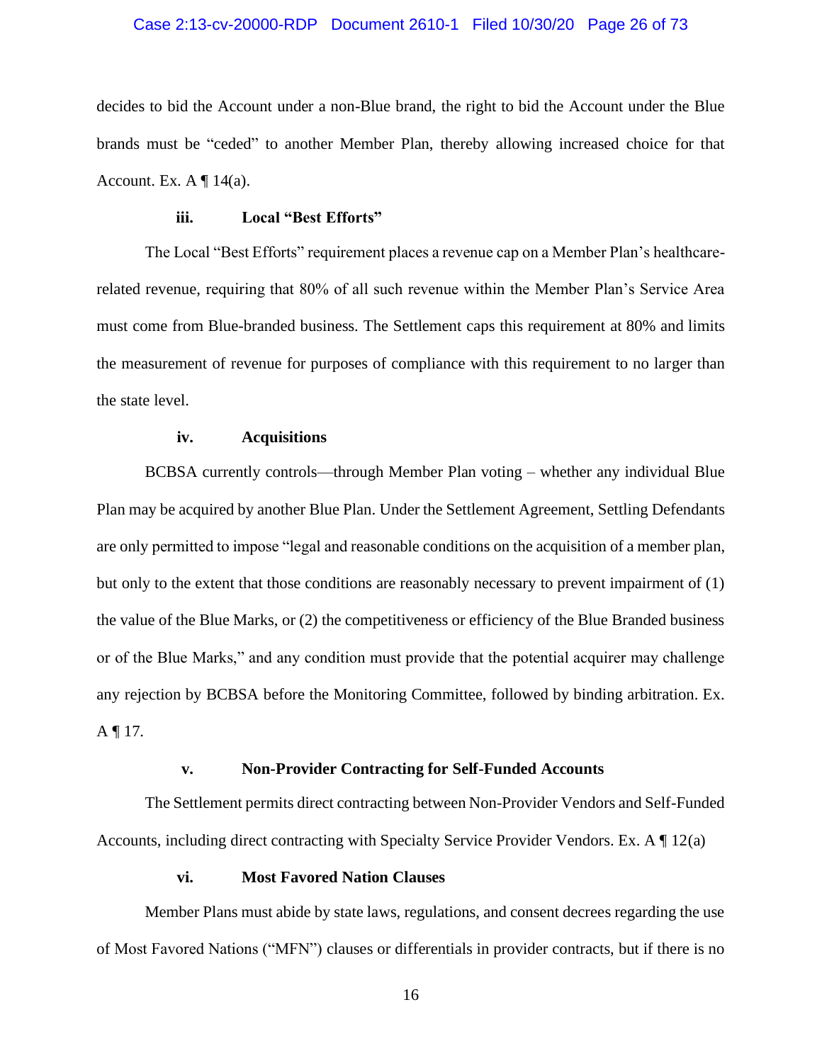## Case 2:13-cv-20000-RDP Document 2610-1 Filed 10/30/20 Page 26 of 73

decides to bid the Account under a non-Blue brand, the right to bid the Account under the Blue brands must be "ceded" to another Member Plan, thereby allowing increased choice for that Account. Ex.  $A \P 14(a)$ .

## **iii. Local "Best Efforts"**

<span id="page-25-0"></span>The Local "Best Efforts" requirement places a revenue cap on a Member Plan's healthcarerelated revenue, requiring that 80% of all such revenue within the Member Plan's Service Area must come from Blue-branded business. The Settlement caps this requirement at 80% and limits the measurement of revenue for purposes of compliance with this requirement to no larger than the state level.

## **iv. Acquisitions**

<span id="page-25-1"></span>BCBSA currently controls—through Member Plan voting – whether any individual Blue Plan may be acquired by another Blue Plan. Under the Settlement Agreement, Settling Defendants are only permitted to impose "legal and reasonable conditions on the acquisition of a member plan, but only to the extent that those conditions are reasonably necessary to prevent impairment of (1) the value of the Blue Marks, or (2) the competitiveness or efficiency of the Blue Branded business or of the Blue Marks," and any condition must provide that the potential acquirer may challenge any rejection by BCBSA before the Monitoring Committee, followed by binding arbitration. Ex. A  $\P$  17.

## **v. Non-Provider Contracting for Self-Funded Accounts**

<span id="page-25-2"></span>The Settlement permits direct contracting between Non-Provider Vendors and Self-Funded Accounts, including direct contracting with Specialty Service Provider Vendors. Ex. A ¶ 12(a)

## **vi. Most Favored Nation Clauses**

<span id="page-25-3"></span>Member Plans must abide by state laws, regulations, and consent decrees regarding the use of Most Favored Nations ("MFN") clauses or differentials in provider contracts, but if there is no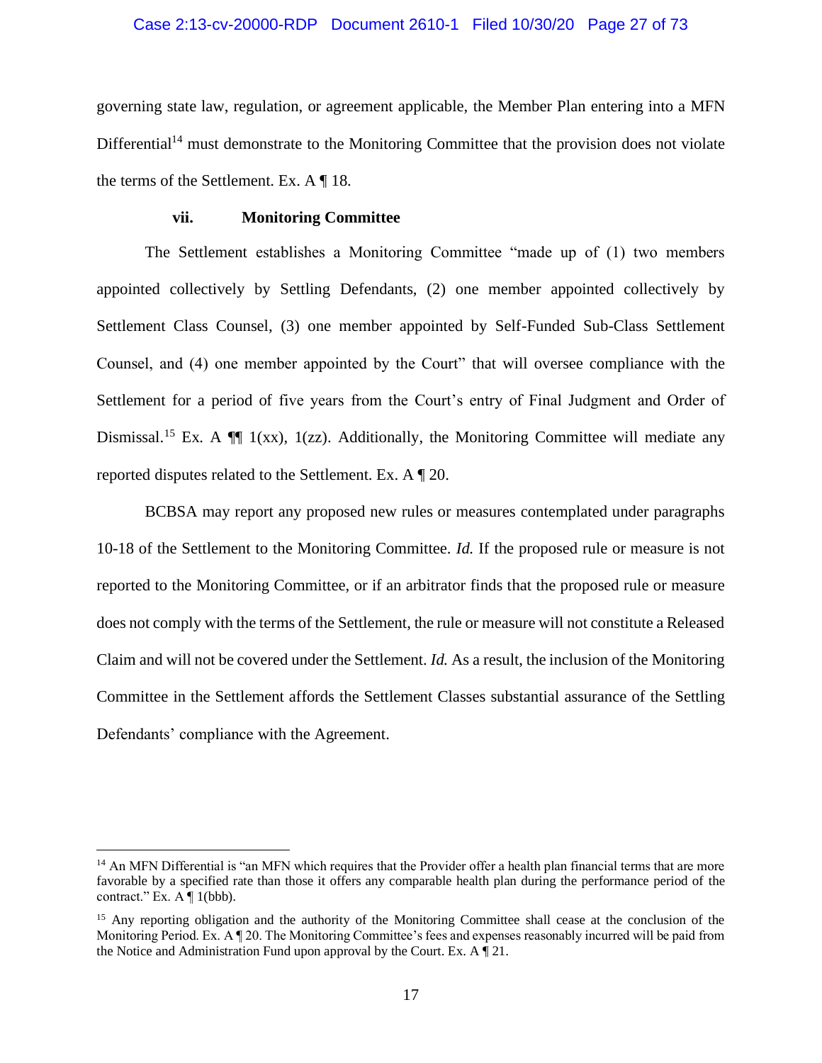## Case 2:13-cv-20000-RDP Document 2610-1 Filed 10/30/20 Page 27 of 73

governing state law, regulation, or agreement applicable, the Member Plan entering into a MFN  $Differential<sup>14</sup>$  must demonstrate to the Monitoring Committee that the provision does not violate the terms of the Settlement. Ex. A ¶ 18.

## **vii. Monitoring Committee**

<span id="page-26-0"></span>The Settlement establishes a Monitoring Committee "made up of (1) two members appointed collectively by Settling Defendants, (2) one member appointed collectively by Settlement Class Counsel, (3) one member appointed by Self-Funded Sub-Class Settlement Counsel, and (4) one member appointed by the Court" that will oversee compliance with the Settlement for a period of five years from the Court's entry of Final Judgment and Order of Dismissal.<sup>15</sup> Ex. A  $\P$  1(xx), 1(zz). Additionally, the Monitoring Committee will mediate any reported disputes related to the Settlement. Ex. A ¶ 20.

BCBSA may report any proposed new rules or measures contemplated under paragraphs 10-18 of the Settlement to the Monitoring Committee. *Id.* If the proposed rule or measure is not reported to the Monitoring Committee, or if an arbitrator finds that the proposed rule or measure does not comply with the terms of the Settlement, the rule or measure will not constitute a Released Claim and will not be covered under the Settlement. *Id.* As a result, the inclusion of the Monitoring Committee in the Settlement affords the Settlement Classes substantial assurance of the Settling Defendants' compliance with the Agreement.

<sup>&</sup>lt;sup>14</sup> An MFN Differential is "an MFN which requires that the Provider offer a health plan financial terms that are more favorable by a specified rate than those it offers any comparable health plan during the performance period of the contract." Ex.  $A \P 1$ (bbb).

<sup>&</sup>lt;sup>15</sup> Any reporting obligation and the authority of the Monitoring Committee shall cease at the conclusion of the Monitoring Period. Ex. A ¶ 20. The Monitoring Committee's fees and expenses reasonably incurred will be paid from the Notice and Administration Fund upon approval by the Court. Ex. A ¶ 21.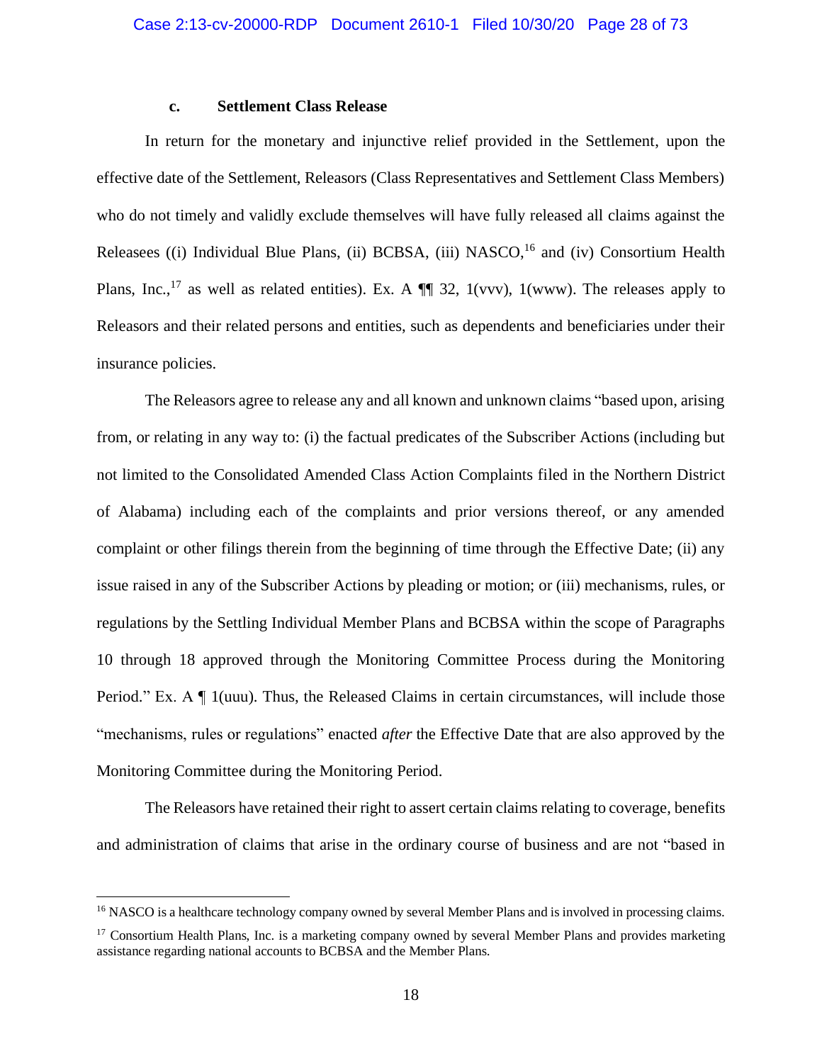## **c. Settlement Class Release**

<span id="page-27-0"></span>In return for the monetary and injunctive relief provided in the Settlement, upon the effective date of the Settlement, Releasors (Class Representatives and Settlement Class Members) who do not timely and validly exclude themselves will have fully released all claims against the Releasees ((i) Individual Blue Plans, (ii) BCBSA, (iii) NASCO,<sup>16</sup> and (iv) Consortium Health Plans, Inc.,<sup>17</sup> as well as related entities). Ex. A  $\P$  32, 1(vvv), 1(www). The releases apply to Releasors and their related persons and entities, such as dependents and beneficiaries under their insurance policies.

The Releasors agree to release any and all known and unknown claims "based upon, arising from, or relating in any way to: (i) the factual predicates of the Subscriber Actions (including but not limited to the Consolidated Amended Class Action Complaints filed in the Northern District of Alabama) including each of the complaints and prior versions thereof, or any amended complaint or other filings therein from the beginning of time through the Effective Date; (ii) any issue raised in any of the Subscriber Actions by pleading or motion; or (iii) mechanisms, rules, or regulations by the Settling Individual Member Plans and BCBSA within the scope of Paragraphs 10 through 18 approved through the Monitoring Committee Process during the Monitoring Period." Ex. A ¶ 1(uuu). Thus, the Released Claims in certain circumstances, will include those "mechanisms, rules or regulations" enacted *after* the Effective Date that are also approved by the Monitoring Committee during the Monitoring Period.

The Releasors have retained their right to assert certain claims relating to coverage, benefits and administration of claims that arise in the ordinary course of business and are not "based in

<sup>&</sup>lt;sup>16</sup> NASCO is a healthcare technology company owned by several Member Plans and is involved in processing claims.

<sup>&</sup>lt;sup>17</sup> Consortium Health Plans, Inc. is a marketing company owned by several Member Plans and provides marketing assistance regarding national accounts to BCBSA and the Member Plans.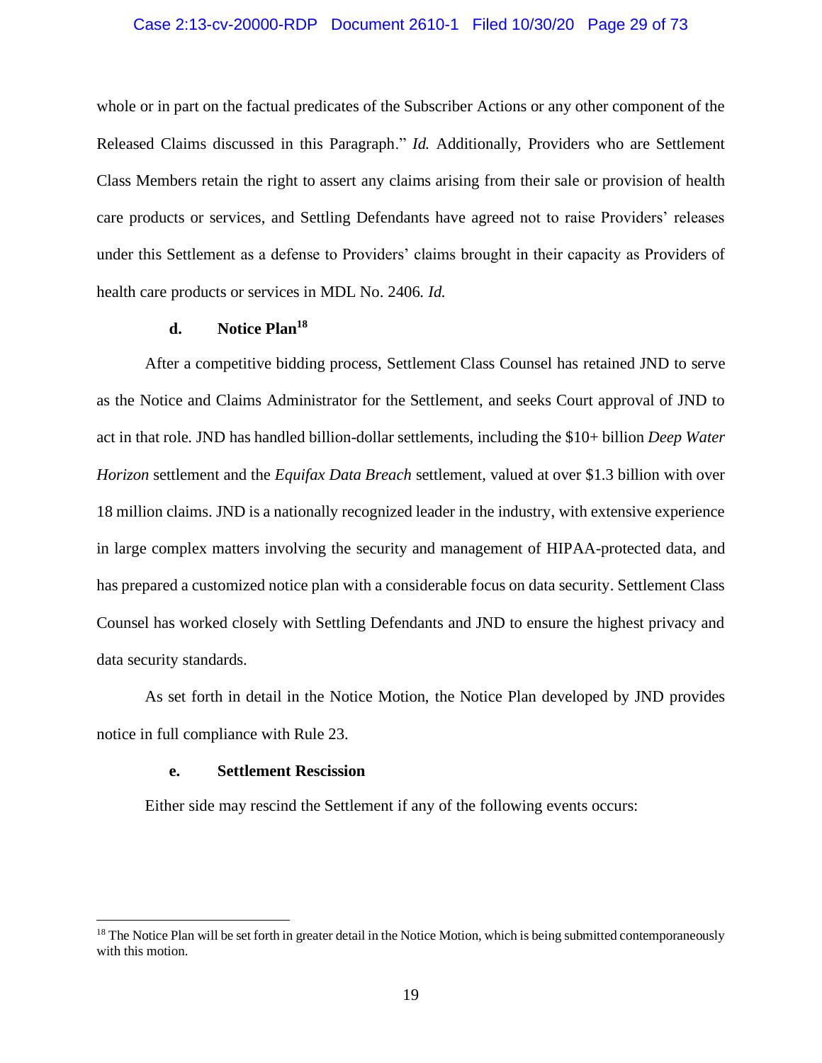## Case 2:13-cv-20000-RDP Document 2610-1 Filed 10/30/20 Page 29 of 73

whole or in part on the factual predicates of the Subscriber Actions or any other component of the Released Claims discussed in this Paragraph." *Id.* Additionally, Providers who are Settlement Class Members retain the right to assert any claims arising from their sale or provision of health care products or services, and Settling Defendants have agreed not to raise Providers' releases under this Settlement as a defense to Providers' claims brought in their capacity as Providers of health care products or services in MDL No. 2406. *Id.*

# **d. Notice Plan<sup>18</sup>**

<span id="page-28-0"></span>After a competitive bidding process, Settlement Class Counsel has retained JND to serve as the Notice and Claims Administrator for the Settlement, and seeks Court approval of JND to act in that role. JND has handled billion-dollar settlements, including the \$10+ billion *Deep Water Horizon* settlement and the *Equifax Data Breach* settlement, valued at over \$1.3 billion with over 18 million claims. JND is a nationally recognized leader in the industry, with extensive experience in large complex matters involving the security and management of HIPAA-protected data, and has prepared a customized notice plan with a considerable focus on data security. Settlement Class Counsel has worked closely with Settling Defendants and JND to ensure the highest privacy and data security standards.

As set forth in detail in the Notice Motion, the Notice Plan developed by JND provides notice in full compliance with Rule 23.

# **e. Settlement Rescission**

<span id="page-28-1"></span>Either side may rescind the Settlement if any of the following events occurs:

 $<sup>18</sup>$  The Notice Plan will be set forth in greater detail in the Notice Motion, which is being submitted contemporaneously</sup> with this motion.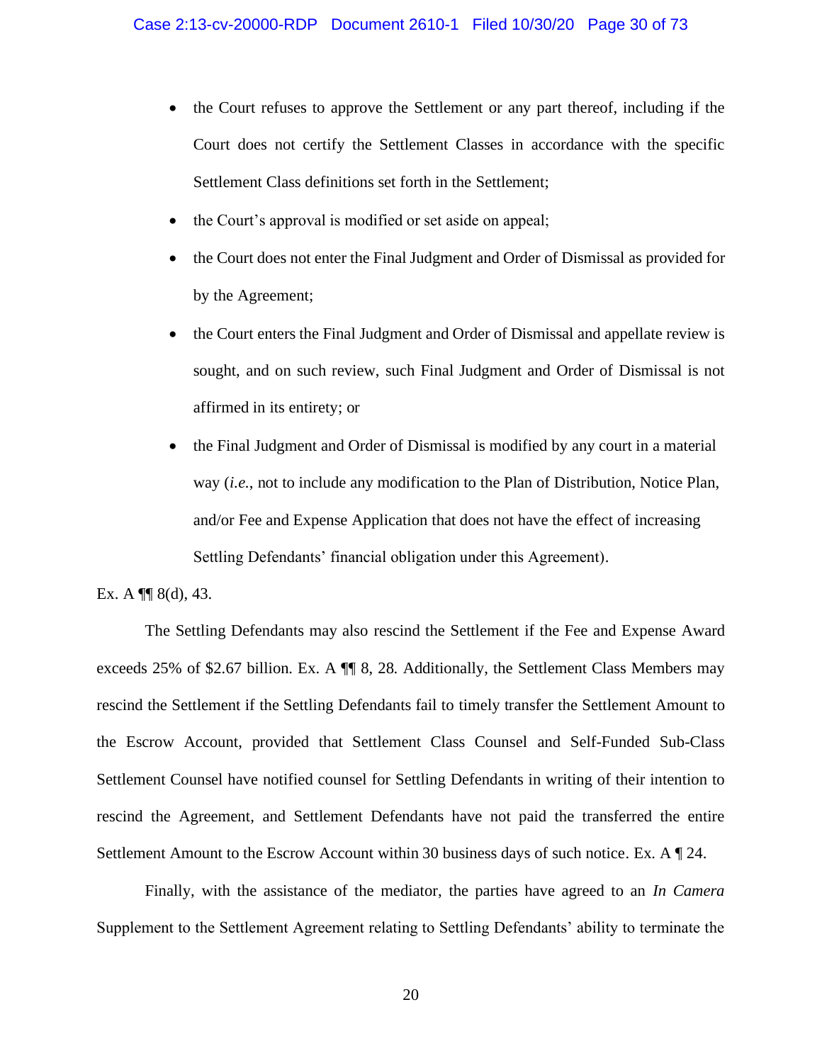- the Court refuses to approve the Settlement or any part thereof, including if the Court does not certify the Settlement Classes in accordance with the specific Settlement Class definitions set forth in the Settlement;
- the Court's approval is modified or set aside on appeal;
- the Court does not enter the Final Judgment and Order of Dismissal as provided for by the Agreement;
- the Court enters the Final Judgment and Order of Dismissal and appellate review is sought, and on such review, such Final Judgment and Order of Dismissal is not affirmed in its entirety; or
- the Final Judgment and Order of Dismissal is modified by any court in a material way (*i.e.*, not to include any modification to the Plan of Distribution, Notice Plan, and/or Fee and Expense Application that does not have the effect of increasing Settling Defendants' financial obligation under this Agreement).

## Ex. A  $\P\P$  8(d), 43.

The Settling Defendants may also rescind the Settlement if the Fee and Expense Award exceeds 25% of \$2.67 billion. Ex. A ¶¶ 8, 28. Additionally, the Settlement Class Members may rescind the Settlement if the Settling Defendants fail to timely transfer the Settlement Amount to the Escrow Account, provided that Settlement Class Counsel and Self-Funded Sub-Class Settlement Counsel have notified counsel for Settling Defendants in writing of their intention to rescind the Agreement, and Settlement Defendants have not paid the transferred the entire Settlement Amount to the Escrow Account within 30 business days of such notice. Ex. A  $\mathbb{Z}$  24.

Finally, with the assistance of the mediator, the parties have agreed to an *In Camera*  Supplement to the Settlement Agreement relating to Settling Defendants' ability to terminate the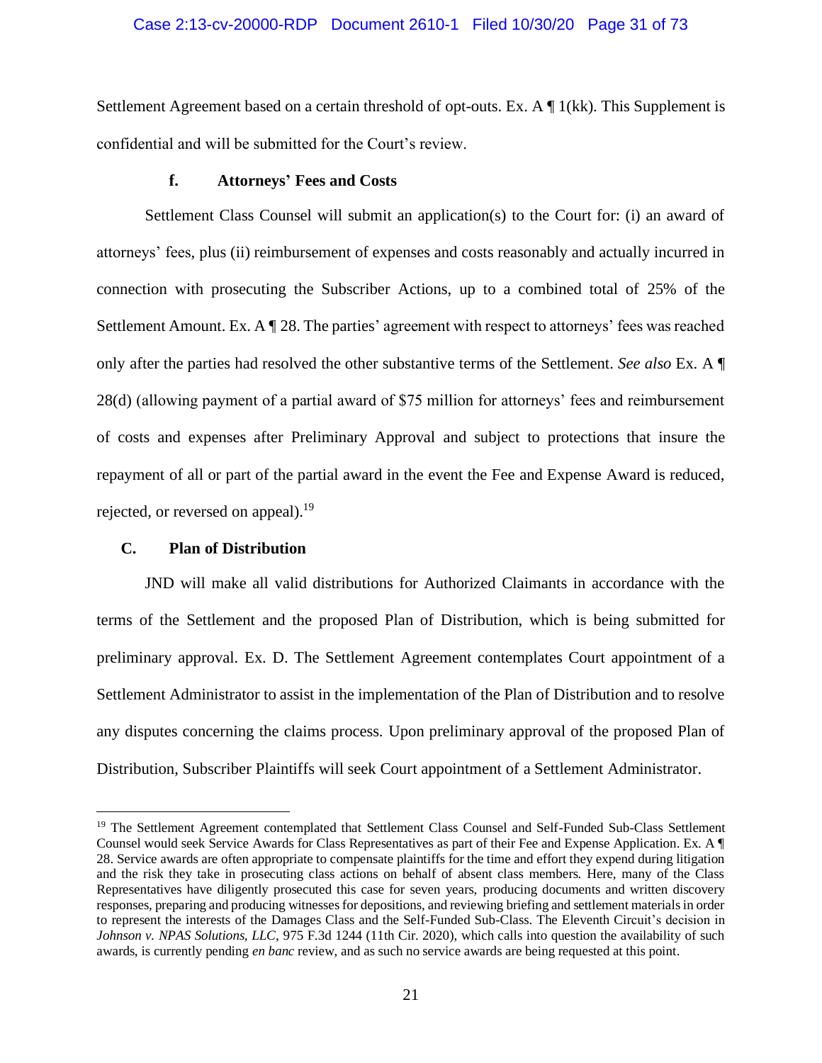## Case 2:13-cv-20000-RDP Document 2610-1 Filed 10/30/20 Page 31 of 73

Settlement Agreement based on a certain threshold of opt-outs. Ex. A ¶ 1(kk). This Supplement is confidential and will be submitted for the Court's review.

## **f. Attorneys' Fees and Costs**

<span id="page-30-0"></span>Settlement Class Counsel will submit an application(s) to the Court for: (i) an award of attorneys' fees, plus (ii) reimbursement of expenses and costs reasonably and actually incurred in connection with prosecuting the Subscriber Actions, up to a combined total of 25% of the Settlement Amount. Ex. A ¶ 28. The parties' agreement with respect to attorneys' fees was reached only after the parties had resolved the other substantive terms of the Settlement. *See also* Ex. A ¶ 28(d) (allowing payment of a partial award of \$75 million for attorneys' fees and reimbursement of costs and expenses after Preliminary Approval and subject to protections that insure the repayment of all or part of the partial award in the event the Fee and Expense Award is reduced, rejected, or reversed on appeal).<sup>19</sup>

## <span id="page-30-1"></span>**C. Plan of Distribution**

JND will make all valid distributions for Authorized Claimants in accordance with the terms of the Settlement and the proposed Plan of Distribution, which is being submitted for preliminary approval. Ex. D. The Settlement Agreement contemplates Court appointment of a Settlement Administrator to assist in the implementation of the Plan of Distribution and to resolve any disputes concerning the claims process. Upon preliminary approval of the proposed Plan of Distribution, Subscriber Plaintiffs will seek Court appointment of a Settlement Administrator.

<sup>&</sup>lt;sup>19</sup> The Settlement Agreement contemplated that Settlement Class Counsel and Self-Funded Sub-Class Settlement Counsel would seek Service Awards for Class Representatives as part of their Fee and Expense Application. Ex. A ¶ 28. Service awards are often appropriate to compensate plaintiffs for the time and effort they expend during litigation and the risk they take in prosecuting class actions on behalf of absent class members. Here, many of the Class Representatives have diligently prosecuted this case for seven years, producing documents and written discovery responses, preparing and producing witnesses for depositions, and reviewing briefing and settlement materials in order to represent the interests of the Damages Class and the Self-Funded Sub-Class. The Eleventh Circuit's decision in *Johnson v. NPAS Solutions, LLC*, 975 F.3d 1244 (11th Cir. 2020), which calls into question the availability of such awards, is currently pending *en banc* review, and as such no service awards are being requested at this point.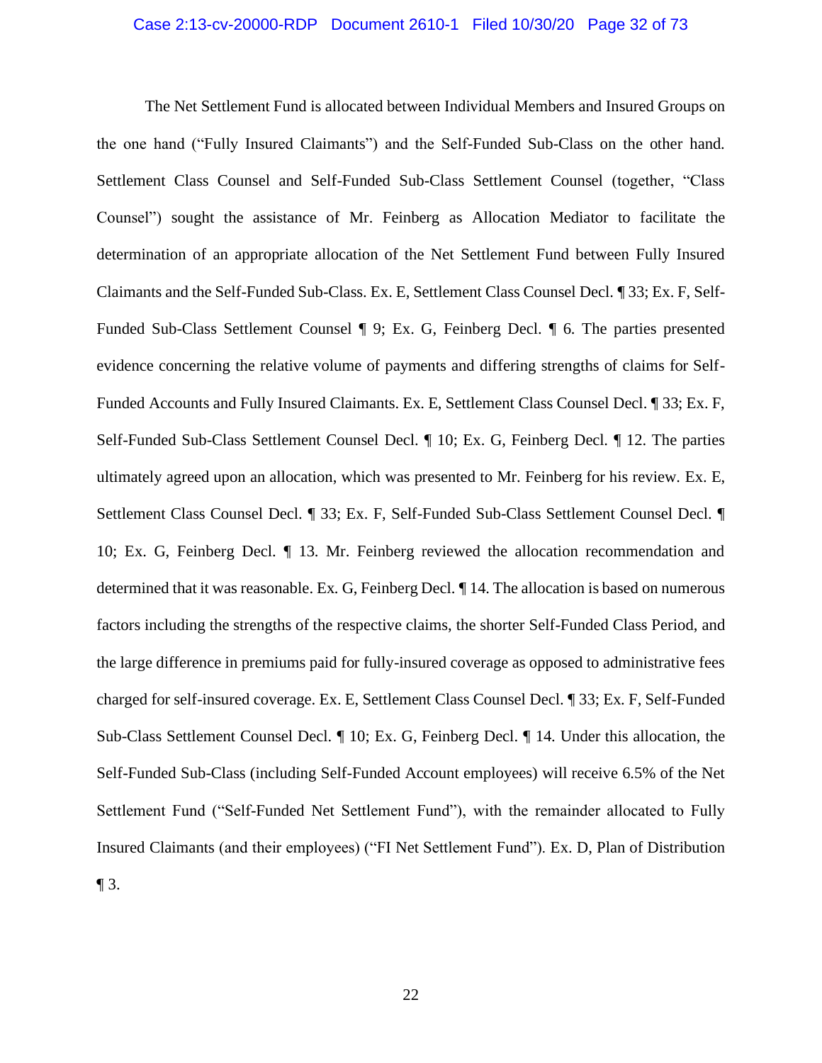## Case 2:13-cv-20000-RDP Document 2610-1 Filed 10/30/20 Page 32 of 73

The Net Settlement Fund is allocated between Individual Members and Insured Groups on the one hand ("Fully Insured Claimants") and the Self-Funded Sub-Class on the other hand. Settlement Class Counsel and Self-Funded Sub-Class Settlement Counsel (together, "Class Counsel") sought the assistance of Mr. Feinberg as Allocation Mediator to facilitate the determination of an appropriate allocation of the Net Settlement Fund between Fully Insured Claimants and the Self-Funded Sub-Class. Ex. E, Settlement Class Counsel Decl. ¶ 33; Ex. F, Self-Funded Sub-Class Settlement Counsel ¶ 9; Ex. G, Feinberg Decl. ¶ 6. The parties presented evidence concerning the relative volume of payments and differing strengths of claims for Self-Funded Accounts and Fully Insured Claimants. Ex. E, Settlement Class Counsel Decl. ¶ 33; Ex. F, Self-Funded Sub-Class Settlement Counsel Decl. ¶ 10; Ex. G, Feinberg Decl. ¶ 12. The parties ultimately agreed upon an allocation, which was presented to Mr. Feinberg for his review. Ex. E, Settlement Class Counsel Decl. ¶ 33; Ex. F, Self-Funded Sub-Class Settlement Counsel Decl. ¶ 10; Ex. G, Feinberg Decl. ¶ 13. Mr. Feinberg reviewed the allocation recommendation and determined that it was reasonable. Ex. G, Feinberg Decl. ¶ 14. The allocation is based on numerous factors including the strengths of the respective claims, the shorter Self-Funded Class Period, and the large difference in premiums paid for fully-insured coverage as opposed to administrative fees charged for self-insured coverage. Ex. E, Settlement Class Counsel Decl. ¶ 33; Ex. F, Self-Funded Sub-Class Settlement Counsel Decl. ¶ 10; Ex. G, Feinberg Decl. ¶ 14. Under this allocation, the Self-Funded Sub-Class (including Self-Funded Account employees) will receive 6.5% of the Net Settlement Fund ("Self-Funded Net Settlement Fund"), with the remainder allocated to Fully Insured Claimants (and their employees) ("FI Net Settlement Fund"). Ex. D, Plan of Distribution  $\P$  3.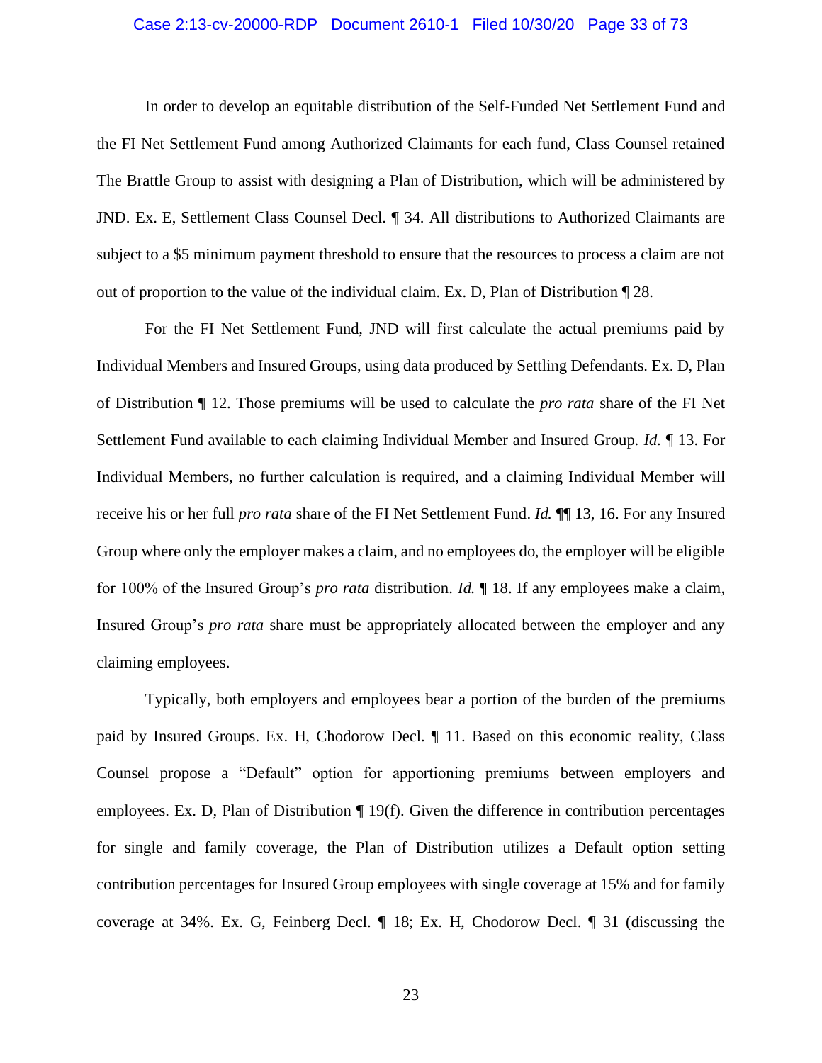## Case 2:13-cv-20000-RDP Document 2610-1 Filed 10/30/20 Page 33 of 73

In order to develop an equitable distribution of the Self-Funded Net Settlement Fund and the FI Net Settlement Fund among Authorized Claimants for each fund, Class Counsel retained The Brattle Group to assist with designing a Plan of Distribution, which will be administered by JND. Ex. E, Settlement Class Counsel Decl. ¶ 34. All distributions to Authorized Claimants are subject to a \$5 minimum payment threshold to ensure that the resources to process a claim are not out of proportion to the value of the individual claim. Ex. D, Plan of Distribution ¶ 28.

For the FI Net Settlement Fund, JND will first calculate the actual premiums paid by Individual Members and Insured Groups, using data produced by Settling Defendants. Ex. D, Plan of Distribution ¶ 12. Those premiums will be used to calculate the *pro rata* share of the FI Net Settlement Fund available to each claiming Individual Member and Insured Group. *Id.* ¶ 13. For Individual Members, no further calculation is required, and a claiming Individual Member will receive his or her full *pro rata* share of the FI Net Settlement Fund. *Id.* ¶¶ 13, 16. For any Insured Group where only the employer makes a claim, and no employees do, the employer will be eligible for 100% of the Insured Group's *pro rata* distribution. *Id.* ¶ 18. If any employees make a claim, Insured Group's *pro rata* share must be appropriately allocated between the employer and any claiming employees.

Typically, both employers and employees bear a portion of the burden of the premiums paid by Insured Groups. Ex. H, Chodorow Decl. ¶ 11. Based on this economic reality, Class Counsel propose a "Default" option for apportioning premiums between employers and employees. Ex. D, Plan of Distribution ¶ 19(f). Given the difference in contribution percentages for single and family coverage, the Plan of Distribution utilizes a Default option setting contribution percentages for Insured Group employees with single coverage at 15% and for family coverage at 34%. Ex. G, Feinberg Decl. ¶ 18; Ex. H, Chodorow Decl. ¶ 31 (discussing the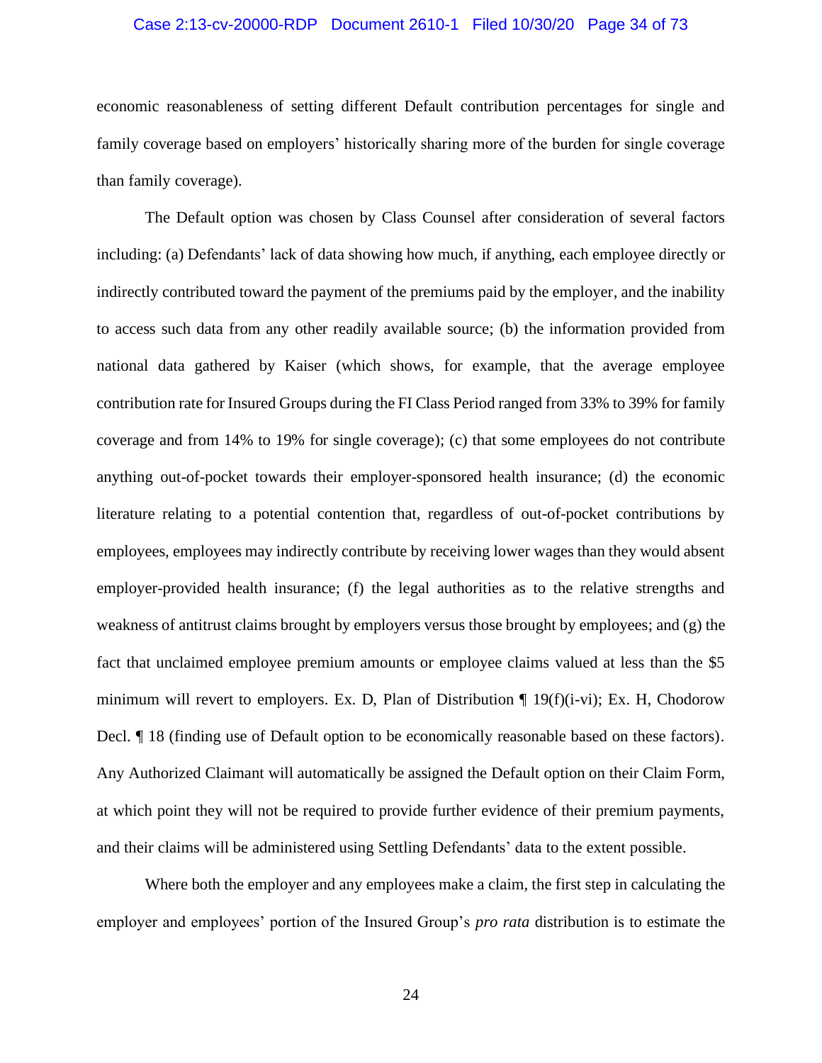## Case 2:13-cv-20000-RDP Document 2610-1 Filed 10/30/20 Page 34 of 73

economic reasonableness of setting different Default contribution percentages for single and family coverage based on employers' historically sharing more of the burden for single coverage than family coverage).

The Default option was chosen by Class Counsel after consideration of several factors including: (a) Defendants' lack of data showing how much, if anything, each employee directly or indirectly contributed toward the payment of the premiums paid by the employer, and the inability to access such data from any other readily available source; (b) the information provided from national data gathered by Kaiser (which shows, for example, that the average employee contribution rate for Insured Groups during the FI Class Period ranged from 33% to 39% for family coverage and from 14% to 19% for single coverage); (c) that some employees do not contribute anything out-of-pocket towards their employer-sponsored health insurance; (d) the economic literature relating to a potential contention that, regardless of out-of-pocket contributions by employees, employees may indirectly contribute by receiving lower wages than they would absent employer-provided health insurance; (f) the legal authorities as to the relative strengths and weakness of antitrust claims brought by employers versus those brought by employees; and (g) the fact that unclaimed employee premium amounts or employee claims valued at less than the \$5 minimum will revert to employers. Ex. D, Plan of Distribution  $\P$  19(f)(i-vi); Ex. H, Chodorow Decl. ¶ 18 (finding use of Default option to be economically reasonable based on these factors). Any Authorized Claimant will automatically be assigned the Default option on their Claim Form, at which point they will not be required to provide further evidence of their premium payments, and their claims will be administered using Settling Defendants' data to the extent possible.

Where both the employer and any employees make a claim, the first step in calculating the employer and employees' portion of the Insured Group's *pro rata* distribution is to estimate the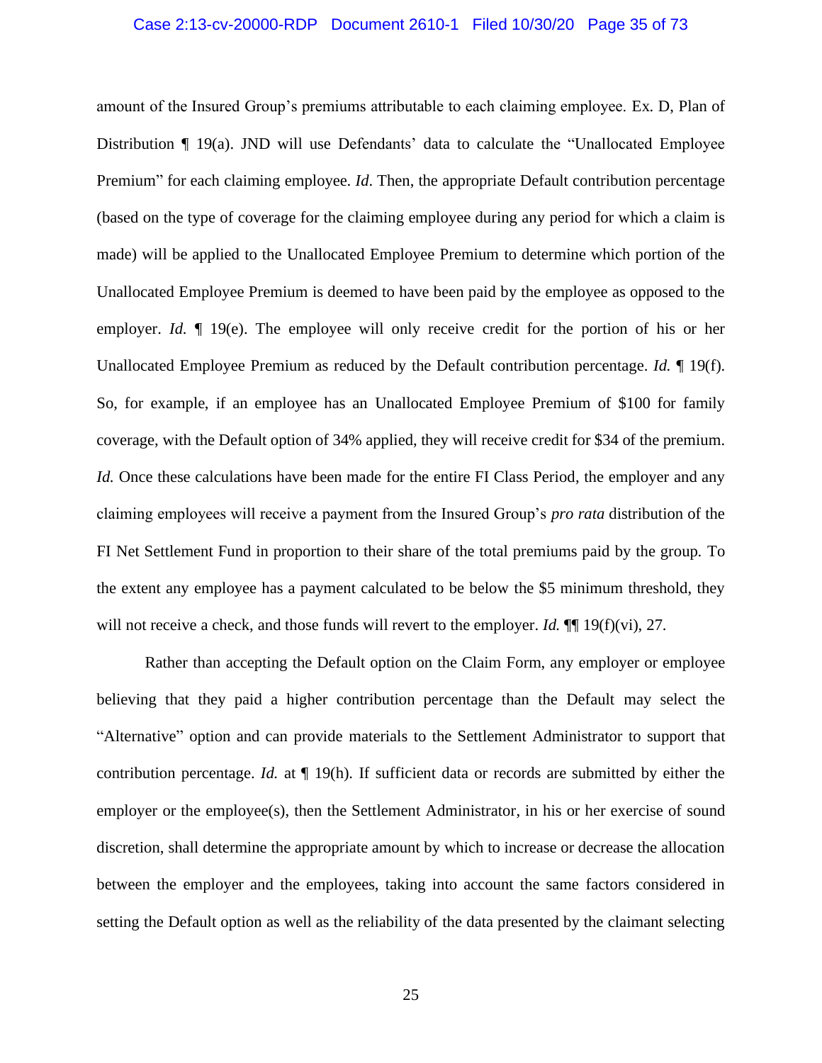## Case 2:13-cv-20000-RDP Document 2610-1 Filed 10/30/20 Page 35 of 73

amount of the Insured Group's premiums attributable to each claiming employee. Ex. D, Plan of Distribution ¶ 19(a). JND will use Defendants' data to calculate the "Unallocated Employee Premium" for each claiming employee. *Id*. Then, the appropriate Default contribution percentage (based on the type of coverage for the claiming employee during any period for which a claim is made) will be applied to the Unallocated Employee Premium to determine which portion of the Unallocated Employee Premium is deemed to have been paid by the employee as opposed to the employer. *Id.*  $\llbracket$  19(e). The employee will only receive credit for the portion of his or her Unallocated Employee Premium as reduced by the Default contribution percentage. *Id.* ¶ 19(f). So, for example, if an employee has an Unallocated Employee Premium of \$100 for family coverage, with the Default option of 34% applied, they will receive credit for \$34 of the premium. *Id.* Once these calculations have been made for the entire FI Class Period, the employer and any claiming employees will receive a payment from the Insured Group's *pro rata* distribution of the FI Net Settlement Fund in proportion to their share of the total premiums paid by the group. To the extent any employee has a payment calculated to be below the \$5 minimum threshold, they will not receive a check, and those funds will revert to the employer. *Id.*  $\P$  19(f)(vi), 27.

Rather than accepting the Default option on the Claim Form, any employer or employee believing that they paid a higher contribution percentage than the Default may select the "Alternative" option and can provide materials to the Settlement Administrator to support that contribution percentage. *Id.* at  $\P$  19(h). If sufficient data or records are submitted by either the employer or the employee(s), then the Settlement Administrator, in his or her exercise of sound discretion, shall determine the appropriate amount by which to increase or decrease the allocation between the employer and the employees, taking into account the same factors considered in setting the Default option as well as the reliability of the data presented by the claimant selecting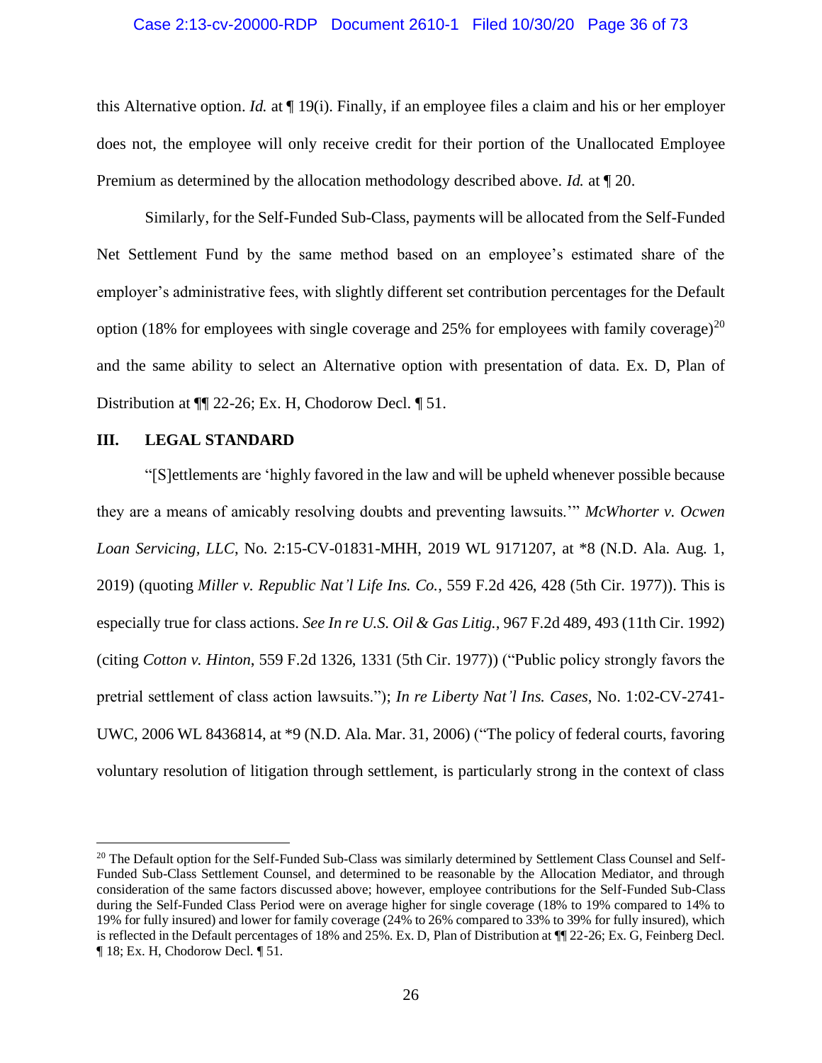## Case 2:13-cv-20000-RDP Document 2610-1 Filed 10/30/20 Page 36 of 73

this Alternative option. *Id.* at ¶ 19(i). Finally, if an employee files a claim and his or her employer does not, the employee will only receive credit for their portion of the Unallocated Employee Premium as determined by the allocation methodology described above. *Id.* at ¶ 20.

Similarly, for the Self-Funded Sub-Class, payments will be allocated from the Self-Funded Net Settlement Fund by the same method based on an employee's estimated share of the employer's administrative fees, with slightly different set contribution percentages for the Default option (18% for employees with single coverage and 25% for employees with family coverage)<sup>20</sup> and the same ability to select an Alternative option with presentation of data. Ex. D, Plan of Distribution at ¶¶ 22-26; Ex. H, Chodorow Decl. ¶ 51.

## <span id="page-35-0"></span>**III. LEGAL STANDARD**

"[S]ettlements are 'highly favored in the law and will be upheld whenever possible because they are a means of amicably resolving doubts and preventing lawsuits.'" *McWhorter v. Ocwen Loan Servicing, LLC*, No. 2:15-CV-01831-MHH, 2019 WL 9171207, at \*8 (N.D. Ala. Aug. 1, 2019) (quoting *Miller v. Republic Nat'l Life Ins. Co.*, 559 F.2d 426, 428 (5th Cir. 1977)). This is especially true for class actions. *See In re U.S. Oil & Gas Litig.*, 967 F.2d 489, 493 (11th Cir. 1992) (citing *Cotton v. Hinton*, 559 F.2d 1326, 1331 (5th Cir. 1977)) ("Public policy strongly favors the pretrial settlement of class action lawsuits."); *In re Liberty Nat'l Ins. Cases*, No. 1:02-CV-2741- UWC, 2006 WL 8436814, at \*9 (N.D. Ala. Mar. 31, 2006) ("The policy of federal courts, favoring voluntary resolution of litigation through settlement, is particularly strong in the context of class

<sup>&</sup>lt;sup>20</sup> The Default option for the Self-Funded Sub-Class was similarly determined by Settlement Class Counsel and Self-Funded Sub-Class Settlement Counsel, and determined to be reasonable by the Allocation Mediator, and through consideration of the same factors discussed above; however, employee contributions for the Self-Funded Sub-Class during the Self-Funded Class Period were on average higher for single coverage (18% to 19% compared to 14% to 19% for fully insured) and lower for family coverage (24% to 26% compared to 33% to 39% for fully insured), which is reflected in the Default percentages of 18% and 25%. Ex. D, Plan of Distribution at ¶¶ 22-26; Ex. G, Feinberg Decl. ¶ 18; Ex. H, Chodorow Decl. ¶ 51.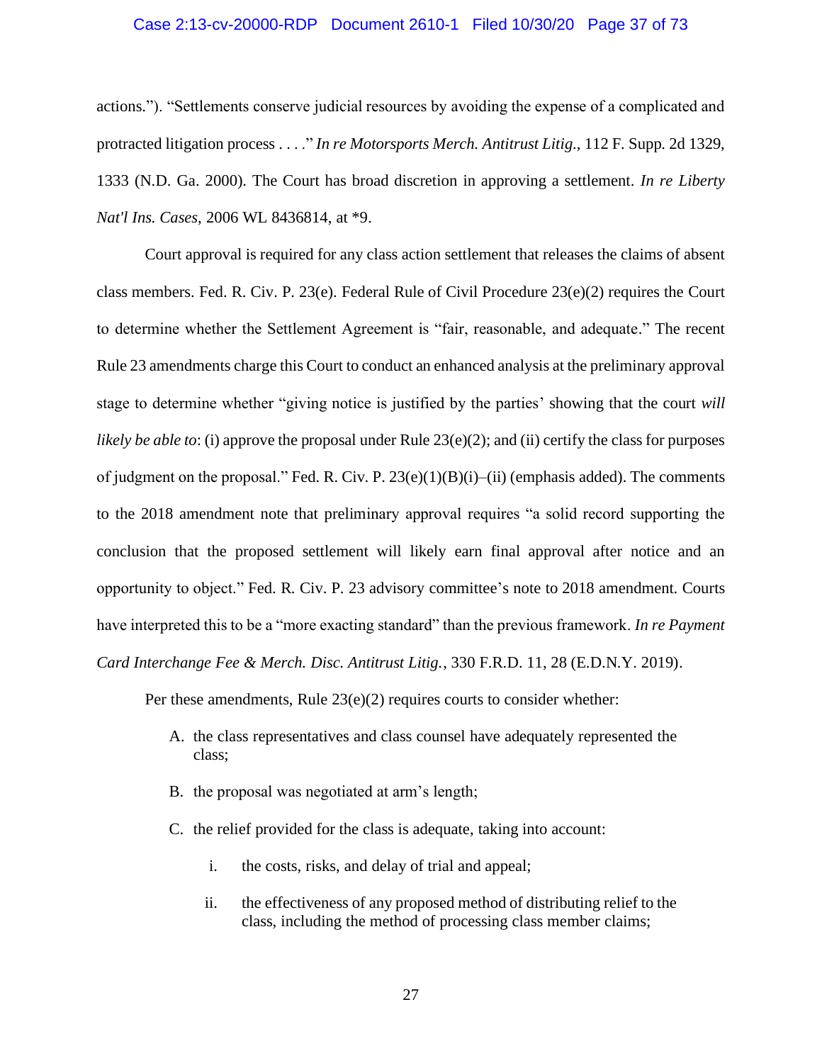#### Case 2:13-cv-20000-RDP Document 2610-1 Filed 10/30/20 Page 37 of 73

actions."). "Settlements conserve judicial resources by avoiding the expense of a complicated and protracted litigation process . . . ." *In re Motorsports Merch. Antitrust Litig.*, 112 F. Supp. 2d 1329, 1333 (N.D. Ga. 2000). The Court has broad discretion in approving a settlement. *In re Liberty Nat'l Ins. Cases*, 2006 WL 8436814, at \*9.

Court approval is required for any class action settlement that releases the claims of absent class members. Fed. R. Civ. P. 23(e). Federal Rule of Civil Procedure 23(e)(2) requires the Court to determine whether the Settlement Agreement is "fair, reasonable, and adequate." The recent Rule 23 amendments charge this Court to conduct an enhanced analysis at the preliminary approval stage to determine whether "giving notice is justified by the parties' showing that the court *will likely be able to*: (i) approve the proposal under Rule 23(e)(2); and (ii) certify the class for purposes of judgment on the proposal." Fed. R. Civ. P. 23(e)(1)(B)(i)–(ii) (emphasis added). The comments to the 2018 amendment note that preliminary approval requires "a solid record supporting the conclusion that the proposed settlement will likely earn final approval after notice and an opportunity to object." Fed. R. Civ. P. 23 advisory committee's note to 2018 amendment. Courts have interpreted this to be a "more exacting standard" than the previous framework. *In re Payment Card Interchange Fee & Merch. Disc. Antitrust Litig.*, 330 F.R.D. 11, 28 (E.D.N.Y. 2019).

Per these amendments, Rule 23(e)(2) requires courts to consider whether:

- A. the class representatives and class counsel have adequately represented the class;
- B. the proposal was negotiated at arm's length;
- C. the relief provided for the class is adequate, taking into account:
	- i. the costs, risks, and delay of trial and appeal;
	- ii. the effectiveness of any proposed method of distributing relief to the class, including the method of processing class member claims;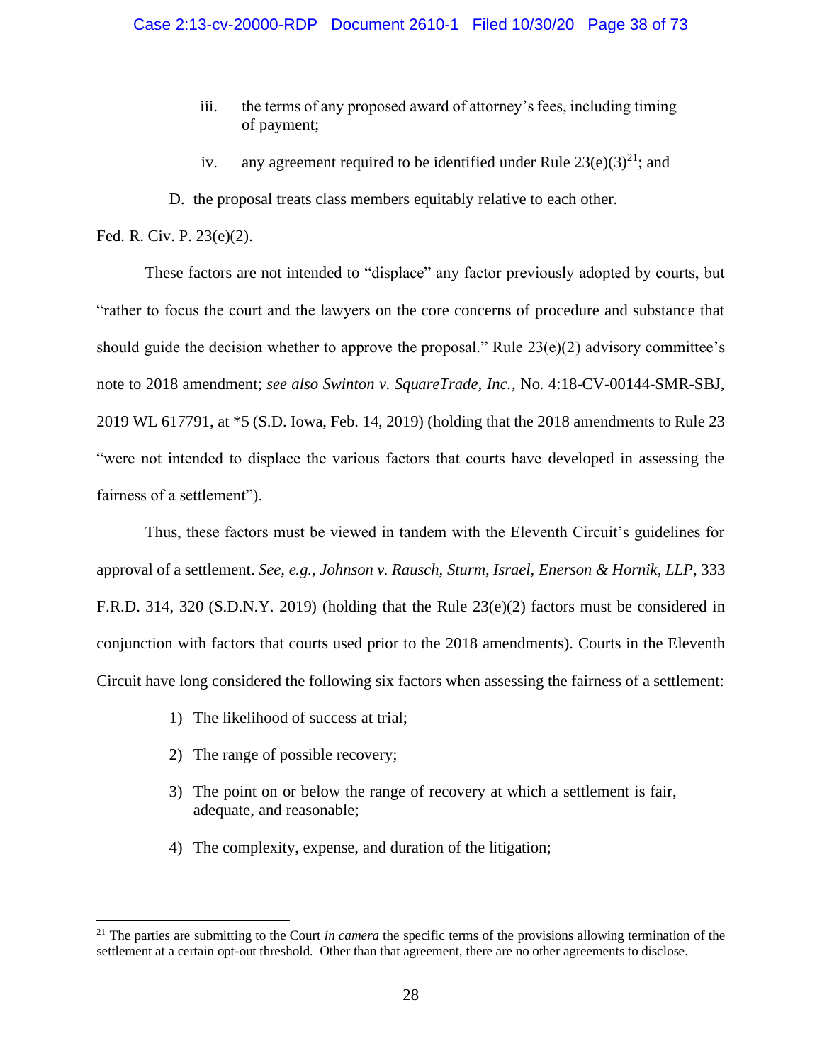- iii. the terms of any proposed award of attorney's fees, including timing of payment;
- iv. any agreement required to be identified under Rule  $23(e)(3)^{21}$ ; and
- D. the proposal treats class members equitably relative to each other.

Fed. R. Civ. P. 23(e)(2).

These factors are not intended to "displace" any factor previously adopted by courts, but "rather to focus the court and the lawyers on the core concerns of procedure and substance that should guide the decision whether to approve the proposal." Rule  $23(e)(2)$  advisory committee's note to 2018 amendment; *see also Swinton v. SquareTrade, Inc.*, No. 4:18-CV-00144-SMR-SBJ, 2019 WL 617791, at \*5 (S.D. Iowa, Feb. 14, 2019) (holding that the 2018 amendments to Rule 23 "were not intended to displace the various factors that courts have developed in assessing the fairness of a settlement").

Thus, these factors must be viewed in tandem with the Eleventh Circuit's guidelines for approval of a settlement. *See, e.g., Johnson v. Rausch, Sturm, Israel, Enerson & Hornik, LLP*, 333 F.R.D. 314, 320 (S.D.N.Y. 2019) (holding that the Rule 23(e)(2) factors must be considered in conjunction with factors that courts used prior to the 2018 amendments). Courts in the Eleventh Circuit have long considered the following six factors when assessing the fairness of a settlement:

- 1) The likelihood of success at trial;
- 2) The range of possible recovery;
- 3) The point on or below the range of recovery at which a settlement is fair, adequate, and reasonable;
- 4) The complexity, expense, and duration of the litigation;

<sup>&</sup>lt;sup>21</sup> The parties are submitting to the Court *in camera* the specific terms of the provisions allowing termination of the settlement at a certain opt-out threshold. Other than that agreement, there are no other agreements to disclose.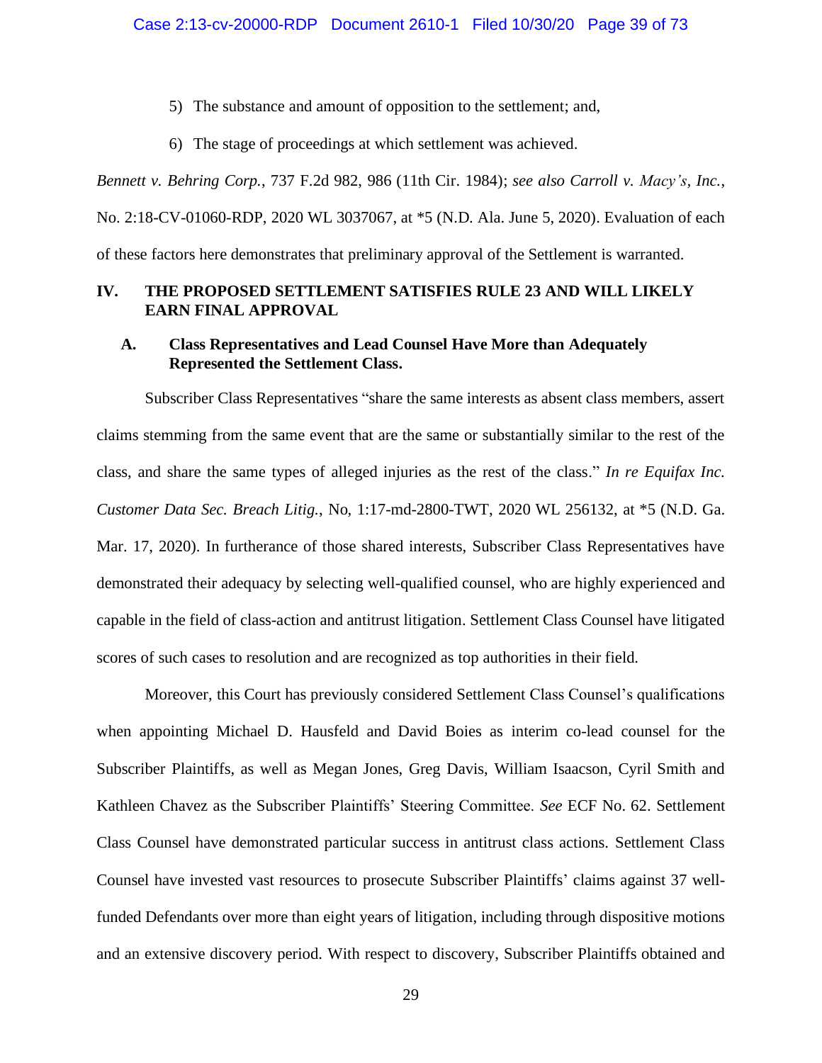5) The substance and amount of opposition to the settlement; and,

6) The stage of proceedings at which settlement was achieved.

*Bennett v. Behring Corp.*, 737 F.2d 982, 986 (11th Cir. 1984); *see also Carroll v. Macy's, Inc.*,

No. 2:18-CV-01060-RDP, 2020 WL 3037067, at \*5 (N.D. Ala. June 5, 2020). Evaluation of each of these factors here demonstrates that preliminary approval of the Settlement is warranted.

## **IV. THE PROPOSED SETTLEMENT SATISFIES RULE 23 AND WILL LIKELY EARN FINAL APPROVAL**

## **A. Class Representatives and Lead Counsel Have More than Adequately Represented the Settlement Class.**

Subscriber Class Representatives "share the same interests as absent class members, assert claims stemming from the same event that are the same or substantially similar to the rest of the class, and share the same types of alleged injuries as the rest of the class." *In re Equifax Inc. Customer Data Sec. Breach Litig.*, No, 1:17-md-2800-TWT, 2020 WL 256132, at \*5 (N.D. Ga. Mar. 17, 2020). In furtherance of those shared interests, Subscriber Class Representatives have demonstrated their adequacy by selecting well-qualified counsel, who are highly experienced and capable in the field of class-action and antitrust litigation. Settlement Class Counsel have litigated scores of such cases to resolution and are recognized as top authorities in their field.

Moreover, this Court has previously considered Settlement Class Counsel's qualifications when appointing Michael D. Hausfeld and David Boies as interim co-lead counsel for the Subscriber Plaintiffs, as well as Megan Jones, Greg Davis, William Isaacson, Cyril Smith and Kathleen Chavez as the Subscriber Plaintiffs' Steering Committee. *See* ECF No. 62. Settlement Class Counsel have demonstrated particular success in antitrust class actions. Settlement Class Counsel have invested vast resources to prosecute Subscriber Plaintiffs' claims against 37 wellfunded Defendants over more than eight years of litigation, including through dispositive motions and an extensive discovery period. With respect to discovery, Subscriber Plaintiffs obtained and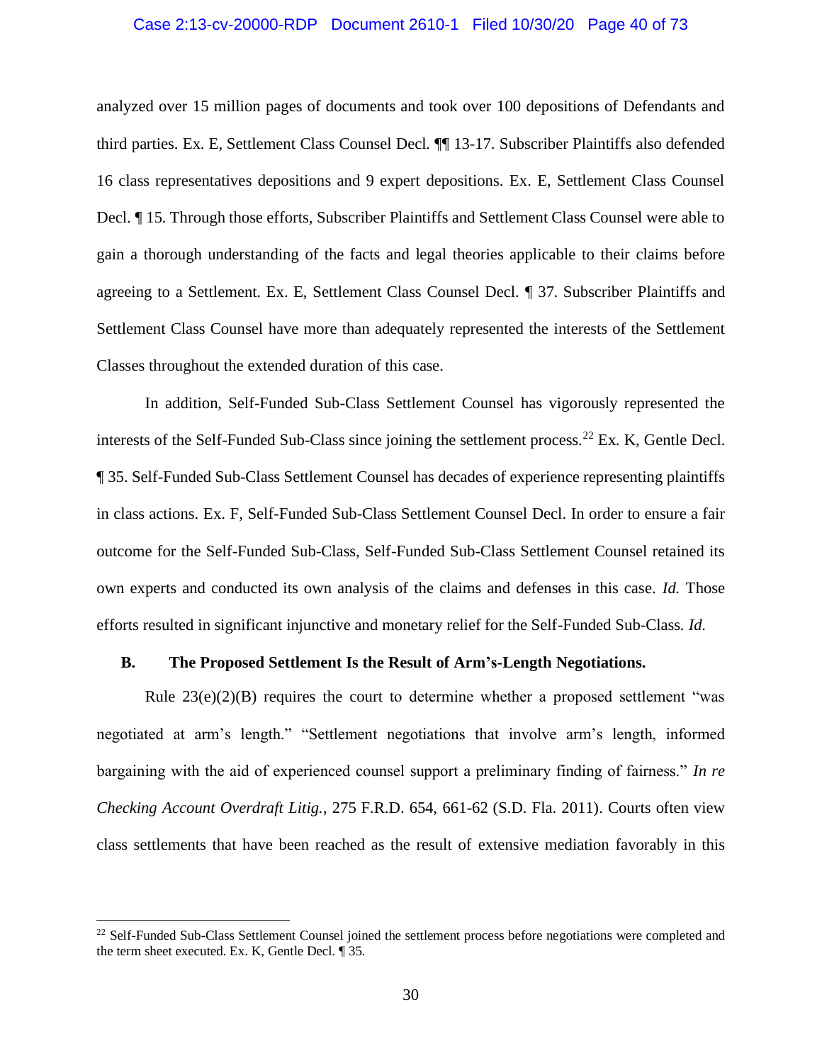#### Case 2:13-cv-20000-RDP Document 2610-1 Filed 10/30/20 Page 40 of 73

analyzed over 15 million pages of documents and took over 100 depositions of Defendants and third parties. Ex. E, Settlement Class Counsel Decl. ¶¶ 13-17. Subscriber Plaintiffs also defended 16 class representatives depositions and 9 expert depositions. Ex. E, Settlement Class Counsel Decl. ¶ 15. Through those efforts, Subscriber Plaintiffs and Settlement Class Counsel were able to gain a thorough understanding of the facts and legal theories applicable to their claims before agreeing to a Settlement. Ex. E, Settlement Class Counsel Decl. ¶ 37. Subscriber Plaintiffs and Settlement Class Counsel have more than adequately represented the interests of the Settlement Classes throughout the extended duration of this case.

In addition, Self-Funded Sub-Class Settlement Counsel has vigorously represented the interests of the Self-Funded Sub-Class since joining the settlement process.<sup>22</sup> Ex. K, Gentle Decl. ¶ 35. Self-Funded Sub-Class Settlement Counsel has decades of experience representing plaintiffs in class actions. Ex. F, Self-Funded Sub-Class Settlement Counsel Decl. In order to ensure a fair outcome for the Self-Funded Sub-Class, Self-Funded Sub-Class Settlement Counsel retained its own experts and conducted its own analysis of the claims and defenses in this case. *Id.* Those efforts resulted in significant injunctive and monetary relief for the Self-Funded Sub-Class. *Id.* 

#### **B. The Proposed Settlement Is the Result of Arm's-Length Negotiations.**

Rule  $23(e)(2)(B)$  requires the court to determine whether a proposed settlement "was negotiated at arm's length." "Settlement negotiations that involve arm's length, informed bargaining with the aid of experienced counsel support a preliminary finding of fairness." *In re Checking Account Overdraft Litig.*, 275 F.R.D. 654, 661-62 (S.D. Fla. 2011). Courts often view class settlements that have been reached as the result of extensive mediation favorably in this

<sup>&</sup>lt;sup>22</sup> Self-Funded Sub-Class Settlement Counsel joined the settlement process before negotiations were completed and the term sheet executed. Ex. K, Gentle Decl. ¶ 35.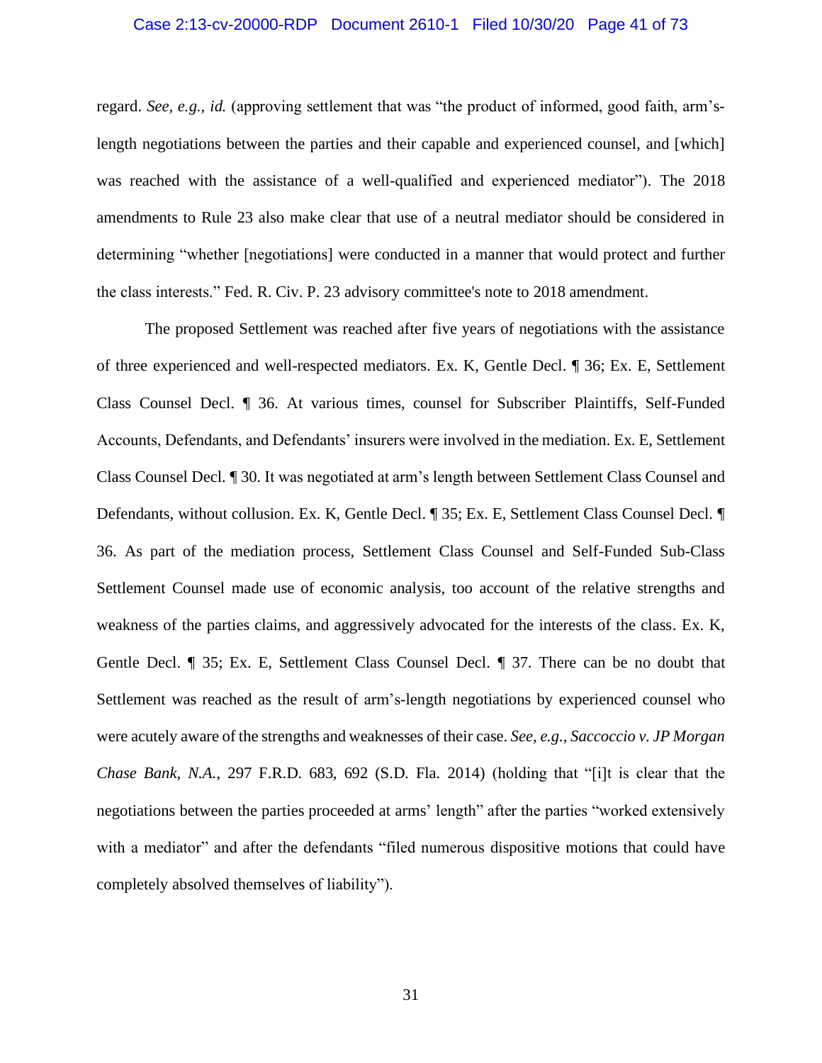#### Case 2:13-cv-20000-RDP Document 2610-1 Filed 10/30/20 Page 41 of 73

regard. *See, e.g., id.* (approving settlement that was "the product of informed, good faith, arm'slength negotiations between the parties and their capable and experienced counsel, and [which] was reached with the assistance of a well-qualified and experienced mediator"). The 2018 amendments to Rule 23 also make clear that use of a neutral mediator should be considered in determining "whether [negotiations] were conducted in a manner that would protect and further the class interests." Fed. R. Civ. P. 23 advisory committee's note to 2018 amendment.

The proposed Settlement was reached after five years of negotiations with the assistance of three experienced and well-respected mediators. Ex. K, Gentle Decl. ¶ 36; Ex. E, Settlement Class Counsel Decl. ¶ 36. At various times, counsel for Subscriber Plaintiffs, Self-Funded Accounts, Defendants, and Defendants' insurers were involved in the mediation. Ex. E, Settlement Class Counsel Decl. ¶ 30. It was negotiated at arm's length between Settlement Class Counsel and Defendants, without collusion. Ex. K, Gentle Decl. ¶ 35; Ex. E, Settlement Class Counsel Decl. ¶ 36. As part of the mediation process, Settlement Class Counsel and Self-Funded Sub-Class Settlement Counsel made use of economic analysis, too account of the relative strengths and weakness of the parties claims, and aggressively advocated for the interests of the class. Ex. K, Gentle Decl. ¶ 35; Ex. E, Settlement Class Counsel Decl. ¶ 37. There can be no doubt that Settlement was reached as the result of arm's-length negotiations by experienced counsel who were acutely aware of the strengths and weaknesses of their case. *See, e.g., Saccoccio v. JP Morgan Chase Bank, N.A.*, 297 F.R.D. 683, 692 (S.D. Fla. 2014) (holding that "[i]t is clear that the negotiations between the parties proceeded at arms' length" after the parties "worked extensively with a mediator" and after the defendants "filed numerous dispositive motions that could have completely absolved themselves of liability").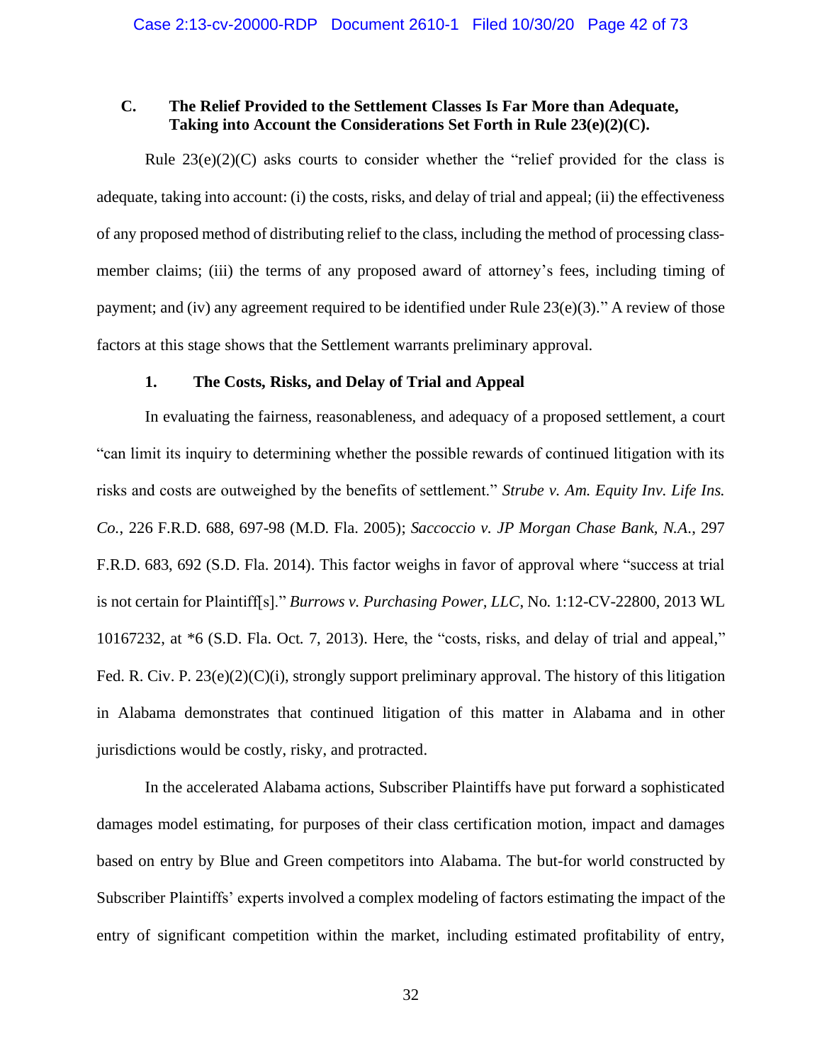## **C. The Relief Provided to the Settlement Classes Is Far More than Adequate, Taking into Account the Considerations Set Forth in Rule 23(e)(2)(C).**

Rule  $23(e)(2)(C)$  asks courts to consider whether the "relief provided for the class is adequate, taking into account: (i) the costs, risks, and delay of trial and appeal; (ii) the effectiveness of any proposed method of distributing relief to the class, including the method of processing classmember claims; (iii) the terms of any proposed award of attorney's fees, including timing of payment; and (iv) any agreement required to be identified under Rule  $23(e)(3)$ ." A review of those factors at this stage shows that the Settlement warrants preliminary approval.

## **1. The Costs, Risks, and Delay of Trial and Appeal**

In evaluating the fairness, reasonableness, and adequacy of a proposed settlement, a court "can limit its inquiry to determining whether the possible rewards of continued litigation with its risks and costs are outweighed by the benefits of settlement." *Strube v. Am. Equity Inv. Life Ins. Co.*, 226 F.R.D. 688, 697-98 (M.D. Fla. 2005); *Saccoccio v. JP Morgan Chase Bank, N.A*., 297 F.R.D. 683, 692 (S.D. Fla. 2014). This factor weighs in favor of approval where "success at trial is not certain for Plaintiff[s]." *Burrows v. Purchasing Power, LLC*, No. 1:12-CV-22800, 2013 WL 10167232, at \*6 (S.D. Fla. Oct. 7, 2013). Here, the "costs, risks, and delay of trial and appeal," Fed. R. Civ. P.  $23(e)(2)(C)(i)$ , strongly support preliminary approval. The history of this litigation in Alabama demonstrates that continued litigation of this matter in Alabama and in other jurisdictions would be costly, risky, and protracted.

In the accelerated Alabama actions, Subscriber Plaintiffs have put forward a sophisticated damages model estimating, for purposes of their class certification motion, impact and damages based on entry by Blue and Green competitors into Alabama. The but-for world constructed by Subscriber Plaintiffs' experts involved a complex modeling of factors estimating the impact of the entry of significant competition within the market, including estimated profitability of entry,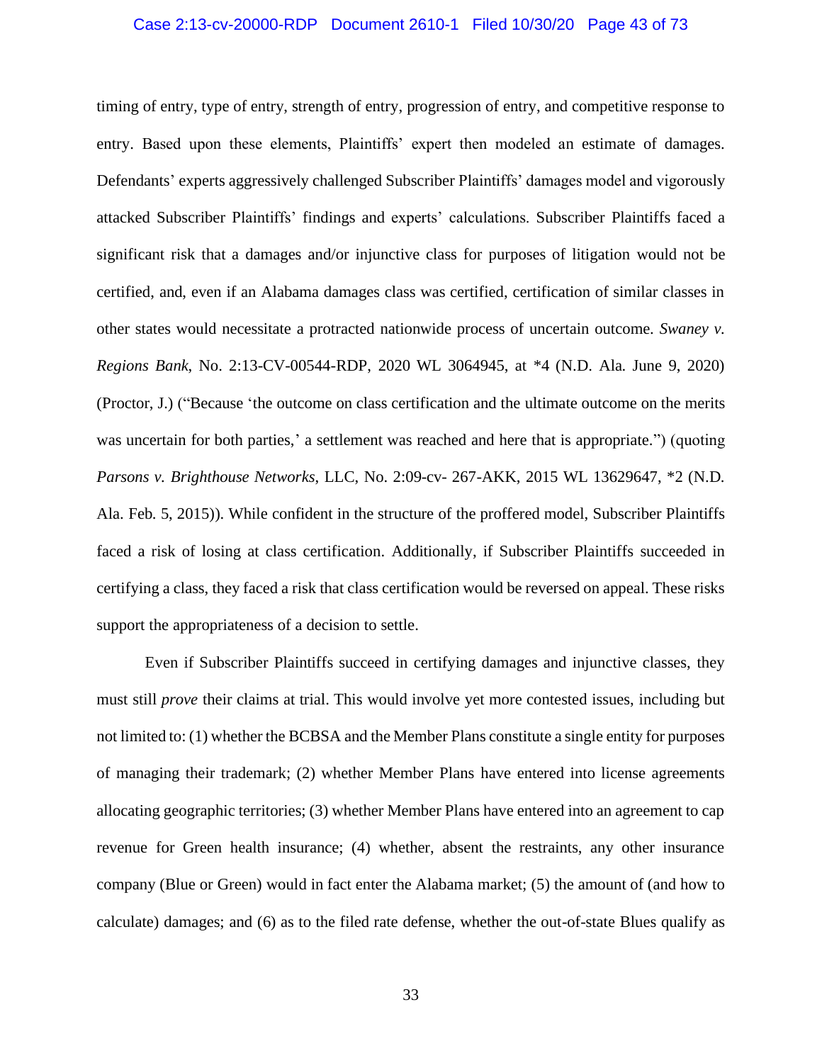#### Case 2:13-cv-20000-RDP Document 2610-1 Filed 10/30/20 Page 43 of 73

timing of entry, type of entry, strength of entry, progression of entry, and competitive response to entry. Based upon these elements, Plaintiffs' expert then modeled an estimate of damages. Defendants' experts aggressively challenged Subscriber Plaintiffs' damages model and vigorously attacked Subscriber Plaintiffs' findings and experts' calculations. Subscriber Plaintiffs faced a significant risk that a damages and/or injunctive class for purposes of litigation would not be certified, and, even if an Alabama damages class was certified, certification of similar classes in other states would necessitate a protracted nationwide process of uncertain outcome. *Swaney v. Regions Bank*, No. 2:13-CV-00544-RDP, 2020 WL 3064945, at \*4 (N.D. Ala. June 9, 2020) (Proctor, J.) ("Because 'the outcome on class certification and the ultimate outcome on the merits was uncertain for both parties,' a settlement was reached and here that is appropriate.") (quoting *Parsons v. Brighthouse Networks*, LLC, No. 2:09-cv- 267-AKK, 2015 WL 13629647, \*2 (N.D. Ala. Feb. 5, 2015)). While confident in the structure of the proffered model, Subscriber Plaintiffs faced a risk of losing at class certification. Additionally, if Subscriber Plaintiffs succeeded in certifying a class, they faced a risk that class certification would be reversed on appeal. These risks support the appropriateness of a decision to settle.

Even if Subscriber Plaintiffs succeed in certifying damages and injunctive classes, they must still *prove* their claims at trial. This would involve yet more contested issues, including but not limited to: (1) whether the BCBSA and the Member Plans constitute a single entity for purposes of managing their trademark; (2) whether Member Plans have entered into license agreements allocating geographic territories; (3) whether Member Plans have entered into an agreement to cap revenue for Green health insurance; (4) whether, absent the restraints, any other insurance company (Blue or Green) would in fact enter the Alabama market; (5) the amount of (and how to calculate) damages; and (6) as to the filed rate defense, whether the out-of-state Blues qualify as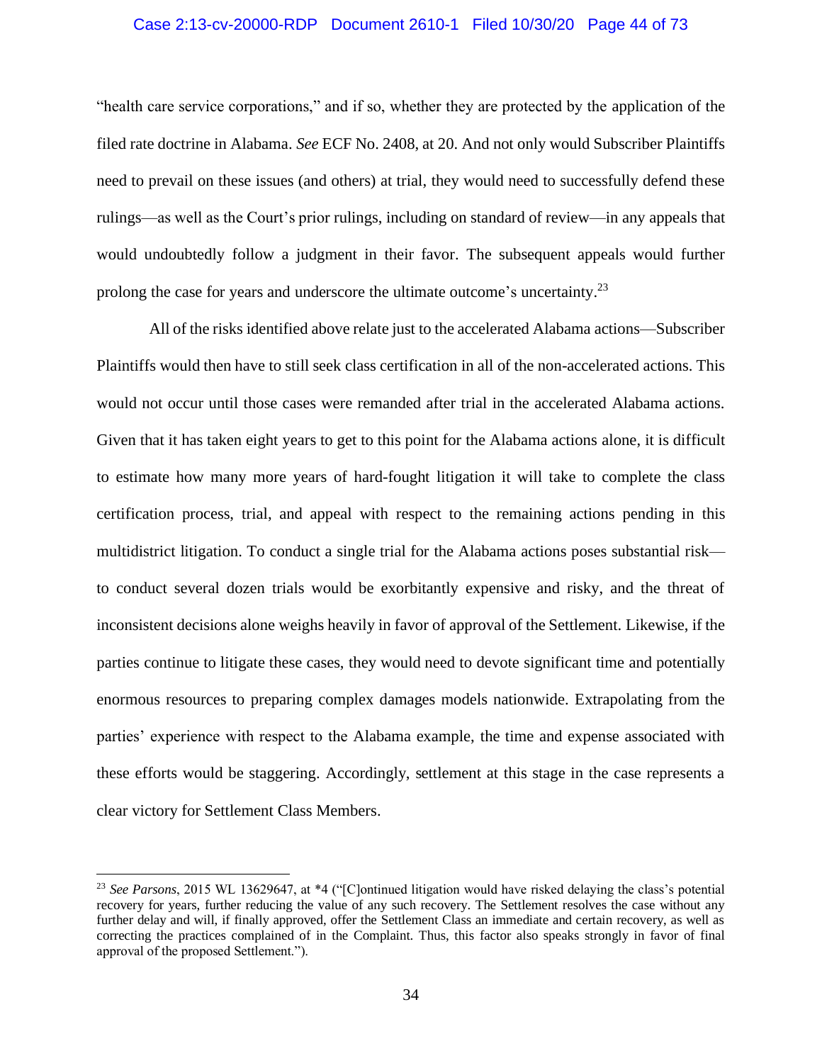#### Case 2:13-cv-20000-RDP Document 2610-1 Filed 10/30/20 Page 44 of 73

"health care service corporations," and if so, whether they are protected by the application of the filed rate doctrine in Alabama. *See* ECF No. 2408, at 20. And not only would Subscriber Plaintiffs need to prevail on these issues (and others) at trial, they would need to successfully defend these rulings—as well as the Court's prior rulings, including on standard of review—in any appeals that would undoubtedly follow a judgment in their favor. The subsequent appeals would further prolong the case for years and underscore the ultimate outcome's uncertainty.<sup>23</sup>

All of the risks identified above relate just to the accelerated Alabama actions—Subscriber Plaintiffs would then have to still seek class certification in all of the non-accelerated actions. This would not occur until those cases were remanded after trial in the accelerated Alabama actions. Given that it has taken eight years to get to this point for the Alabama actions alone, it is difficult to estimate how many more years of hard-fought litigation it will take to complete the class certification process, trial, and appeal with respect to the remaining actions pending in this multidistrict litigation. To conduct a single trial for the Alabama actions poses substantial risk to conduct several dozen trials would be exorbitantly expensive and risky, and the threat of inconsistent decisions alone weighs heavily in favor of approval of the Settlement. Likewise, if the parties continue to litigate these cases, they would need to devote significant time and potentially enormous resources to preparing complex damages models nationwide. Extrapolating from the parties' experience with respect to the Alabama example, the time and expense associated with these efforts would be staggering. Accordingly, settlement at this stage in the case represents a clear victory for Settlement Class Members.

<sup>&</sup>lt;sup>23</sup> See Parsons, 2015 WL 13629647, at \*4 ("[C]ontinued litigation would have risked delaying the class's potential recovery for years, further reducing the value of any such recovery. The Settlement resolves the case without any further delay and will, if finally approved, offer the Settlement Class an immediate and certain recovery, as well as correcting the practices complained of in the Complaint. Thus, this factor also speaks strongly in favor of final approval of the proposed Settlement.").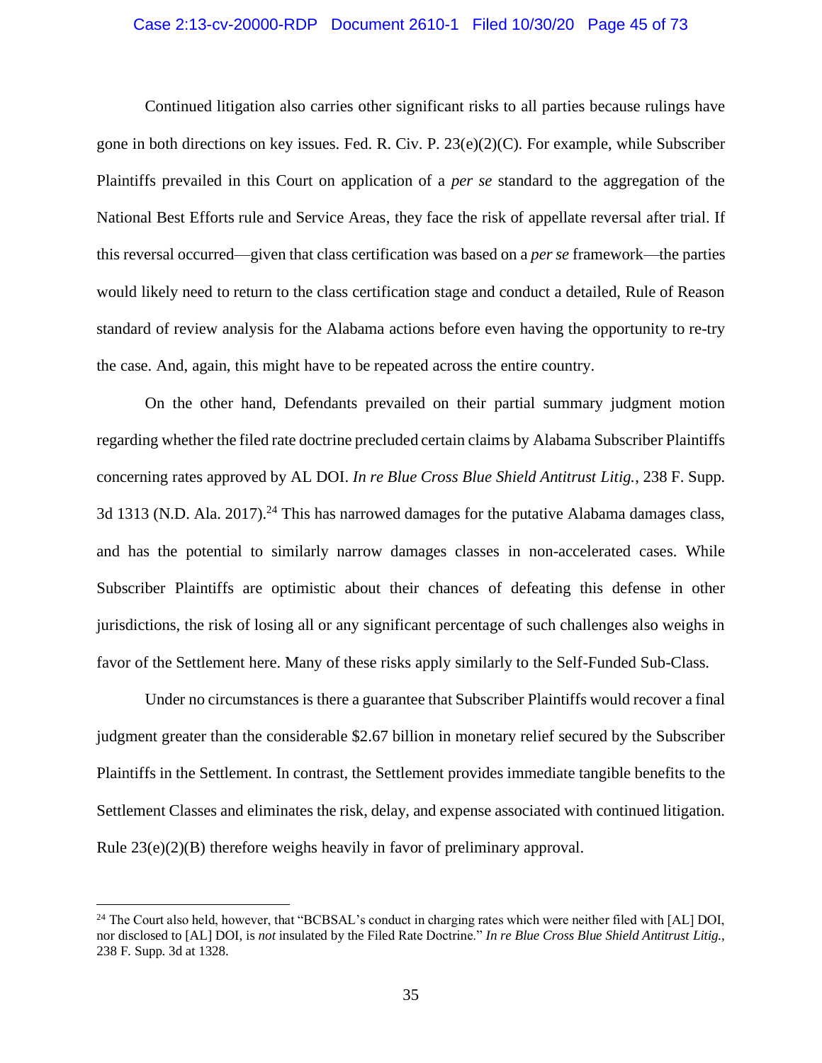#### Case 2:13-cv-20000-RDP Document 2610-1 Filed 10/30/20 Page 45 of 73

Continued litigation also carries other significant risks to all parties because rulings have gone in both directions on key issues. Fed. R. Civ. P. 23(e)(2)(C). For example, while Subscriber Plaintiffs prevailed in this Court on application of a *per se* standard to the aggregation of the National Best Efforts rule and Service Areas, they face the risk of appellate reversal after trial. If this reversal occurred—given that class certification was based on a *per se* framework—the parties would likely need to return to the class certification stage and conduct a detailed, Rule of Reason standard of review analysis for the Alabama actions before even having the opportunity to re-try the case. And, again, this might have to be repeated across the entire country.

On the other hand, Defendants prevailed on their partial summary judgment motion regarding whether the filed rate doctrine precluded certain claims by Alabama Subscriber Plaintiffs concerning rates approved by AL DOI. *In re Blue Cross Blue Shield Antitrust Litig.*, 238 F. Supp. 3d 1313 (N.D. Ala. 2017).<sup>24</sup> This has narrowed damages for the putative Alabama damages class, and has the potential to similarly narrow damages classes in non-accelerated cases. While Subscriber Plaintiffs are optimistic about their chances of defeating this defense in other jurisdictions, the risk of losing all or any significant percentage of such challenges also weighs in favor of the Settlement here. Many of these risks apply similarly to the Self-Funded Sub-Class.

Under no circumstances is there a guarantee that Subscriber Plaintiffs would recover a final judgment greater than the considerable \$2.67 billion in monetary relief secured by the Subscriber Plaintiffs in the Settlement. In contrast, the Settlement provides immediate tangible benefits to the Settlement Classes and eliminates the risk, delay, and expense associated with continued litigation. Rule 23(e)(2)(B) therefore weighs heavily in favor of preliminary approval.

<sup>&</sup>lt;sup>24</sup> The Court also held, however, that "BCBSAL's conduct in charging rates which were neither filed with [AL] DOI, nor disclosed to [AL] DOI, is *not* insulated by the Filed Rate Doctrine." *In re Blue Cross Blue Shield Antitrust Litig.*, 238 F. Supp. 3d at 1328.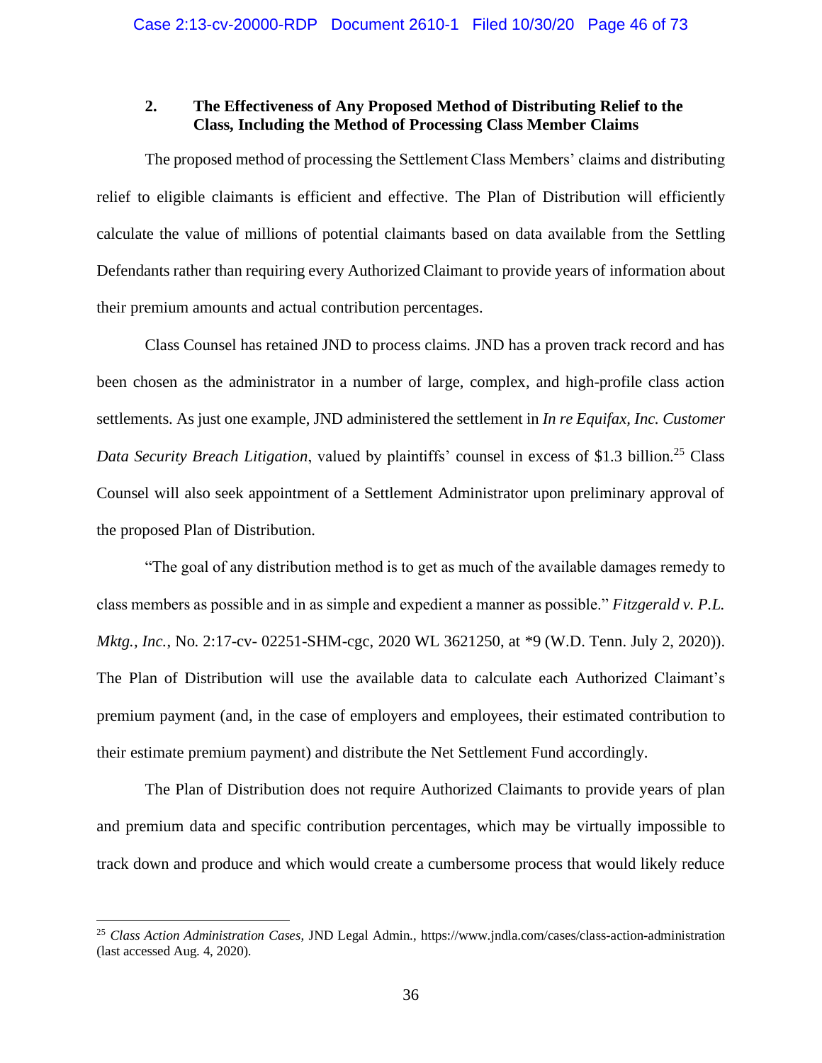## **2. The Effectiveness of Any Proposed Method of Distributing Relief to the Class, Including the Method of Processing Class Member Claims**

The proposed method of processing the Settlement Class Members' claims and distributing relief to eligible claimants is efficient and effective. The Plan of Distribution will efficiently calculate the value of millions of potential claimants based on data available from the Settling Defendants rather than requiring every Authorized Claimant to provide years of information about their premium amounts and actual contribution percentages.

Class Counsel has retained JND to process claims. JND has a proven track record and has been chosen as the administrator in a number of large, complex, and high-profile class action settlements. As just one example, JND administered the settlement in *In re Equifax, Inc. Customer Data Security Breach Litigation*, valued by plaintiffs' counsel in excess of \$1.3 billion.<sup>25</sup> Class Counsel will also seek appointment of a Settlement Administrator upon preliminary approval of the proposed Plan of Distribution.

"The goal of any distribution method is to get as much of the available damages remedy to class members as possible and in as simple and expedient a manner as possible." *Fitzgerald v. P.L. Mktg., Inc.*, No. 2:17-cv- 02251-SHM-cgc, 2020 WL 3621250, at \*9 (W.D. Tenn. July 2, 2020)). The Plan of Distribution will use the available data to calculate each Authorized Claimant's premium payment (and, in the case of employers and employees, their estimated contribution to their estimate premium payment) and distribute the Net Settlement Fund accordingly.

The Plan of Distribution does not require Authorized Claimants to provide years of plan and premium data and specific contribution percentages, which may be virtually impossible to track down and produce and which would create a cumbersome process that would likely reduce

<sup>25</sup> *Class Action Administration Cases*, JND Legal Admin., https://www.jndla.com/cases/class-action-administration (last accessed Aug. 4, 2020).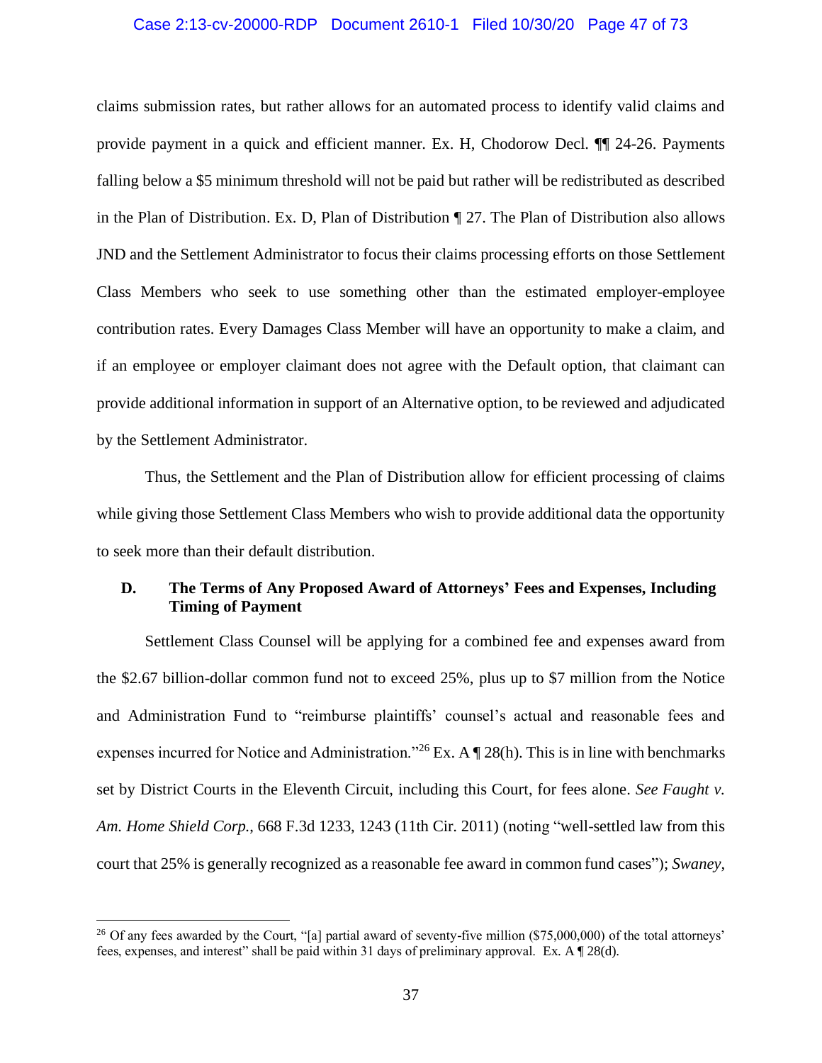#### Case 2:13-cv-20000-RDP Document 2610-1 Filed 10/30/20 Page 47 of 73

claims submission rates, but rather allows for an automated process to identify valid claims and provide payment in a quick and efficient manner. Ex. H, Chodorow Decl. ¶¶ 24-26. Payments falling below a \$5 minimum threshold will not be paid but rather will be redistributed as described in the Plan of Distribution. Ex. D, Plan of Distribution ¶ 27. The Plan of Distribution also allows JND and the Settlement Administrator to focus their claims processing efforts on those Settlement Class Members who seek to use something other than the estimated employer-employee contribution rates. Every Damages Class Member will have an opportunity to make a claim, and if an employee or employer claimant does not agree with the Default option, that claimant can provide additional information in support of an Alternative option, to be reviewed and adjudicated by the Settlement Administrator.

Thus, the Settlement and the Plan of Distribution allow for efficient processing of claims while giving those Settlement Class Members who wish to provide additional data the opportunity to seek more than their default distribution.

# **D. The Terms of Any Proposed Award of Attorneys' Fees and Expenses, Including Timing of Payment**

Settlement Class Counsel will be applying for a combined fee and expenses award from the \$2.67 billion-dollar common fund not to exceed 25%, plus up to \$7 million from the Notice and Administration Fund to "reimburse plaintiffs' counsel's actual and reasonable fees and expenses incurred for Notice and Administration."<sup>26</sup> Ex. A  $\P$  28(h). This is in line with benchmarks set by District Courts in the Eleventh Circuit, including this Court, for fees alone. *See Faught v. Am. Home Shield Corp.*, 668 F.3d 1233, 1243 (11th Cir. 2011) (noting "well-settled law from this court that 25% is generally recognized as a reasonable fee award in common fund cases"); *Swaney*,

<sup>&</sup>lt;sup>26</sup> Of any fees awarded by the Court, "[a] partial award of seventy-five million (\$75,000,000) of the total attorneys' fees, expenses, and interest" shall be paid within 31 days of preliminary approval. Ex. A ¶ 28(d).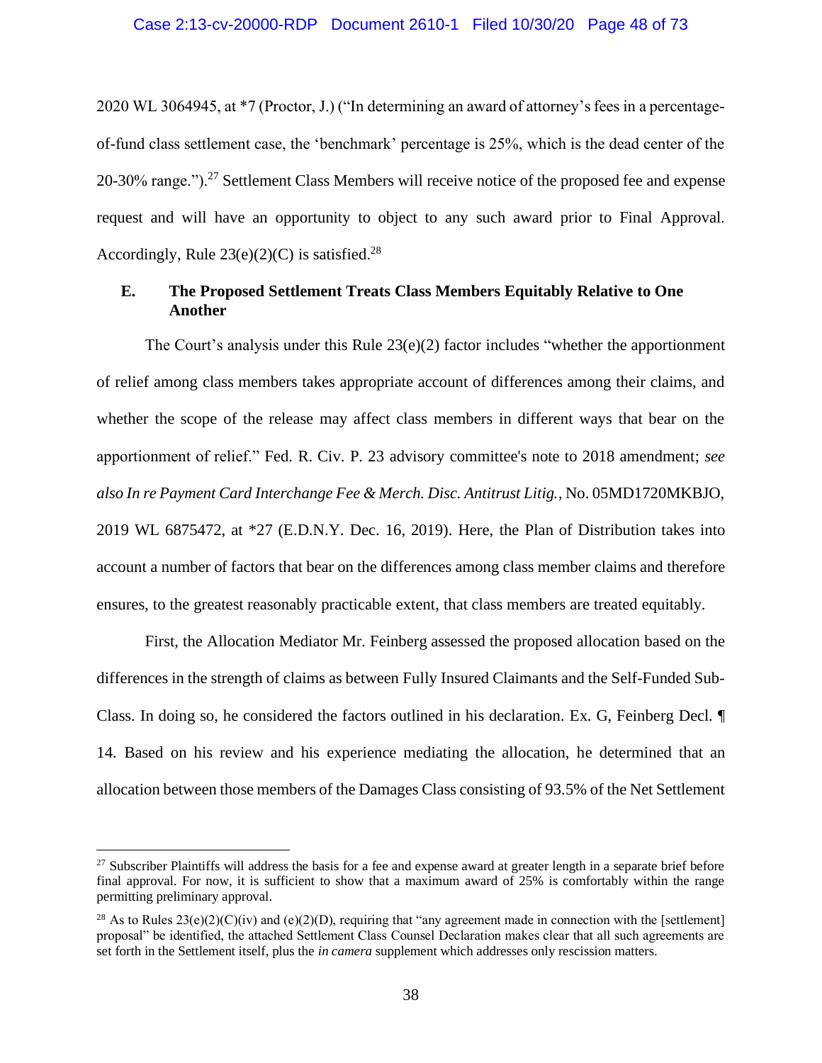2020 WL 3064945, at \*7 (Proctor, J.) ("In determining an award of attorney's fees in a percentageof-fund class settlement case, the 'benchmark' percentage is 25%, which is the dead center of the 20-30% range."). $^{27}$  Settlement Class Members will receive notice of the proposed fee and expense request and will have an opportunity to object to any such award prior to Final Approval. Accordingly, Rule  $23(e)(2)(C)$  is satisfied.<sup>28</sup>

# **E. The Proposed Settlement Treats Class Members Equitably Relative to One Another**

The Court's analysis under this Rule  $23(e)(2)$  factor includes "whether the apportionment of relief among class members takes appropriate account of differences among their claims, and whether the scope of the release may affect class members in different ways that bear on the apportionment of relief." Fed. R. Civ. P. 23 advisory committee's note to 2018 amendment; *see also In re Payment Card Interchange Fee & Merch. Disc. Antitrust Litig.*, No. 05MD1720MKBJO, 2019 WL 6875472, at \*27 (E.D.N.Y. Dec. 16, 2019). Here, the Plan of Distribution takes into account a number of factors that bear on the differences among class member claims and therefore ensures, to the greatest reasonably practicable extent, that class members are treated equitably.

First, the Allocation Mediator Mr. Feinberg assessed the proposed allocation based on the differences in the strength of claims as between Fully Insured Claimants and the Self-Funded Sub-Class. In doing so, he considered the factors outlined in his declaration. Ex. G, Feinberg Decl. ¶ 14. Based on his review and his experience mediating the allocation, he determined that an allocation between those members of the Damages Class consisting of 93.5% of the Net Settlement

<sup>&</sup>lt;sup>27</sup> Subscriber Plaintiffs will address the basis for a fee and expense award at greater length in a separate brief before final approval. For now, it is sufficient to show that a maximum award of 25% is comfortably within the range permitting preliminary approval.

<sup>&</sup>lt;sup>28</sup> As to Rules  $23(e)(2)(C)(iv)$  and  $(e)(2)(D)$ , requiring that "any agreement made in connection with the [settlement] proposal" be identified, the attached Settlement Class Counsel Declaration makes clear that all such agreements are set forth in the Settlement itself, plus the *in camera* supplement which addresses only rescission matters.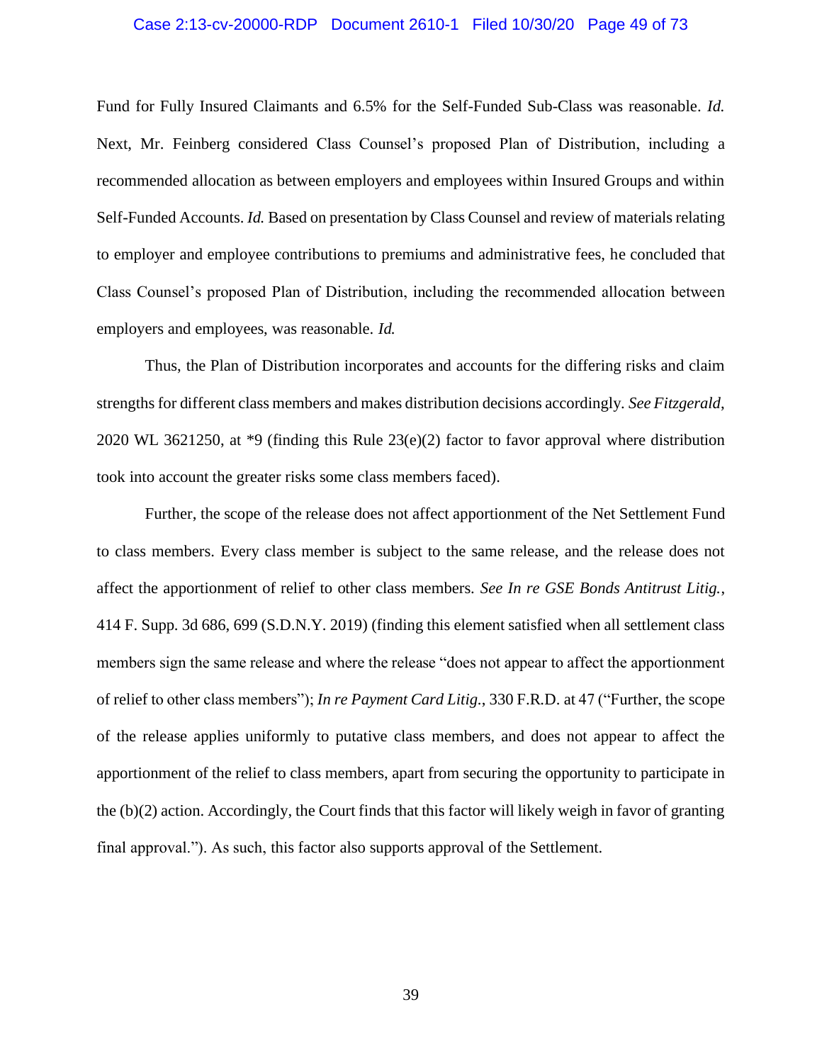#### Case 2:13-cv-20000-RDP Document 2610-1 Filed 10/30/20 Page 49 of 73

Fund for Fully Insured Claimants and 6.5% for the Self-Funded Sub-Class was reasonable. *Id.*  Next, Mr. Feinberg considered Class Counsel's proposed Plan of Distribution, including a recommended allocation as between employers and employees within Insured Groups and within Self-Funded Accounts. *Id.* Based on presentation by Class Counsel and review of materials relating to employer and employee contributions to premiums and administrative fees, he concluded that Class Counsel's proposed Plan of Distribution, including the recommended allocation between employers and employees, was reasonable. *Id.*

Thus, the Plan of Distribution incorporates and accounts for the differing risks and claim strengths for different class members and makes distribution decisions accordingly. *See Fitzgerald*, 2020 WL 3621250, at \*9 (finding this Rule 23(e)(2) factor to favor approval where distribution took into account the greater risks some class members faced).

Further, the scope of the release does not affect apportionment of the Net Settlement Fund to class members. Every class member is subject to the same release, and the release does not affect the apportionment of relief to other class members. *See In re GSE Bonds Antitrust Litig.*, 414 F. Supp. 3d 686, 699 (S.D.N.Y. 2019) (finding this element satisfied when all settlement class members sign the same release and where the release "does not appear to affect the apportionment of relief to other class members"); *In re Payment Card Litig.*, 330 F.R.D. at 47 ("Further, the scope of the release applies uniformly to putative class members, and does not appear to affect the apportionment of the relief to class members, apart from securing the opportunity to participate in the  $(b)(2)$  action. Accordingly, the Court finds that this factor will likely weigh in favor of granting final approval."). As such, this factor also supports approval of the Settlement.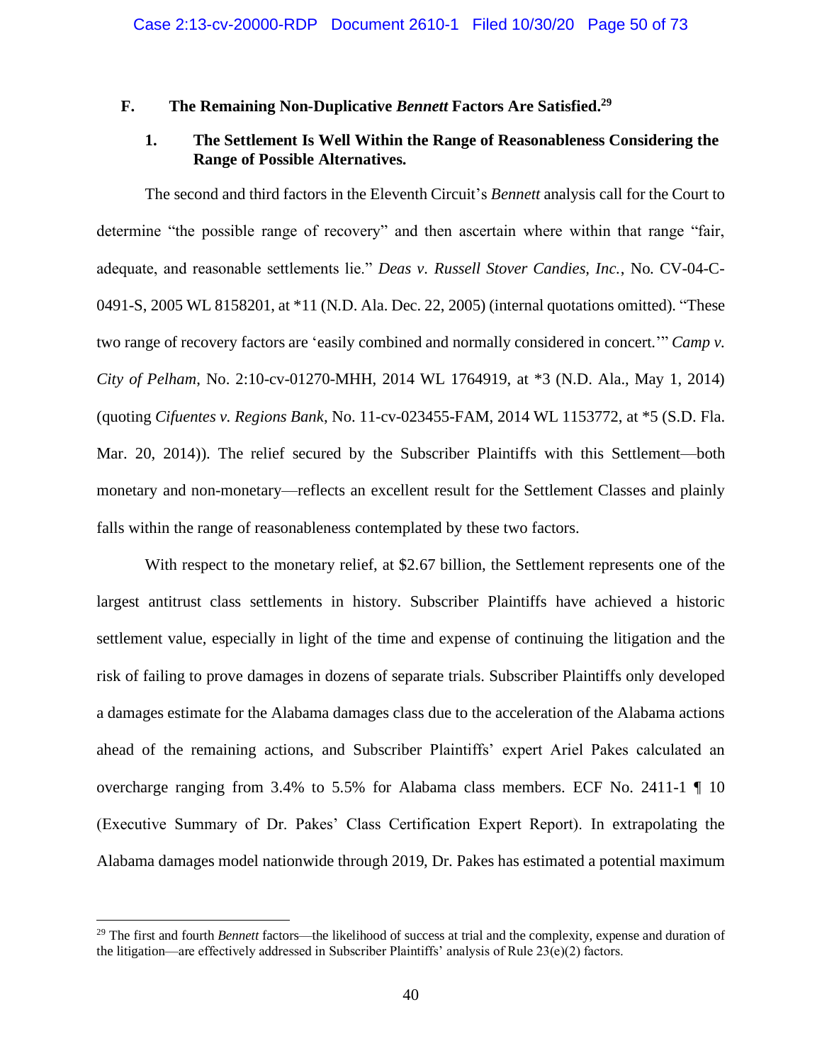## **F. The Remaining Non-Duplicative** *Bennett* **Factors Are Satisfied. 29**

# **1. The Settlement Is Well Within the Range of Reasonableness Considering the Range of Possible Alternatives.**

The second and third factors in the Eleventh Circuit's *Bennett* analysis call for the Court to determine "the possible range of recovery" and then ascertain where within that range "fair, adequate, and reasonable settlements lie." *Deas v. Russell Stover Candies, Inc.*, No. CV-04-C-0491-S, 2005 WL 8158201, at \*11 (N.D. Ala. Dec. 22, 2005) (internal quotations omitted). "These two range of recovery factors are 'easily combined and normally considered in concert.'" *Camp v. City of Pelham*, No. 2:10-cv-01270-MHH, 2014 WL 1764919, at \*3 (N.D. Ala., May 1, 2014) (quoting *Cifuentes v. Regions Bank*, No. 11-cv-023455-FAM, 2014 WL 1153772, at \*5 (S.D. Fla. Mar. 20, 2014)). The relief secured by the Subscriber Plaintiffs with this Settlement—both monetary and non-monetary—reflects an excellent result for the Settlement Classes and plainly falls within the range of reasonableness contemplated by these two factors.

With respect to the monetary relief, at \$2.67 billion, the Settlement represents one of the largest antitrust class settlements in history. Subscriber Plaintiffs have achieved a historic settlement value, especially in light of the time and expense of continuing the litigation and the risk of failing to prove damages in dozens of separate trials. Subscriber Plaintiffs only developed a damages estimate for the Alabama damages class due to the acceleration of the Alabama actions ahead of the remaining actions, and Subscriber Plaintiffs' expert Ariel Pakes calculated an overcharge ranging from 3.4% to 5.5% for Alabama class members. ECF No. 2411-1 ¶ 10 (Executive Summary of Dr. Pakes' Class Certification Expert Report). In extrapolating the Alabama damages model nationwide through 2019, Dr. Pakes has estimated a potential maximum

<sup>&</sup>lt;sup>29</sup> The first and fourth *Bennett* factors—the likelihood of success at trial and the complexity, expense and duration of the litigation—are effectively addressed in Subscriber Plaintiffs' analysis of Rule 23(e)(2) factors.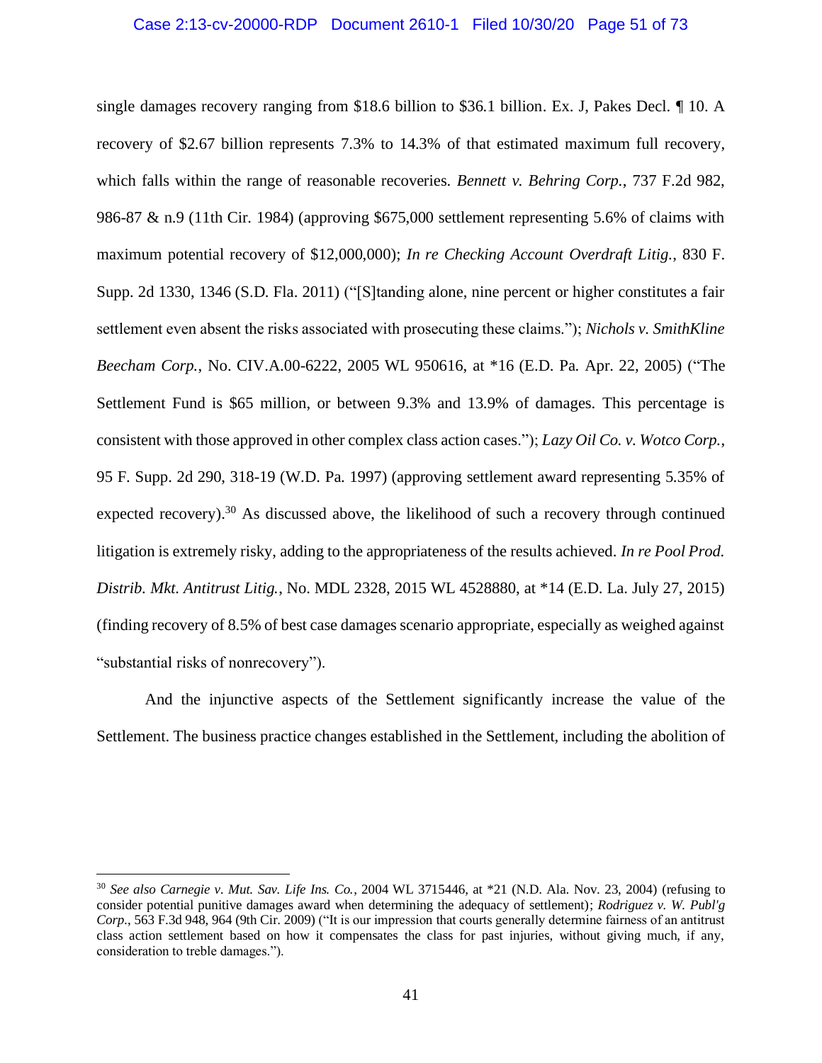#### Case 2:13-cv-20000-RDP Document 2610-1 Filed 10/30/20 Page 51 of 73

single damages recovery ranging from \$18.6 billion to \$36.1 billion. Ex. J, Pakes Decl. ¶ 10. A recovery of \$2.67 billion represents 7.3% to 14.3% of that estimated maximum full recovery, which falls within the range of reasonable recoveries. *Bennett v. Behring Corp.*, 737 F.2d 982, 986-87 & n.9 (11th Cir. 1984) (approving \$675,000 settlement representing 5.6% of claims with maximum potential recovery of \$12,000,000); *In re Checking Account Overdraft Litig.*, 830 F. Supp. 2d 1330, 1346 (S.D. Fla. 2011) ("[S]tanding alone, nine percent or higher constitutes a fair settlement even absent the risks associated with prosecuting these claims."); *Nichols v. SmithKline Beecham Corp.*, No. CIV.A.00-6222, 2005 WL 950616, at \*16 (E.D. Pa. Apr. 22, 2005) ("The Settlement Fund is \$65 million, or between 9.3% and 13.9% of damages. This percentage is consistent with those approved in other complex class action cases."); *Lazy Oil Co. v. Wotco Corp.*, 95 F. Supp. 2d 290, 318-19 (W.D. Pa. 1997) (approving settlement award representing 5.35% of expected recovery).<sup>30</sup> As discussed above, the likelihood of such a recovery through continued litigation is extremely risky, adding to the appropriateness of the results achieved. *In re Pool Prod. Distrib. Mkt. Antitrust Litig.*, No. MDL 2328, 2015 WL 4528880, at \*14 (E.D. La. July 27, 2015) (finding recovery of 8.5% of best case damages scenario appropriate, especially as weighed against "substantial risks of nonrecovery").

And the injunctive aspects of the Settlement significantly increase the value of the Settlement. The business practice changes established in the Settlement, including the abolition of

<sup>30</sup> *See also Carnegie v. Mut. Sav. Life Ins. Co.*, 2004 WL 3715446, at \*21 (N.D. Ala. Nov. 23, 2004) (refusing to consider potential punitive damages award when determining the adequacy of settlement); *Rodriguez v. W. Publ'g Corp.*, 563 F.3d 948, 964 (9th Cir. 2009) ("It is our impression that courts generally determine fairness of an antitrust class action settlement based on how it compensates the class for past injuries, without giving much, if any, consideration to treble damages.").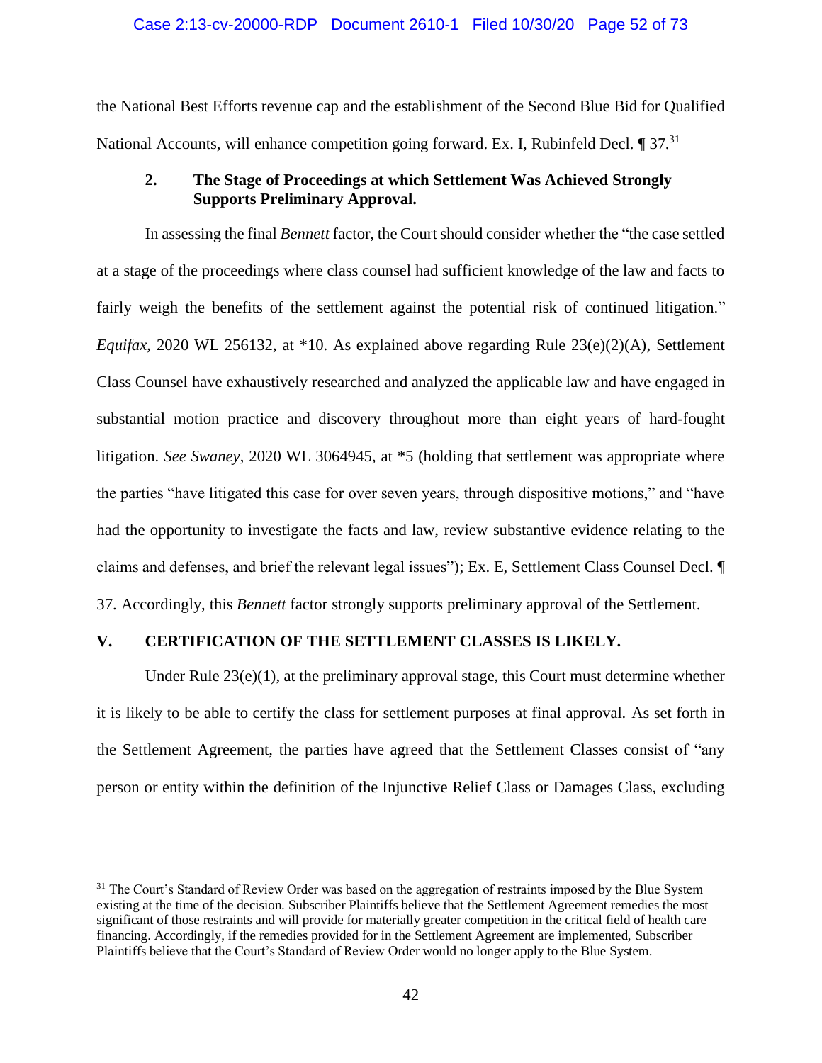### Case 2:13-cv-20000-RDP Document 2610-1 Filed 10/30/20 Page 52 of 73

the National Best Efforts revenue cap and the establishment of the Second Blue Bid for Qualified National Accounts, will enhance competition going forward. Ex. I, Rubinfeld Decl. 1 37.<sup>31</sup>

# **2. The Stage of Proceedings at which Settlement Was Achieved Strongly Supports Preliminary Approval.**

In assessing the final *Bennett* factor, the Court should consider whether the "the case settled at a stage of the proceedings where class counsel had sufficient knowledge of the law and facts to fairly weigh the benefits of the settlement against the potential risk of continued litigation." *Equifax*, 2020 WL 256132, at \*10. As explained above regarding Rule 23(e)(2)(A), Settlement Class Counsel have exhaustively researched and analyzed the applicable law and have engaged in substantial motion practice and discovery throughout more than eight years of hard-fought litigation. *See Swaney*, 2020 WL 3064945, at \*5 (holding that settlement was appropriate where the parties "have litigated this case for over seven years, through dispositive motions," and "have had the opportunity to investigate the facts and law, review substantive evidence relating to the claims and defenses, and brief the relevant legal issues"); Ex. E, Settlement Class Counsel Decl. ¶ 37. Accordingly, this *Bennett* factor strongly supports preliminary approval of the Settlement.

## **V. CERTIFICATION OF THE SETTLEMENT CLASSES IS LIKELY.**

Under Rule  $23(e)(1)$ , at the preliminary approval stage, this Court must determine whether it is likely to be able to certify the class for settlement purposes at final approval. As set forth in the Settlement Agreement, the parties have agreed that the Settlement Classes consist of "any person or entity within the definition of the Injunctive Relief Class or Damages Class, excluding

<sup>&</sup>lt;sup>31</sup> The Court's Standard of Review Order was based on the aggregation of restraints imposed by the Blue System existing at the time of the decision. Subscriber Plaintiffs believe that the Settlement Agreement remedies the most significant of those restraints and will provide for materially greater competition in the critical field of health care financing. Accordingly, if the remedies provided for in the Settlement Agreement are implemented, Subscriber Plaintiffs believe that the Court's Standard of Review Order would no longer apply to the Blue System.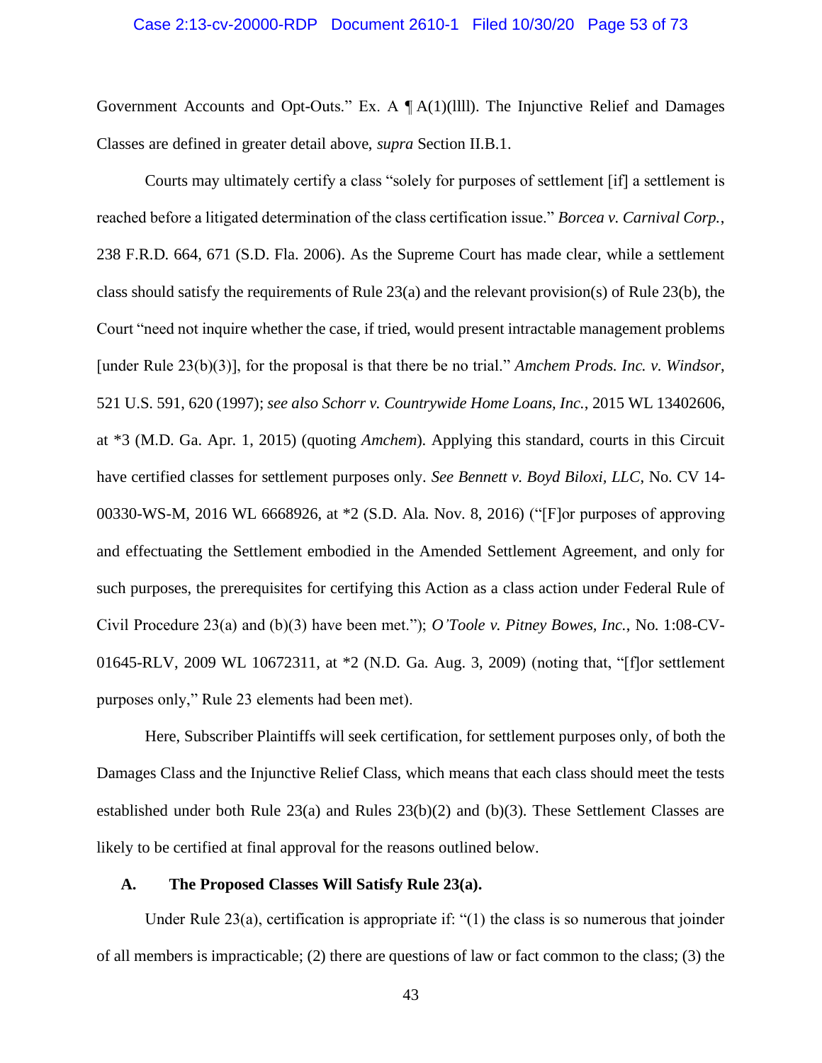#### Case 2:13-cv-20000-RDP Document 2610-1 Filed 10/30/20 Page 53 of 73

Government Accounts and Opt-Outs." Ex. A  $\P$ A(1)(llll). The Injunctive Relief and Damages Classes are defined in greater detail above, *supra* Section II.B.1.

Courts may ultimately certify a class "solely for purposes of settlement [if] a settlement is reached before a litigated determination of the class certification issue." *Borcea v. Carnival Corp.*, 238 F.R.D. 664, 671 (S.D. Fla. 2006). As the Supreme Court has made clear, while a settlement class should satisfy the requirements of Rule 23(a) and the relevant provision(s) of Rule 23(b), the Court "need not inquire whether the case, if tried, would present intractable management problems [under Rule 23(b)(3)], for the proposal is that there be no trial." *Amchem Prods. Inc. v. Windsor*, 521 U.S. 591, 620 (1997); *see also Schorr v. Countrywide Home Loans, Inc.*, 2015 WL 13402606, at \*3 (M.D. Ga. Apr. 1, 2015) (quoting *Amchem*). Applying this standard, courts in this Circuit have certified classes for settlement purposes only. *See Bennett v. Boyd Biloxi, LLC*, No. CV 14- 00330-WS-M, 2016 WL 6668926, at \*2 (S.D. Ala. Nov. 8, 2016) ("[F]or purposes of approving and effectuating the Settlement embodied in the Amended Settlement Agreement, and only for such purposes, the prerequisites for certifying this Action as a class action under Federal Rule of Civil Procedure 23(a) and (b)(3) have been met."); *O'Toole v. Pitney Bowes, Inc.*, No. 1:08-CV-01645-RLV, 2009 WL 10672311, at \*2 (N.D. Ga. Aug. 3, 2009) (noting that, "[f]or settlement purposes only," Rule 23 elements had been met).

Here, Subscriber Plaintiffs will seek certification, for settlement purposes only, of both the Damages Class and the Injunctive Relief Class, which means that each class should meet the tests established under both Rule  $23(a)$  and Rules  $23(b)(2)$  and  $(b)(3)$ . These Settlement Classes are likely to be certified at final approval for the reasons outlined below.

### **A. The Proposed Classes Will Satisfy Rule 23(a).**

Under Rule 23(a), certification is appropriate if: "(1) the class is so numerous that joinder of all members is impracticable; (2) there are questions of law or fact common to the class; (3) the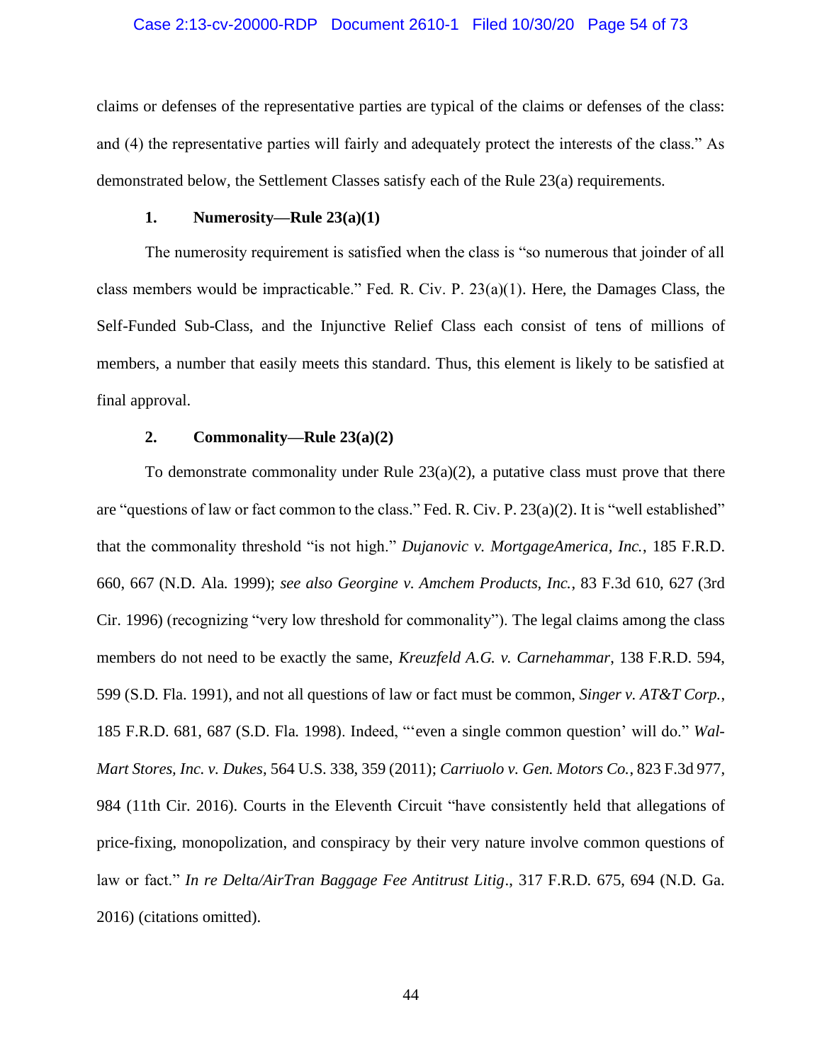#### Case 2:13-cv-20000-RDP Document 2610-1 Filed 10/30/20 Page 54 of 73

claims or defenses of the representative parties are typical of the claims or defenses of the class: and (4) the representative parties will fairly and adequately protect the interests of the class." As demonstrated below, the Settlement Classes satisfy each of the Rule 23(a) requirements.

#### **1. Numerosity—Rule 23(a)(1)**

The numerosity requirement is satisfied when the class is "so numerous that joinder of all class members would be impracticable." Fed. R. Civ. P.  $23(a)(1)$ . Here, the Damages Class, the Self-Funded Sub-Class, and the Injunctive Relief Class each consist of tens of millions of members, a number that easily meets this standard. Thus, this element is likely to be satisfied at final approval.

## **2. Commonality—Rule 23(a)(2)**

To demonstrate commonality under Rule  $23(a)(2)$ , a putative class must prove that there are "questions of law or fact common to the class." Fed. R. Civ. P. 23(a)(2). It is "well established" that the commonality threshold "is not high." *Dujanovic v. MortgageAmerica, Inc.*, 185 F.R.D. 660, 667 (N.D. Ala. 1999); *see also Georgine v. Amchem Products, Inc.*, 83 F.3d 610, 627 (3rd Cir. 1996) (recognizing "very low threshold for commonality"). The legal claims among the class members do not need to be exactly the same, *Kreuzfeld A.G. v. Carnehammar*, 138 F.R.D. 594, 599 (S.D. Fla. 1991), and not all questions of law or fact must be common, *Singer v. AT&T Corp.*, 185 F.R.D. 681, 687 (S.D. Fla. 1998). Indeed, "'even a single common question' will do." *Wal-Mart Stores, Inc. v. Dukes*, 564 U.S. 338, 359 (2011); *Carriuolo v. Gen. Motors Co.*, 823 F.3d 977, 984 (11th Cir. 2016). Courts in the Eleventh Circuit "have consistently held that allegations of price-fixing, monopolization, and conspiracy by their very nature involve common questions of law or fact." *In re Delta/AirTran Baggage Fee Antitrust Litig*., 317 F.R.D. 675, 694 (N.D. Ga. 2016) (citations omitted).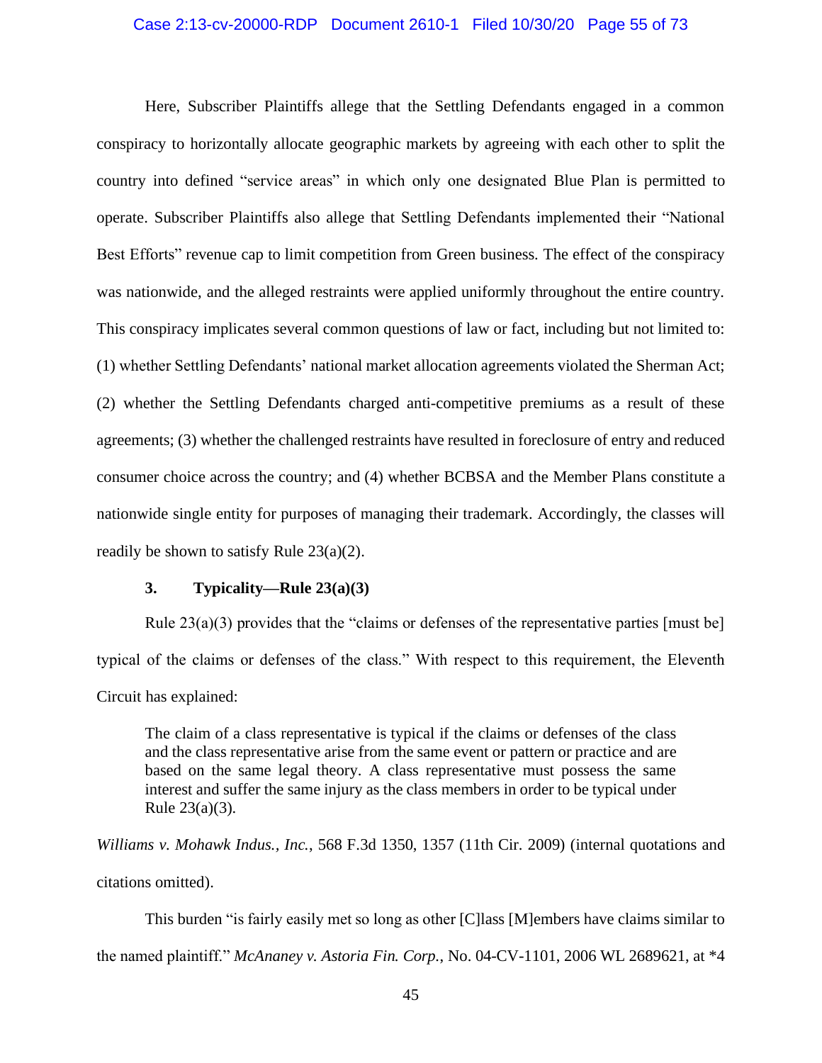#### Case 2:13-cv-20000-RDP Document 2610-1 Filed 10/30/20 Page 55 of 73

Here, Subscriber Plaintiffs allege that the Settling Defendants engaged in a common conspiracy to horizontally allocate geographic markets by agreeing with each other to split the country into defined "service areas" in which only one designated Blue Plan is permitted to operate. Subscriber Plaintiffs also allege that Settling Defendants implemented their "National Best Efforts" revenue cap to limit competition from Green business. The effect of the conspiracy was nationwide, and the alleged restraints were applied uniformly throughout the entire country. This conspiracy implicates several common questions of law or fact, including but not limited to: (1) whether Settling Defendants' national market allocation agreements violated the Sherman Act; (2) whether the Settling Defendants charged anti-competitive premiums as a result of these agreements; (3) whether the challenged restraints have resulted in foreclosure of entry and reduced consumer choice across the country; and (4) whether BCBSA and the Member Plans constitute a nationwide single entity for purposes of managing their trademark. Accordingly, the classes will readily be shown to satisfy Rule 23(a)(2).

### **3. Typicality—Rule 23(a)(3)**

Rule  $23(a)(3)$  provides that the "claims or defenses of the representative parties [must be] typical of the claims or defenses of the class." With respect to this requirement, the Eleventh Circuit has explained:

The claim of a class representative is typical if the claims or defenses of the class and the class representative arise from the same event or pattern or practice and are based on the same legal theory. A class representative must possess the same interest and suffer the same injury as the class members in order to be typical under Rule 23(a)(3).

*Williams v. Mohawk Indus., Inc.*, 568 F.3d 1350, 1357 (11th Cir. 2009) (internal quotations and citations omitted).

This burden "is fairly easily met so long as other [C]lass [M]embers have claims similar to the named plaintiff." *McAnaney v. Astoria Fin. Corp.*, No. 04-CV-1101, 2006 WL 2689621, at \*4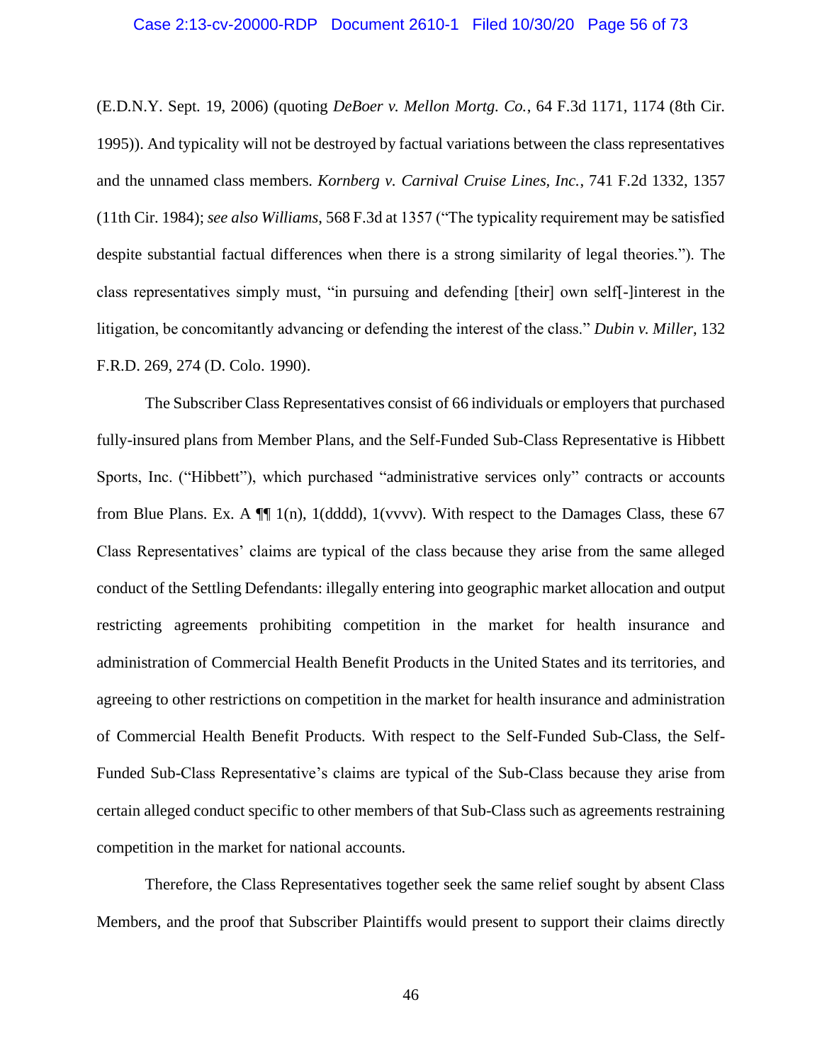#### Case 2:13-cv-20000-RDP Document 2610-1 Filed 10/30/20 Page 56 of 73

(E.D.N.Y. Sept. 19, 2006) (quoting *DeBoer v. Mellon Mortg. Co.*, 64 F.3d 1171, 1174 (8th Cir. 1995)). And typicality will not be destroyed by factual variations between the class representatives and the unnamed class members. *Kornberg v. Carnival Cruise Lines, Inc.*, 741 F.2d 1332, 1357 (11th Cir. 1984); *see also Williams*, 568 F.3d at 1357 ("The typicality requirement may be satisfied despite substantial factual differences when there is a strong similarity of legal theories."). The class representatives simply must, "in pursuing and defending [their] own self[-]interest in the litigation, be concomitantly advancing or defending the interest of the class." *Dubin v. Miller*, 132 F.R.D. 269, 274 (D. Colo. 1990).

The Subscriber Class Representatives consist of 66 individuals or employers that purchased fully-insured plans from Member Plans, and the Self-Funded Sub-Class Representative is Hibbett Sports, Inc. ("Hibbett"), which purchased "administrative services only" contracts or accounts from Blue Plans. Ex. A  $\P$  1(n), 1(dddd), 1(vvvv). With respect to the Damages Class, these 67 Class Representatives' claims are typical of the class because they arise from the same alleged conduct of the Settling Defendants: illegally entering into geographic market allocation and output restricting agreements prohibiting competition in the market for health insurance and administration of Commercial Health Benefit Products in the United States and its territories, and agreeing to other restrictions on competition in the market for health insurance and administration of Commercial Health Benefit Products. With respect to the Self-Funded Sub-Class, the Self-Funded Sub-Class Representative's claims are typical of the Sub-Class because they arise from certain alleged conduct specific to other members of that Sub-Class such as agreements restraining competition in the market for national accounts.

Therefore, the Class Representatives together seek the same relief sought by absent Class Members, and the proof that Subscriber Plaintiffs would present to support their claims directly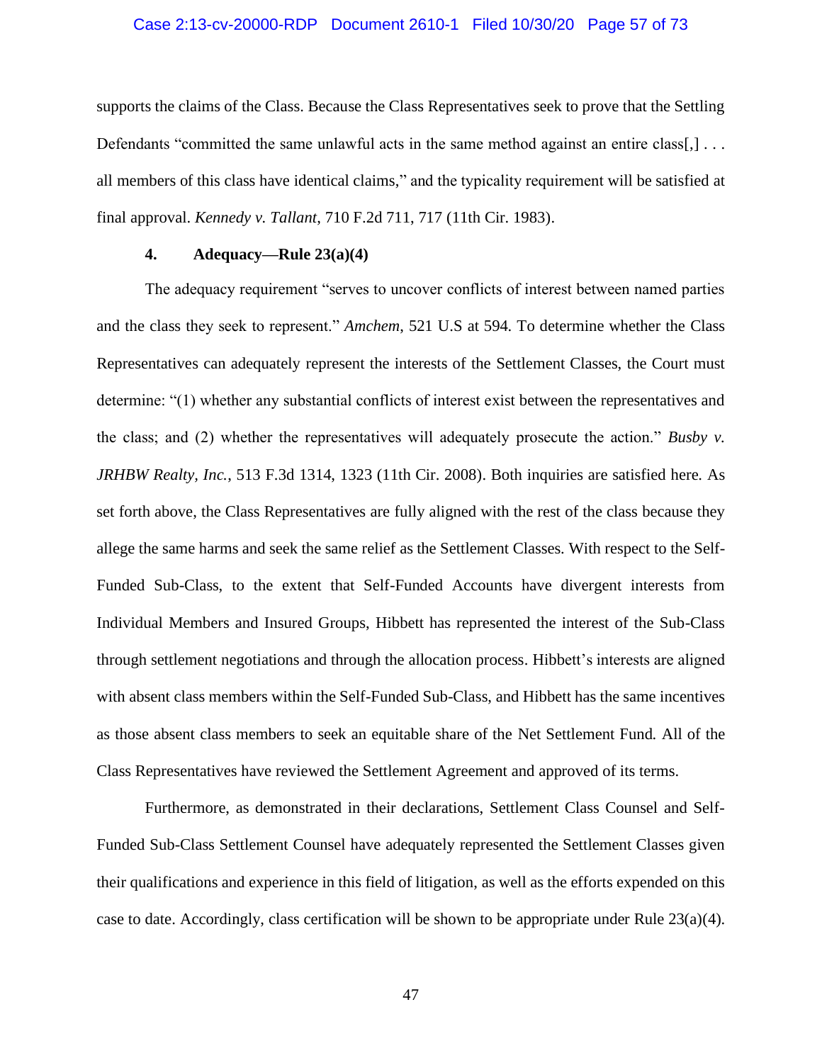#### Case 2:13-cv-20000-RDP Document 2610-1 Filed 10/30/20 Page 57 of 73

supports the claims of the Class. Because the Class Representatives seek to prove that the Settling Defendants "committed the same unlawful acts in the same method against an entire class[,]... all members of this class have identical claims," and the typicality requirement will be satisfied at final approval. *Kennedy v. Tallant*, 710 F.2d 711, 717 (11th Cir. 1983).

#### **4. Adequacy—Rule 23(a)(4)**

The adequacy requirement "serves to uncover conflicts of interest between named parties and the class they seek to represent." *Amchem*, 521 U.S at 594. To determine whether the Class Representatives can adequately represent the interests of the Settlement Classes, the Court must determine: "(1) whether any substantial conflicts of interest exist between the representatives and the class; and (2) whether the representatives will adequately prosecute the action." *Busby v. JRHBW Realty, Inc.*, 513 F.3d 1314, 1323 (11th Cir. 2008). Both inquiries are satisfied here. As set forth above, the Class Representatives are fully aligned with the rest of the class because they allege the same harms and seek the same relief as the Settlement Classes. With respect to the Self-Funded Sub-Class, to the extent that Self-Funded Accounts have divergent interests from Individual Members and Insured Groups, Hibbett has represented the interest of the Sub-Class through settlement negotiations and through the allocation process. Hibbett's interests are aligned with absent class members within the Self-Funded Sub-Class, and Hibbett has the same incentives as those absent class members to seek an equitable share of the Net Settlement Fund. All of the Class Representatives have reviewed the Settlement Agreement and approved of its terms.

Furthermore, as demonstrated in their declarations, Settlement Class Counsel and Self-Funded Sub-Class Settlement Counsel have adequately represented the Settlement Classes given their qualifications and experience in this field of litigation, as well as the efforts expended on this case to date. Accordingly, class certification will be shown to be appropriate under Rule 23(a)(4).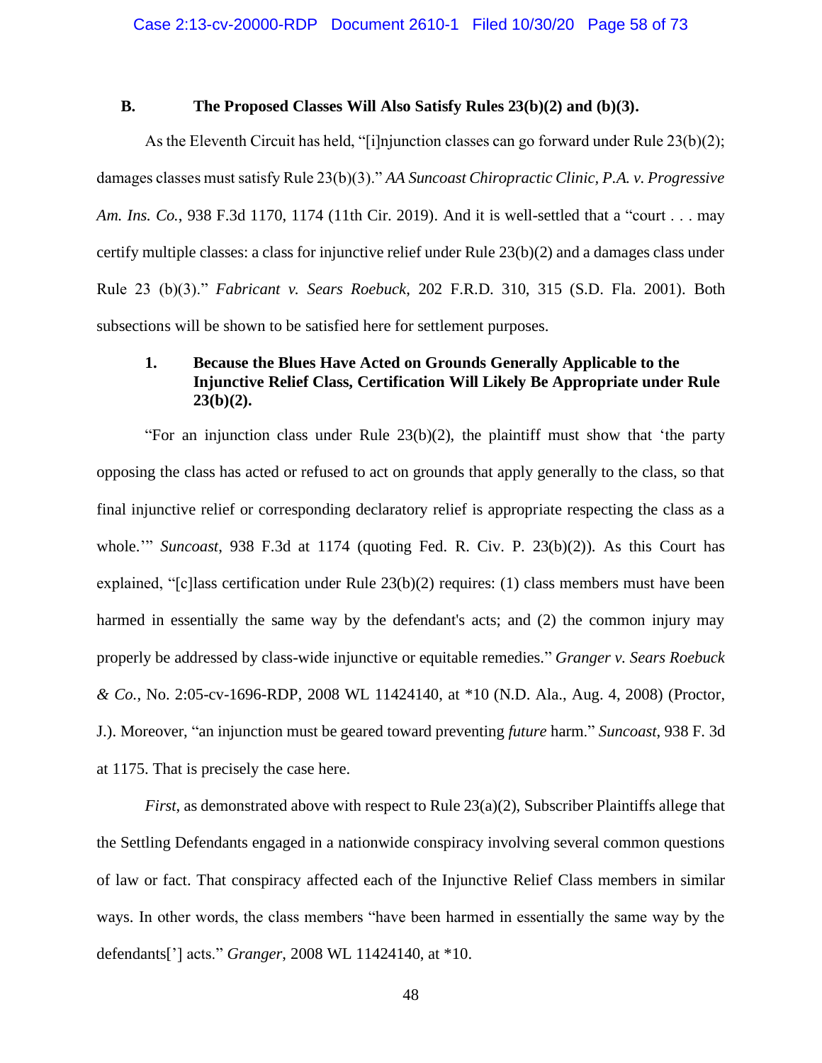### **B. The Proposed Classes Will Also Satisfy Rules 23(b)(2) and (b)(3).**

As the Eleventh Circuit has held, "[i]njunction classes can go forward under Rule 23(b)(2); damages classes must satisfy Rule 23(b)(3)." *AA Suncoast Chiropractic Clinic, P.A. v. Progressive Am. Ins. Co.*, 938 F.3d 1170, 1174 (11th Cir. 2019). And it is well-settled that a "court . . . may certify multiple classes: a class for injunctive relief under Rule 23(b)(2) and a damages class under Rule 23 (b)(3)." *Fabricant v. Sears Roebuck*, 202 F.R.D. 310, 315 (S.D. Fla. 2001). Both subsections will be shown to be satisfied here for settlement purposes.

# **1. Because the Blues Have Acted on Grounds Generally Applicable to the Injunctive Relief Class, Certification Will Likely Be Appropriate under Rule 23(b)(2).**

"For an injunction class under Rule 23(b)(2), the plaintiff must show that 'the party opposing the class has acted or refused to act on grounds that apply generally to the class, so that final injunctive relief or corresponding declaratory relief is appropriate respecting the class as a whole.'" *Suncoast*, 938 F.3d at 1174 (quoting Fed. R. Civ. P. 23(b)(2)). As this Court has explained, "[c]lass certification under Rule 23(b)(2) requires: (1) class members must have been harmed in essentially the same way by the defendant's acts; and (2) the common injury may properly be addressed by class-wide injunctive or equitable remedies." *Granger v. Sears Roebuck & Co.*, No. 2:05-cv-1696-RDP, 2008 WL 11424140, at \*10 (N.D. Ala., Aug. 4, 2008) (Proctor, J.). Moreover, "an injunction must be geared toward preventing *future* harm." *Suncoast*, 938 F. 3d at 1175. That is precisely the case here.

*First*, as demonstrated above with respect to Rule 23(a)(2), Subscriber Plaintiffs allege that the Settling Defendants engaged in a nationwide conspiracy involving several common questions of law or fact. That conspiracy affected each of the Injunctive Relief Class members in similar ways. In other words, the class members "have been harmed in essentially the same way by the defendants['] acts." *Granger*, 2008 WL 11424140, at \*10.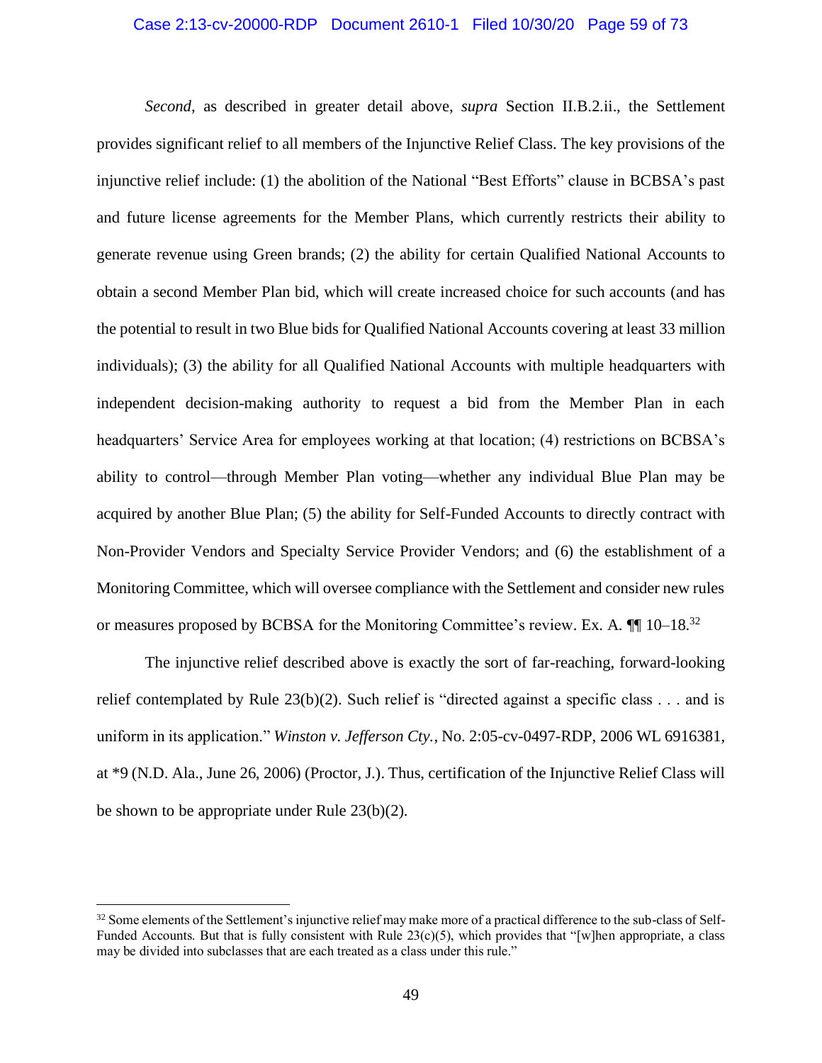#### Case 2:13-cv-20000-RDP Document 2610-1 Filed 10/30/20 Page 59 of 73

*Second*, as described in greater detail above, *supra* Section II.B.2.ii., the Settlement provides significant relief to all members of the Injunctive Relief Class. The key provisions of the injunctive relief include: (1) the abolition of the National "Best Efforts" clause in BCBSA's past and future license agreements for the Member Plans, which currently restricts their ability to generate revenue using Green brands; (2) the ability for certain Qualified National Accounts to obtain a second Member Plan bid, which will create increased choice for such accounts (and has the potential to result in two Blue bids for Qualified National Accounts covering at least 33 million individuals); (3) the ability for all Qualified National Accounts with multiple headquarters with independent decision-making authority to request a bid from the Member Plan in each headquarters' Service Area for employees working at that location; (4) restrictions on BCBSA's ability to control—through Member Plan voting—whether any individual Blue Plan may be acquired by another Blue Plan; (5) the ability for Self-Funded Accounts to directly contract with Non-Provider Vendors and Specialty Service Provider Vendors; and (6) the establishment of a Monitoring Committee, which will oversee compliance with the Settlement and consider new rules or measures proposed by BCBSA for the Monitoring Committee's review. Ex. A.  $\P$  10–18.<sup>32</sup>

The injunctive relief described above is exactly the sort of far-reaching, forward-looking relief contemplated by Rule  $23(b)(2)$ . Such relief is "directed against a specific class . . . and is uniform in its application." *Winston v. Jefferson Cty.*, No. 2:05-cv-0497-RDP, 2006 WL 6916381, at \*9 (N.D. Ala., June 26, 2006) (Proctor, J.). Thus, certification of the Injunctive Relief Class will be shown to be appropriate under Rule 23(b)(2).

<sup>&</sup>lt;sup>32</sup> Some elements of the Settlement's injunctive relief may make more of a practical difference to the sub-class of Self-Funded Accounts. But that is fully consistent with Rule  $23(c)(5)$ , which provides that "[w]hen appropriate, a class may be divided into subclasses that are each treated as a class under this rule."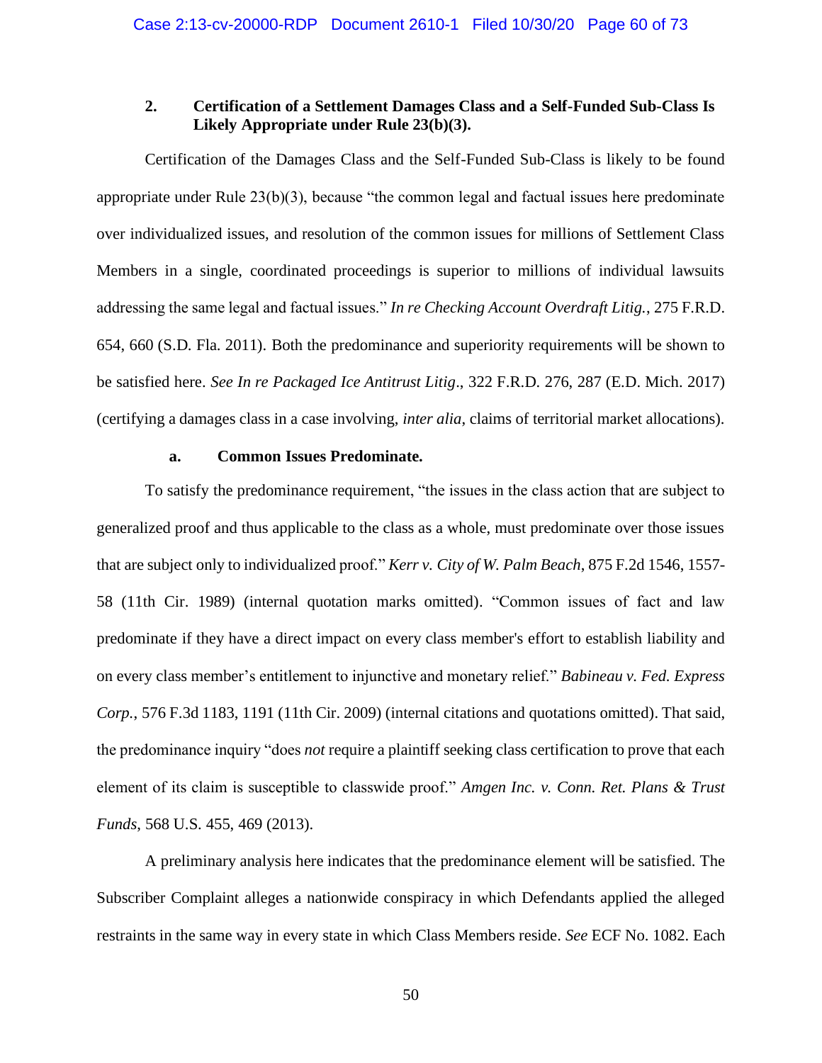## **2. Certification of a Settlement Damages Class and a Self-Funded Sub-Class Is Likely Appropriate under Rule 23(b)(3).**

Certification of the Damages Class and the Self-Funded Sub-Class is likely to be found appropriate under Rule 23(b)(3), because "the common legal and factual issues here predominate over individualized issues, and resolution of the common issues for millions of Settlement Class Members in a single, coordinated proceedings is superior to millions of individual lawsuits addressing the same legal and factual issues." *In re Checking Account Overdraft Litig.*, 275 F.R.D. 654, 660 (S.D. Fla. 2011). Both the predominance and superiority requirements will be shown to be satisfied here. *See In re Packaged Ice Antitrust Litig*., 322 F.R.D. 276, 287 (E.D. Mich. 2017) (certifying a damages class in a case involving, *inter alia*, claims of territorial market allocations).

#### **a. Common Issues Predominate.**

To satisfy the predominance requirement, "the issues in the class action that are subject to generalized proof and thus applicable to the class as a whole, must predominate over those issues that are subject only to individualized proof." *Kerr v. City of W. Palm Beach*, 875 F.2d 1546, 1557- 58 (11th Cir. 1989) (internal quotation marks omitted). "Common issues of fact and law predominate if they have a direct impact on every class member's effort to establish liability and on every class member's entitlement to injunctive and monetary relief." *Babineau v. Fed. Express Corp.*, 576 F.3d 1183, 1191 (11th Cir. 2009) (internal citations and quotations omitted). That said, the predominance inquiry "does *not* require a plaintiff seeking class certification to prove that each element of its claim is susceptible to classwide proof." *Amgen Inc. v. Conn. Ret. Plans & Trust Funds*, 568 U.S. 455, 469 (2013).

A preliminary analysis here indicates that the predominance element will be satisfied. The Subscriber Complaint alleges a nationwide conspiracy in which Defendants applied the alleged restraints in the same way in every state in which Class Members reside. *See* ECF No. 1082. Each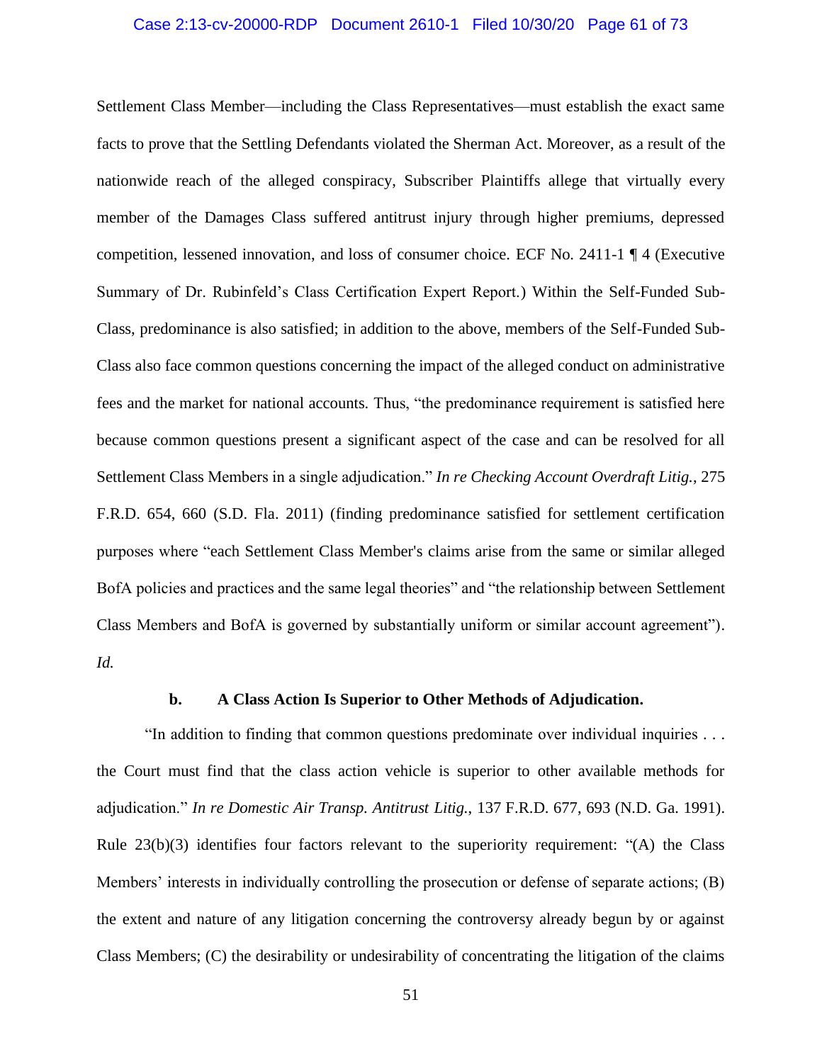#### Case 2:13-cv-20000-RDP Document 2610-1 Filed 10/30/20 Page 61 of 73

Settlement Class Member—including the Class Representatives—must establish the exact same facts to prove that the Settling Defendants violated the Sherman Act. Moreover, as a result of the nationwide reach of the alleged conspiracy, Subscriber Plaintiffs allege that virtually every member of the Damages Class suffered antitrust injury through higher premiums, depressed competition, lessened innovation, and loss of consumer choice. ECF No. 2411-1 ¶ 4 (Executive Summary of Dr. Rubinfeld's Class Certification Expert Report.) Within the Self-Funded Sub-Class, predominance is also satisfied; in addition to the above, members of the Self-Funded Sub-Class also face common questions concerning the impact of the alleged conduct on administrative fees and the market for national accounts. Thus, "the predominance requirement is satisfied here because common questions present a significant aspect of the case and can be resolved for all Settlement Class Members in a single adjudication." *In re Checking Account Overdraft Litig.*, 275 F.R.D. 654, 660 (S.D. Fla. 2011) (finding predominance satisfied for settlement certification purposes where "each Settlement Class Member's claims arise from the same or similar alleged BofA policies and practices and the same legal theories" and "the relationship between Settlement Class Members and BofA is governed by substantially uniform or similar account agreement"). *Id.*

#### **b. A Class Action Is Superior to Other Methods of Adjudication.**

"In addition to finding that common questions predominate over individual inquiries . . . the Court must find that the class action vehicle is superior to other available methods for adjudication." *In re Domestic Air Transp. Antitrust Litig.*, 137 F.R.D. 677, 693 (N.D. Ga. 1991). Rule  $23(b)(3)$  identifies four factors relevant to the superiority requirement: "(A) the Class Members' interests in individually controlling the prosecution or defense of separate actions; (B) the extent and nature of any litigation concerning the controversy already begun by or against Class Members; (C) the desirability or undesirability of concentrating the litigation of the claims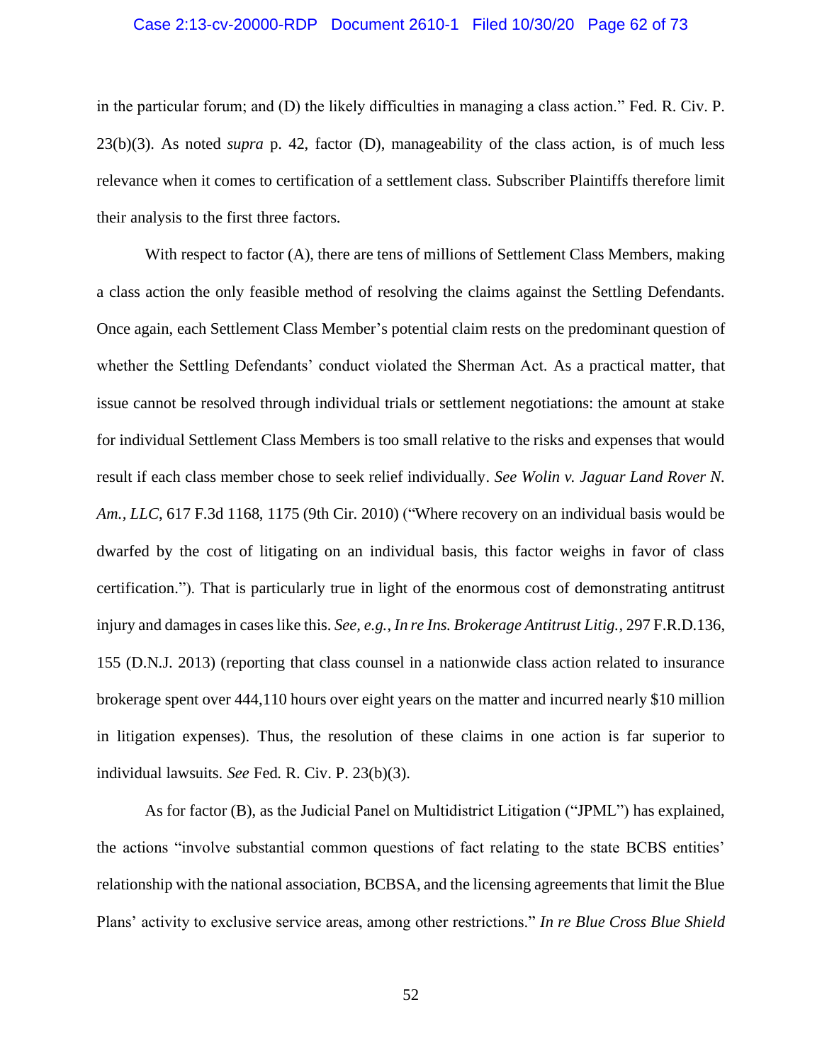#### Case 2:13-cv-20000-RDP Document 2610-1 Filed 10/30/20 Page 62 of 73

in the particular forum; and (D) the likely difficulties in managing a class action." Fed. R. Civ. P. 23(b)(3). As noted *supra* p. 42, factor (D), manageability of the class action, is of much less relevance when it comes to certification of a settlement class. Subscriber Plaintiffs therefore limit their analysis to the first three factors.

With respect to factor (A), there are tens of millions of Settlement Class Members, making a class action the only feasible method of resolving the claims against the Settling Defendants. Once again, each Settlement Class Member's potential claim rests on the predominant question of whether the Settling Defendants' conduct violated the Sherman Act. As a practical matter, that issue cannot be resolved through individual trials or settlement negotiations: the amount at stake for individual Settlement Class Members is too small relative to the risks and expenses that would result if each class member chose to seek relief individually. *See Wolin v. Jaguar Land Rover N. Am., LLC*, 617 F.3d 1168, 1175 (9th Cir. 2010) ("Where recovery on an individual basis would be dwarfed by the cost of litigating on an individual basis, this factor weighs in favor of class certification."). That is particularly true in light of the enormous cost of demonstrating antitrust injury and damages in cases like this. *See, e.g.*, *In re Ins. Brokerage Antitrust Litig.*, 297 F.R.D.136, 155 (D.N.J. 2013) (reporting that class counsel in a nationwide class action related to insurance brokerage spent over 444,110 hours over eight years on the matter and incurred nearly \$10 million in litigation expenses). Thus, the resolution of these claims in one action is far superior to individual lawsuits. *See* Fed. R. Civ. P. 23(b)(3).

As for factor (B), as the Judicial Panel on Multidistrict Litigation ("JPML") has explained, the actions "involve substantial common questions of fact relating to the state BCBS entities' relationship with the national association, BCBSA, and the licensing agreements that limit the Blue Plans' activity to exclusive service areas, among other restrictions." *In re Blue Cross Blue Shield*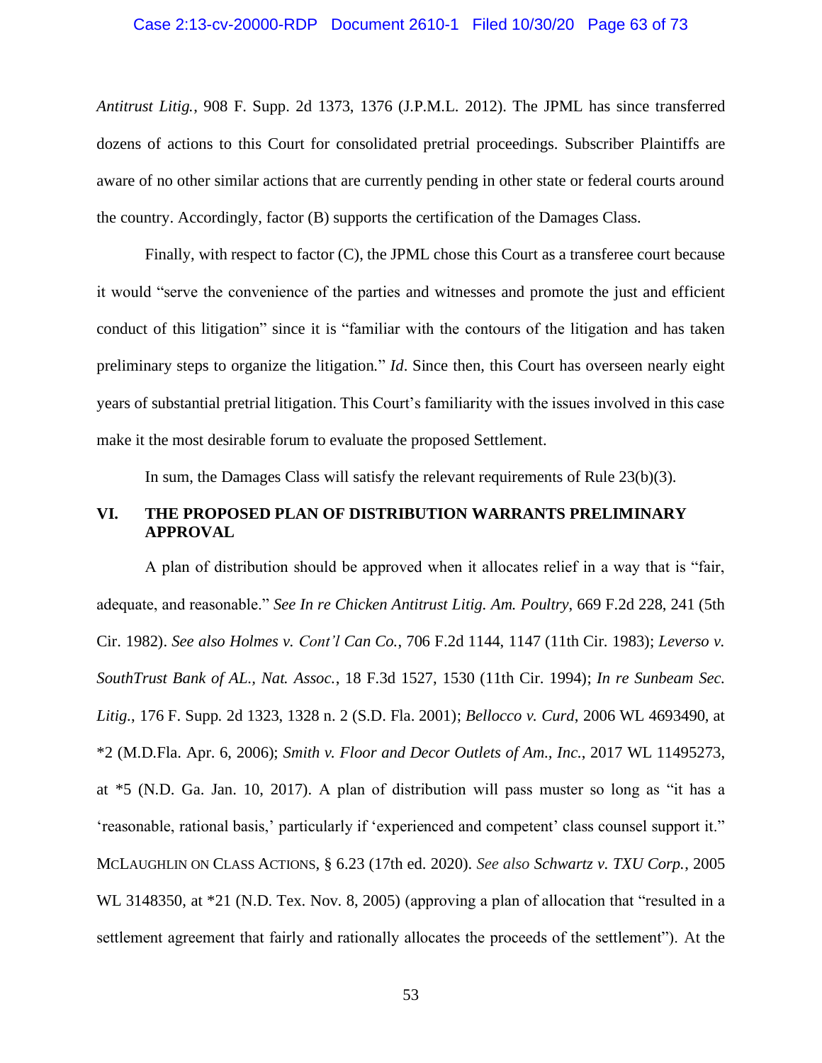#### Case 2:13-cv-20000-RDP Document 2610-1 Filed 10/30/20 Page 63 of 73

*Antitrust Litig.*, 908 F. Supp. 2d 1373, 1376 (J.P.M.L. 2012). The JPML has since transferred dozens of actions to this Court for consolidated pretrial proceedings. Subscriber Plaintiffs are aware of no other similar actions that are currently pending in other state or federal courts around the country. Accordingly, factor (B) supports the certification of the Damages Class.

Finally, with respect to factor (C), the JPML chose this Court as a transferee court because it would "serve the convenience of the parties and witnesses and promote the just and efficient conduct of this litigation" since it is "familiar with the contours of the litigation and has taken preliminary steps to organize the litigation." *Id*. Since then, this Court has overseen nearly eight years of substantial pretrial litigation. This Court's familiarity with the issues involved in this case make it the most desirable forum to evaluate the proposed Settlement.

In sum, the Damages Class will satisfy the relevant requirements of Rule 23(b)(3).

## **VI. THE PROPOSED PLAN OF DISTRIBUTION WARRANTS PRELIMINARY APPROVAL**

A plan of distribution should be approved when it allocates relief in a way that is "fair, adequate, and reasonable." *See In re Chicken Antitrust Litig. Am. Poultry*, 669 F.2d 228, 241 (5th Cir. 1982). *See also Holmes v. Cont'l Can Co.*, 706 F.2d 1144, 1147 (11th Cir. 1983); *Leverso v. SouthTrust Bank of AL., Nat. Assoc.*, 18 F.3d 1527, 1530 (11th Cir. 1994); *In re Sunbeam Sec. Litig.*, 176 F. Supp. 2d 1323, 1328 n. 2 (S.D. Fla. 2001); *Bellocco v. Curd*, 2006 WL 4693490, at \*2 (M.D.Fla. Apr. 6, 2006); *Smith v. Floor and Decor Outlets of Am., Inc.*, 2017 WL 11495273, at \*5 (N.D. Ga. Jan. 10, 2017). A plan of distribution will pass muster so long as "it has a 'reasonable, rational basis,' particularly if 'experienced and competent' class counsel support it." MCLAUGHLIN ON CLASS ACTIONS, § 6.23 (17th ed. 2020). *See also Schwartz v. TXU Corp.*, 2005 WL 3148350, at \*21 (N.D. Tex. Nov. 8, 2005) (approving a plan of allocation that "resulted in a settlement agreement that fairly and rationally allocates the proceeds of the settlement"). At the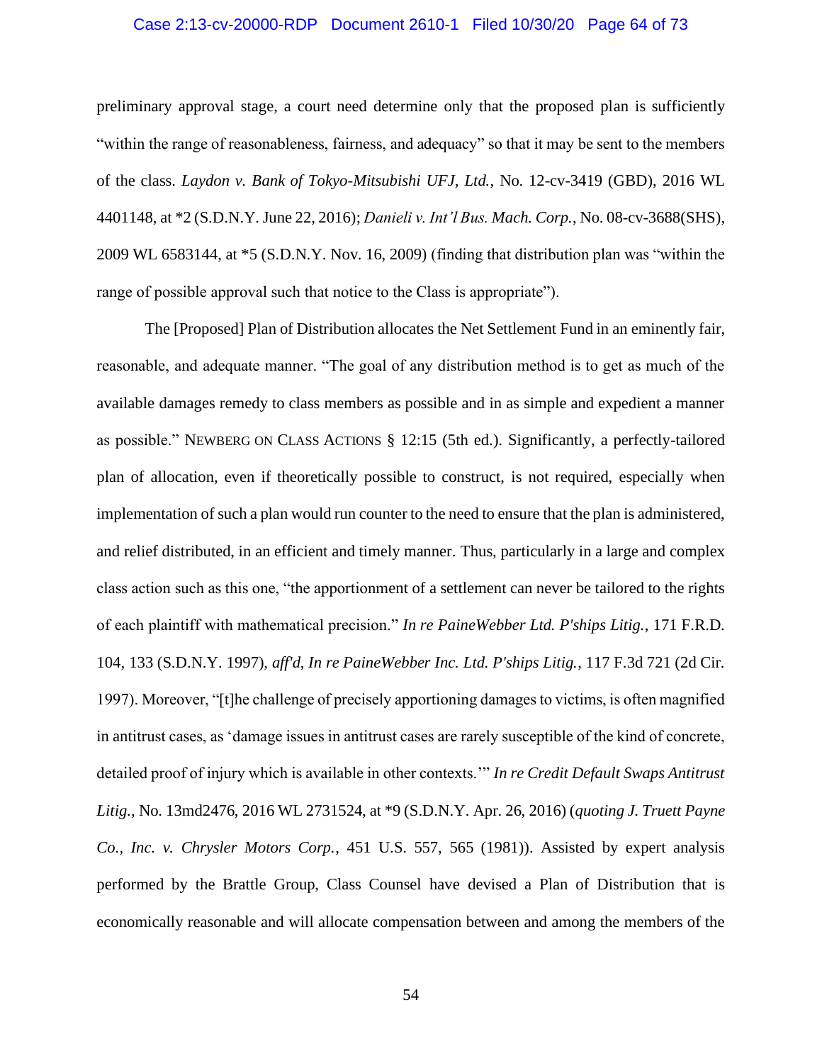#### Case 2:13-cv-20000-RDP Document 2610-1 Filed 10/30/20 Page 64 of 73

preliminary approval stage, a court need determine only that the proposed plan is sufficiently "within the range of reasonableness, fairness, and adequacy" so that it may be sent to the members of the class. *Laydon v. Bank of Tokyo-Mitsubishi UFJ, Ltd.*, No. 12-cv-3419 (GBD), 2016 WL 4401148, at \*2 (S.D.N.Y. June 22, 2016); *Danieli v. Int'l Bus. Mach. Corp.*, No. 08-cv-3688(SHS), 2009 WL 6583144, at \*5 (S.D.N.Y. Nov. 16, 2009) (finding that distribution plan was "within the range of possible approval such that notice to the Class is appropriate").

The [Proposed] Plan of Distribution allocates the Net Settlement Fund in an eminently fair, reasonable, and adequate manner. "The goal of any distribution method is to get as much of the available damages remedy to class members as possible and in as simple and expedient a manner as possible." NEWBERG ON CLASS ACTIONS § 12:15 (5th ed.). Significantly, a perfectly-tailored plan of allocation, even if theoretically possible to construct, is not required, especially when implementation of such a plan would run counter to the need to ensure that the plan is administered, and relief distributed, in an efficient and timely manner. Thus, particularly in a large and complex class action such as this one, "the apportionment of a settlement can never be tailored to the rights of each plaintiff with mathematical precision." *In re PaineWebber Ltd. P'ships Litig.*, 171 F.R.D. 104, 133 (S.D.N.Y. 1997), *aff'd*, *In re PaineWebber Inc. Ltd. P'ships Litig.*, 117 F.3d 721 (2d Cir. 1997). Moreover, "[t]he challenge of precisely apportioning damages to victims, is often magnified in antitrust cases, as 'damage issues in antitrust cases are rarely susceptible of the kind of concrete, detailed proof of injury which is available in other contexts.'" *In re Credit Default Swaps Antitrust Litig.*, No. 13md2476, 2016 WL 2731524, at \*9 (S.D.N.Y. Apr. 26, 2016) (*quoting J. Truett Payne Co., Inc. v. Chrysler Motors Corp.*, 451 U.S. 557, 565 (1981)). Assisted by expert analysis performed by the Brattle Group, Class Counsel have devised a Plan of Distribution that is economically reasonable and will allocate compensation between and among the members of the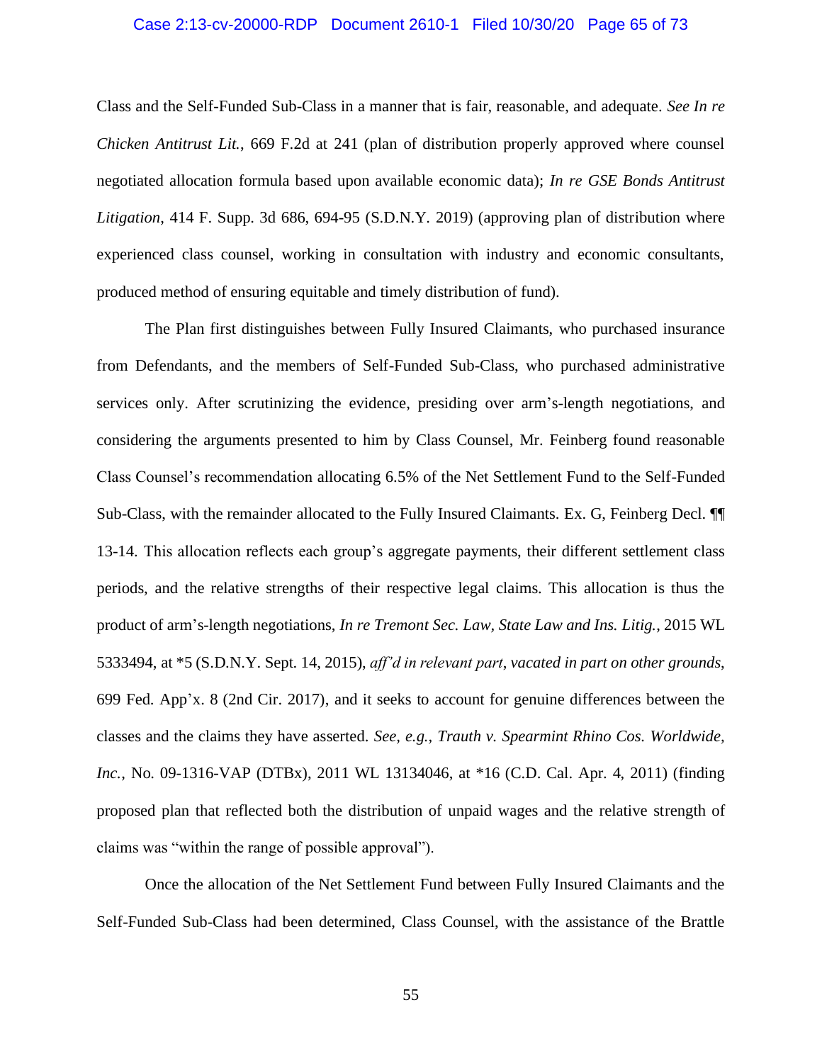#### Case 2:13-cv-20000-RDP Document 2610-1 Filed 10/30/20 Page 65 of 73

Class and the Self-Funded Sub-Class in a manner that is fair, reasonable, and adequate. *See In re Chicken Antitrust Lit.*, 669 F.2d at 241 (plan of distribution properly approved where counsel negotiated allocation formula based upon available economic data); *In re GSE Bonds Antitrust Litigation*, 414 F. Supp. 3d 686, 694-95 (S.D.N.Y. 2019) (approving plan of distribution where experienced class counsel, working in consultation with industry and economic consultants, produced method of ensuring equitable and timely distribution of fund).

The Plan first distinguishes between Fully Insured Claimants, who purchased insurance from Defendants, and the members of Self-Funded Sub-Class, who purchased administrative services only. After scrutinizing the evidence, presiding over arm's-length negotiations, and considering the arguments presented to him by Class Counsel, Mr. Feinberg found reasonable Class Counsel's recommendation allocating 6.5% of the Net Settlement Fund to the Self-Funded Sub-Class, with the remainder allocated to the Fully Insured Claimants. Ex. G, Feinberg Decl. ¶¶ 13-14. This allocation reflects each group's aggregate payments, their different settlement class periods, and the relative strengths of their respective legal claims. This allocation is thus the product of arm's-length negotiations, *In re Tremont Sec. Law, State Law and Ins. Litig.*, 2015 WL 5333494, at \*5 (S.D.N.Y. Sept. 14, 2015), *aff'd in relevant part*, *vacated in part on other grounds*, 699 Fed. App'x. 8 (2nd Cir. 2017), and it seeks to account for genuine differences between the classes and the claims they have asserted. *See, e.g., Trauth v. Spearmint Rhino Cos. Worldwide, Inc.*, No. 09-1316-VAP (DTBx), 2011 WL 13134046, at \*16 (C.D. Cal. Apr. 4, 2011) (finding proposed plan that reflected both the distribution of unpaid wages and the relative strength of claims was "within the range of possible approval").

Once the allocation of the Net Settlement Fund between Fully Insured Claimants and the Self-Funded Sub-Class had been determined, Class Counsel, with the assistance of the Brattle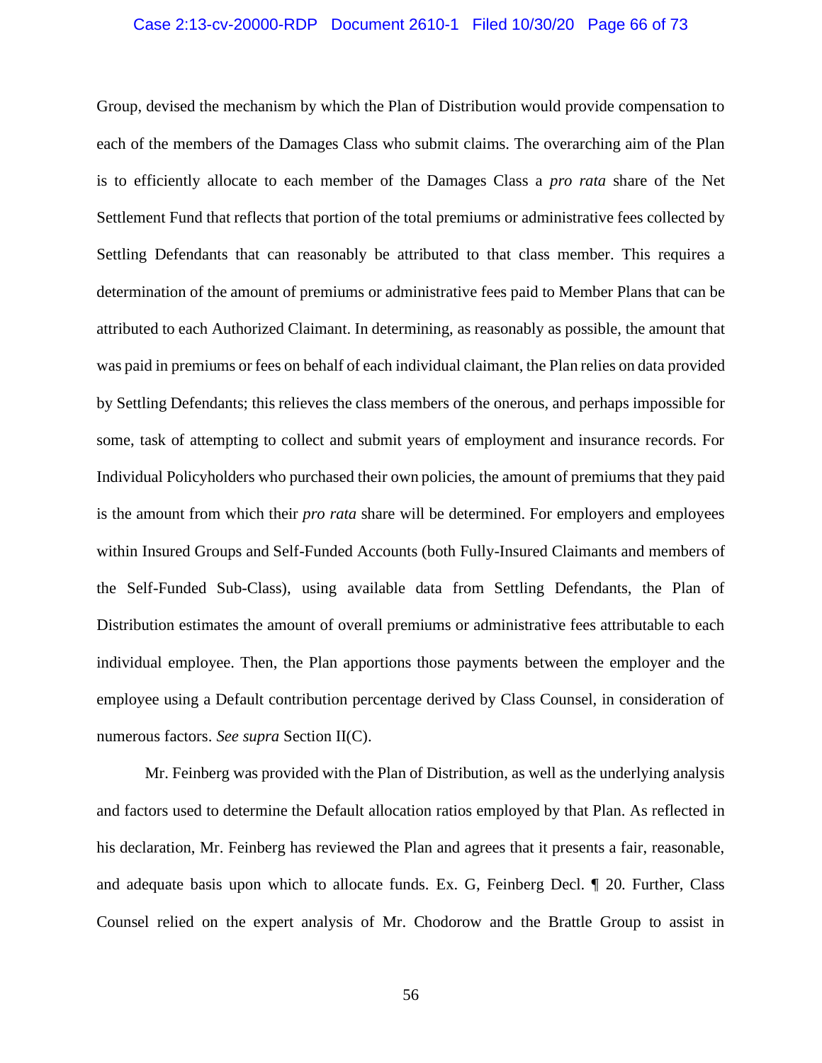#### Case 2:13-cv-20000-RDP Document 2610-1 Filed 10/30/20 Page 66 of 73

Group, devised the mechanism by which the Plan of Distribution would provide compensation to each of the members of the Damages Class who submit claims. The overarching aim of the Plan is to efficiently allocate to each member of the Damages Class a *pro rata* share of the Net Settlement Fund that reflects that portion of the total premiums or administrative fees collected by Settling Defendants that can reasonably be attributed to that class member. This requires a determination of the amount of premiums or administrative fees paid to Member Plans that can be attributed to each Authorized Claimant. In determining, as reasonably as possible, the amount that was paid in premiums or fees on behalf of each individual claimant, the Plan relies on data provided by Settling Defendants; this relieves the class members of the onerous, and perhaps impossible for some, task of attempting to collect and submit years of employment and insurance records. For Individual Policyholders who purchased their own policies, the amount of premiums that they paid is the amount from which their *pro rata* share will be determined. For employers and employees within Insured Groups and Self-Funded Accounts (both Fully-Insured Claimants and members of the Self-Funded Sub-Class), using available data from Settling Defendants, the Plan of Distribution estimates the amount of overall premiums or administrative fees attributable to each individual employee. Then, the Plan apportions those payments between the employer and the employee using a Default contribution percentage derived by Class Counsel, in consideration of numerous factors. *See supra* Section II(C).

Mr. Feinberg was provided with the Plan of Distribution, as well as the underlying analysis and factors used to determine the Default allocation ratios employed by that Plan. As reflected in his declaration, Mr. Feinberg has reviewed the Plan and agrees that it presents a fair, reasonable, and adequate basis upon which to allocate funds. Ex. G, Feinberg Decl. ¶ 20. Further, Class Counsel relied on the expert analysis of Mr. Chodorow and the Brattle Group to assist in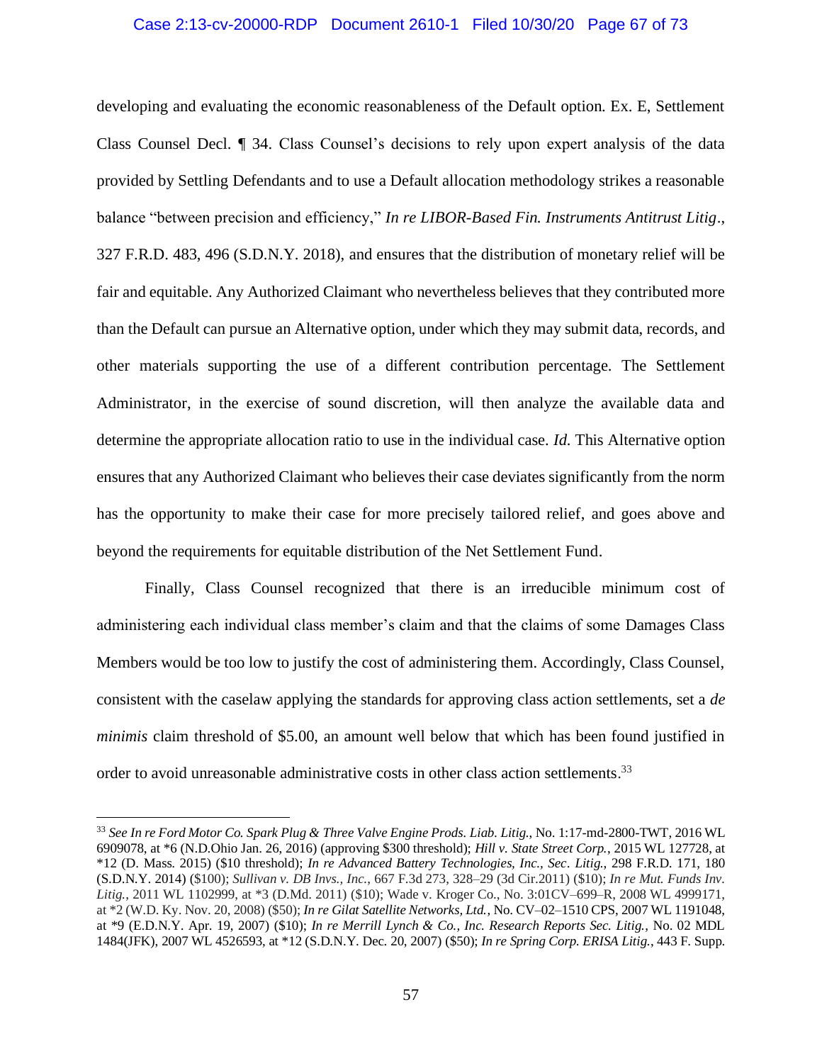#### Case 2:13-cv-20000-RDP Document 2610-1 Filed 10/30/20 Page 67 of 73

developing and evaluating the economic reasonableness of the Default option. Ex. E, Settlement Class Counsel Decl. ¶ 34. Class Counsel's decisions to rely upon expert analysis of the data provided by Settling Defendants and to use a Default allocation methodology strikes a reasonable balance "between precision and efficiency," *In re LIBOR-Based Fin. Instruments Antitrust Litig*., 327 F.R.D. 483, 496 (S.D.N.Y. 2018), and ensures that the distribution of monetary relief will be fair and equitable. Any Authorized Claimant who nevertheless believes that they contributed more than the Default can pursue an Alternative option, under which they may submit data, records, and other materials supporting the use of a different contribution percentage. The Settlement Administrator, in the exercise of sound discretion, will then analyze the available data and determine the appropriate allocation ratio to use in the individual case. *Id.* This Alternative option ensures that any Authorized Claimant who believes their case deviates significantly from the norm has the opportunity to make their case for more precisely tailored relief, and goes above and beyond the requirements for equitable distribution of the Net Settlement Fund.

Finally, Class Counsel recognized that there is an irreducible minimum cost of administering each individual class member's claim and that the claims of some Damages Class Members would be too low to justify the cost of administering them. Accordingly, Class Counsel, consistent with the caselaw applying the standards for approving class action settlements, set a *de minimis* claim threshold of \$5.00, an amount well below that which has been found justified in order to avoid unreasonable administrative costs in other class action settlements.<sup>33</sup>

<sup>33</sup> *See In re Ford Motor Co. Spark Plug & Three Valve Engine Prods. Liab. Litig.*, No. 1:17-md-2800-TWT, 2016 WL 6909078, at \*6 (N.D.Ohio Jan. 26, 2016) (approving \$300 threshold); *Hill v. State Street Corp.*, 2015 WL 127728, at \*12 (D. Mass. 2015) (\$10 threshold); *In re Advanced Battery Technologies, Inc., Sec. Litig.*, 298 F.R.D. 171, 180 (S.D.N.Y. 2014) (\$100); *Sullivan v. DB Invs., Inc.*, 667 F.3d 273, 328–29 (3d Cir.2011) (\$10); *In re Mut. Funds Inv. Litig.*, 2011 WL 1102999, at \*3 (D.Md. 2011) (\$10); Wade v. Kroger Co., No. 3:01CV–699–R, 2008 WL 4999171, at \*2 (W.D. Ky. Nov. 20, 2008) (\$50); *In re Gilat Satellite Networks, Ltd.*, No. CV–02–1510 CPS, 2007 WL 1191048, at \*9 (E.D.N.Y. Apr. 19, 2007) (\$10); *In re Merrill Lynch & Co., Inc. Research Reports Sec. Litig.*, No. 02 MDL 1484(JFK), 2007 WL 4526593, at \*12 (S.D.N.Y. Dec. 20, 2007) (\$50); *In re Spring Corp. ERISA Litig.*, 443 F. Supp.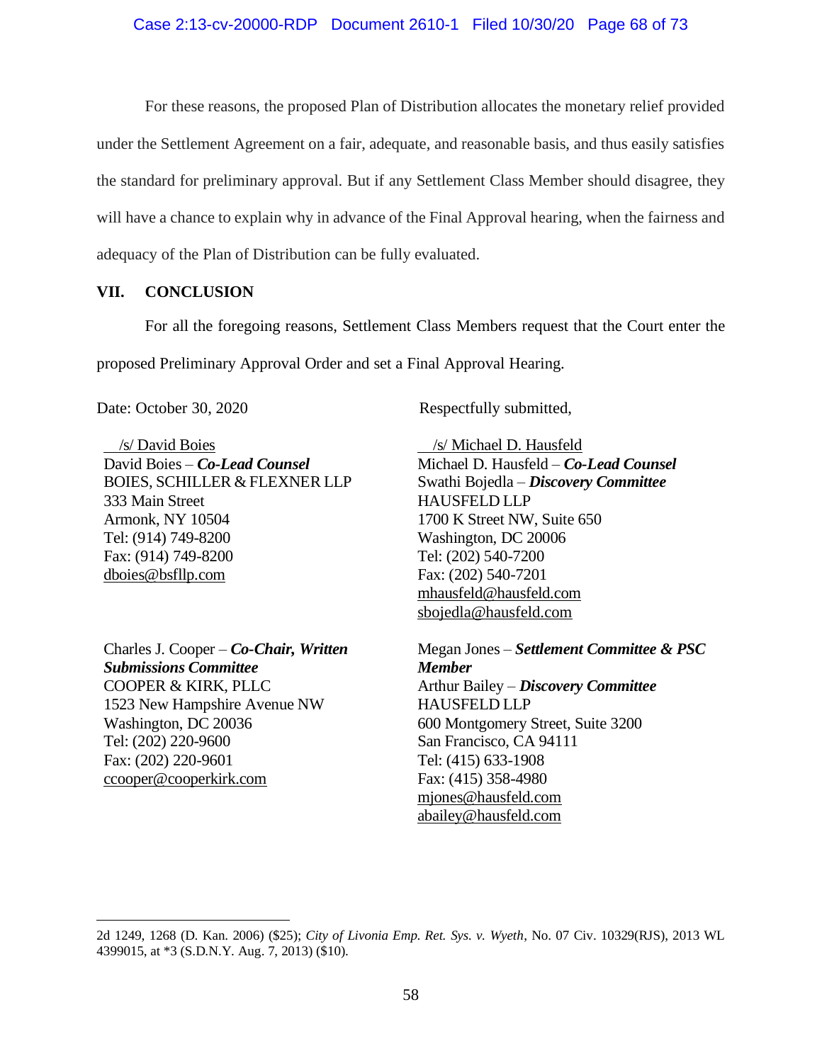For these reasons, the proposed Plan of Distribution allocates the monetary relief provided under the Settlement Agreement on a fair, adequate, and reasonable basis, and thus easily satisfies the standard for preliminary approval. But if any Settlement Class Member should disagree, they will have a chance to explain why in advance of the Final Approval hearing, when the fairness and adequacy of the Plan of Distribution can be fully evaluated.

### **VII. CONCLUSION**

For all the foregoing reasons, Settlement Class Members request that the Court enter the

proposed Preliminary Approval Order and set a Final Approval Hearing.

 /s/ David Boies David Boies – *Co-Lead Counsel* BOIES, SCHILLER & FLEXNER LLP 333 Main Street Armonk, NY 10504 Tel: (914) 749-8200 Fax: (914) 749-8200 dboies@bsfllp.com

Charles J. Cooper – *Co-Chair, Written Submissions Committee* COOPER & KIRK, PLLC 1523 New Hampshire Avenue NW Washington, DC 20036 Tel: (202) 220-9600 Fax: (202) 220-9601 ccooper@cooperkirk.com

Date: October 30, 2020 Respectfully submitted,

 /s/ Michael D. Hausfeld Michael D. Hausfeld – *Co-Lead Counsel* Swathi Bojedla – *Discovery Committee* HAUSFELD LLP 1700 K Street NW, Suite 650 Washington, DC 20006 Tel: (202) 540-7200 Fax: (202) 540-7201 mhausfeld@hausfeld.com sbojedla@hausfeld.com

Megan Jones – *Settlement Committee & PSC Member* Arthur Bailey – *Discovery Committee* HAUSFELD LLP 600 Montgomery Street, Suite 3200 San Francisco, CA 94111 Tel: (415) 633-1908 Fax: (415) 358-4980 mjones@hausfeld.com abailey@hausfeld.com

<sup>2</sup>d 1249, 1268 (D. Kan. 2006) (\$25); *City of Livonia Emp. Ret. Sys. v. Wyeth*, No. 07 Civ. 10329(RJS), 2013 WL 4399015, at \*3 (S.D.N.Y. Aug. 7, 2013) (\$10).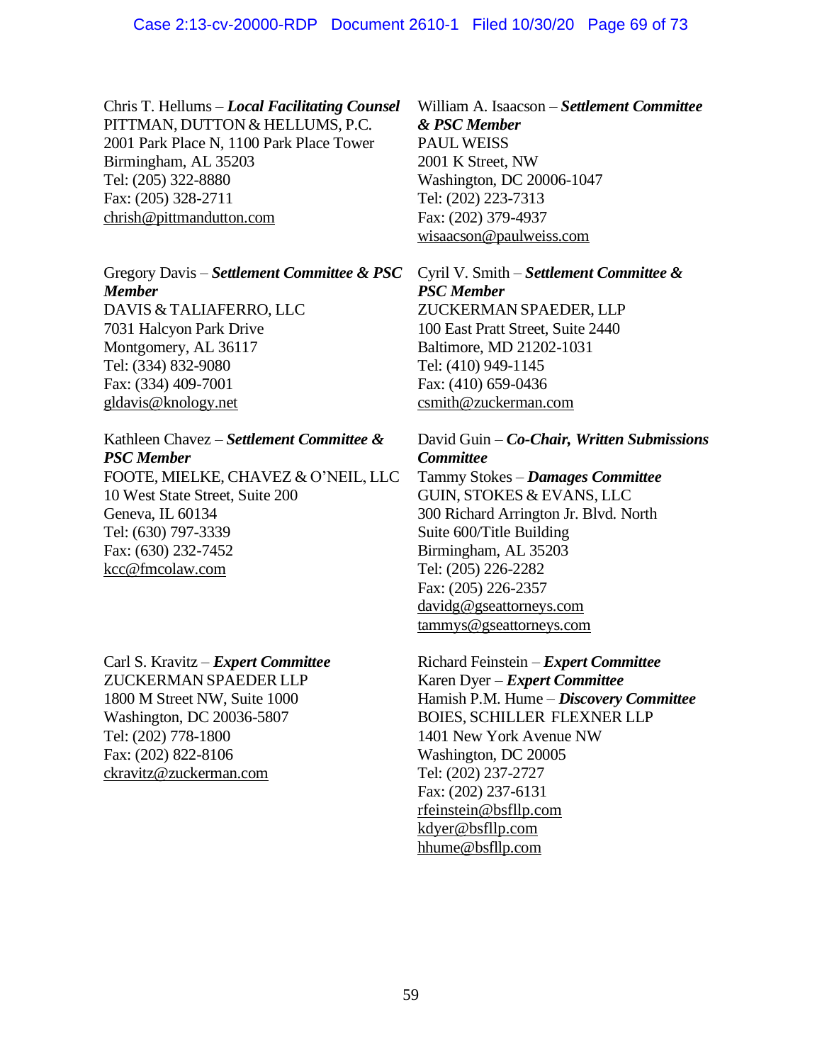Chris T. Hellums – *Local Facilitating Counsel* PITTMAN, DUTTON & HELLUMS, P.C. 2001 Park Place N, 1100 Park Place Tower Birmingham, AL 35203 Tel: (205) 322-8880 Fax: (205) 328-2711 chrish@pittmandutton.com

Gregory Davis – *Settlement Committee & PSC Member* DAVIS & TALIAFERRO, LLC 7031 Halcyon Park Drive Montgomery, AL 36117 Tel: (334) 832-9080 Fax: (334) 409-7001 gldavis@knology.net

# Kathleen Chavez – *Settlement Committee & PSC Member*

FOOTE, MIELKE, CHAVEZ & O'NEIL, LLC 10 West State Street, Suite 200 Geneva, IL 60134 Tel: (630) 797-3339 Fax: (630) 232-7452 kcc@fmcolaw.com

Carl S. Kravitz – *Expert Committee* ZUCKERMAN SPAEDER LLP 1800 M Street NW, Suite 1000 Washington, DC 20036-5807 Tel: (202) 778-1800 Fax: (202) 822-8106 ckravitz@zuckerman.com

William A. Isaacson – *Settlement Committee & PSC Member*  PAUL WEISS 2001 K Street, NW Washington, DC 20006-1047 Tel: (202) 223-7313 Fax: (202) 379-4937 wisaacson@paulweiss.com

Cyril V. Smith – *Settlement Committee & PSC Member* ZUCKERMAN SPAEDER, LLP 100 East Pratt Street, Suite 2440

Baltimore, MD 21202-1031 Tel: (410) 949-1145 Fax: (410) 659-0436 csmith@zuckerman.com

# David Guin – *Co-Chair, Written Submissions Committee*

Tammy Stokes – *Damages Committee* GUIN, STOKES & EVANS, LLC 300 Richard Arrington Jr. Blvd. North Suite 600/Title Building Birmingham, AL 35203 Tel: (205) 226-2282 Fax: (205) 226-2357 davidg@gseattorneys.com tammys@gseattorneys.com

Richard Feinstein – *Expert Committee* Karen Dyer – *Expert Committee* Hamish P.M. Hume – *Discovery Committee* BOIES, SCHILLER FLEXNER LLP 1401 New York Avenue NW Washington, DC 20005 Tel: (202) 237-2727 Fax: (202) 237-6131 rfeinstein@bsfllp.com kdyer@bsfllp.com hhume@bsfllp.com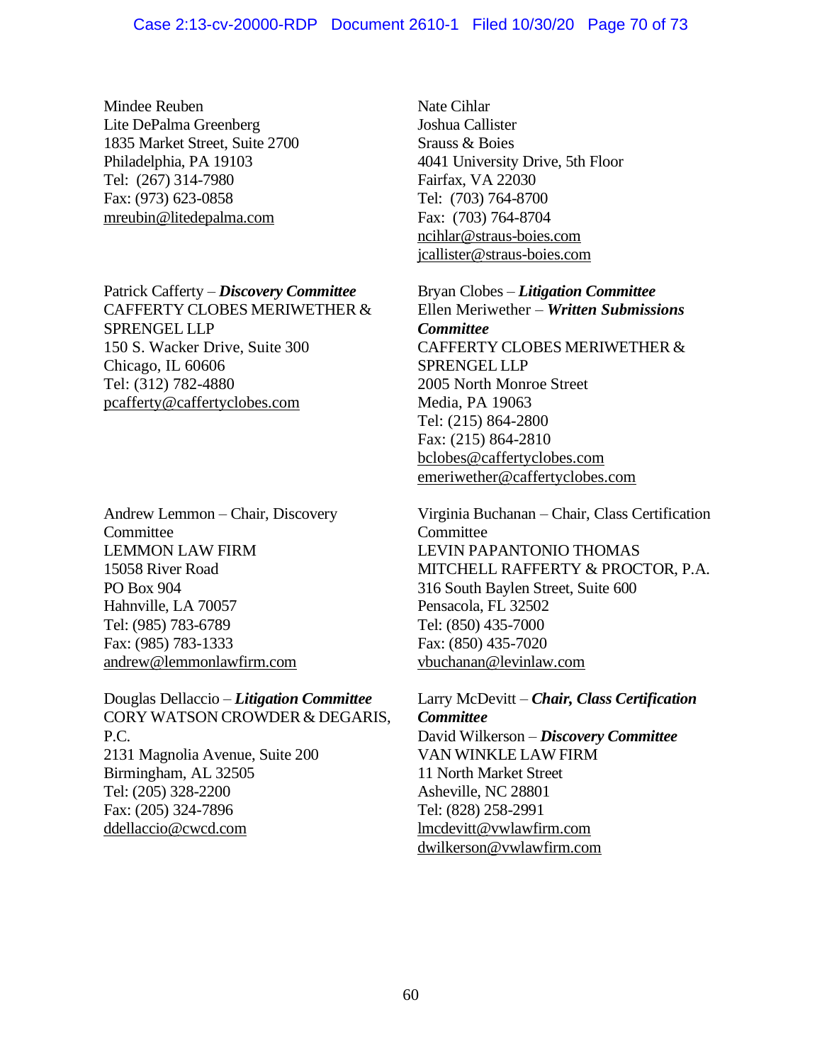Mindee Reuben Lite DePalma Greenberg 1835 Market Street, Suite 2700 Philadelphia, PA 19103 Tel: (267) 314-7980 Fax: (973) 623-0858 mreubin@litedepalma.com

Patrick Cafferty – *Discovery Committee* CAFFERTY CLOBES MERIWETHER & SPRENGEL LLP 150 S. Wacker Drive, Suite 300 Chicago, IL 60606 Tel: (312) 782-4880 pcafferty@caffertyclobes.com

Andrew Lemmon – Chair, Discovery **Committee** LEMMON LAW FIRM 15058 River Road PO Box 904 Hahnville, LA 70057 Tel: (985) 783-6789 Fax: (985) 783-1333 andrew@lemmonlawfirm.com

Douglas Dellaccio – *Litigation Committee* CORY WATSON CROWDER & DEGARIS, P.C. 2131 Magnolia Avenue, Suite 200 Birmingham, AL 32505 Tel: (205) 328-2200 Fax: (205) 324-7896 ddellaccio@cwcd.com

Nate Cihlar Joshua Callister Srauss & Boies 4041 University Drive, 5th Floor Fairfax, VA 22030 Tel: (703) 764-8700 Fax: (703) 764-8704 ncihlar@straus-boies.com jcallister@straus-boies.com

Bryan Clobes – *Litigation Committee* Ellen Meriwether – *Written Submissions Committee* CAFFERTY CLOBES MERIWETHER & SPRENGEL LLP 2005 North Monroe Street Media, PA 19063 Tel: (215) 864-2800 Fax: (215) 864-2810 bclobes@caffertyclobes.com emeriwether@caffertyclobes.com

Virginia Buchanan – Chair, Class Certification Committee LEVIN PAPANTONIO THOMAS MITCHELL RAFFERTY & PROCTOR, P.A. 316 South Baylen Street, Suite 600 Pensacola, FL 32502 Tel: (850) 435-7000 Fax: (850) 435-7020 vbuchanan@levinlaw.com

Larry McDevitt – *Chair, Class Certification Committee* David Wilkerson – *Discovery Committee* VAN WINKLE LAW FIRM 11 North Market Street Asheville, NC 28801 Tel: (828) 258-2991 lmcdevitt@vwlawfirm.com dwilkerson@vwlawfirm.com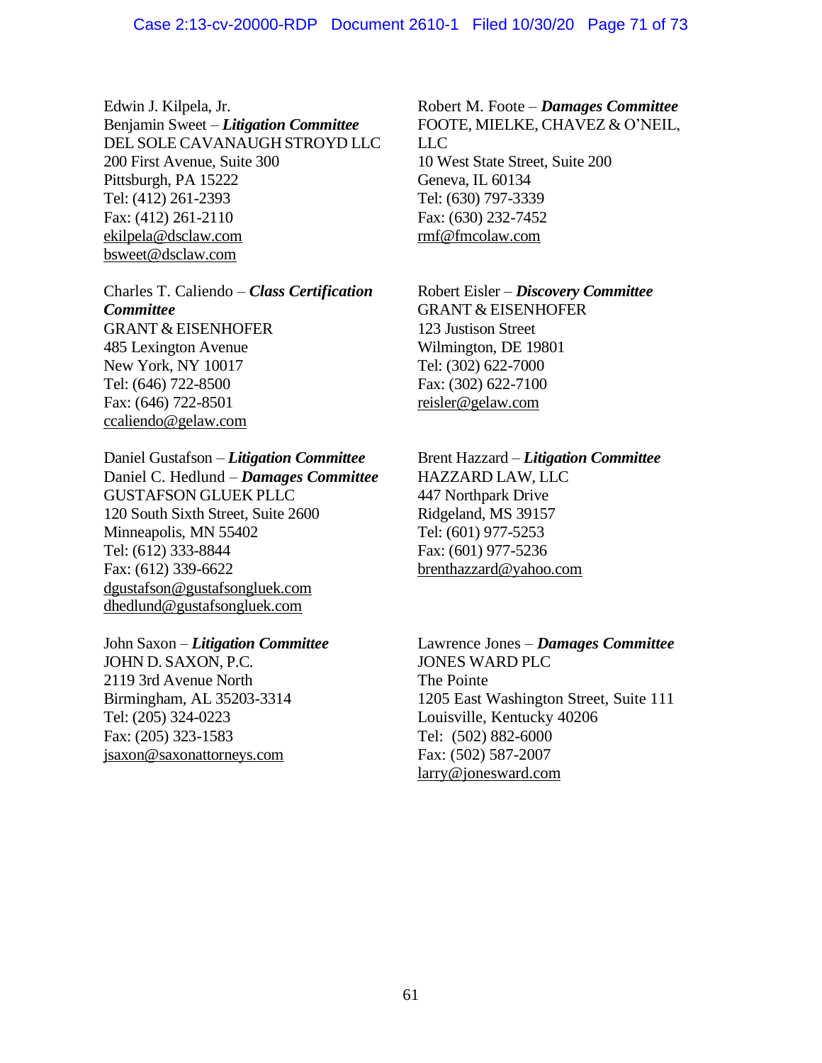Edwin J. Kilpela, Jr. Benjamin Sweet – *Litigation Committee* DEL SOLE CAVANAUGH STROYD LLC 200 First Avenue, Suite 300 Pittsburgh, PA 15222 Tel: (412) 261-2393 Fax: (412) 261-2110 ekilpela@dsclaw.com bsweet@dsclaw.com

Charles T. Caliendo – *Class Certification Committee* GRANT & EISENHOFER 485 Lexington Avenue New York, NY 10017 Tel: (646) 722-8500 Fax: (646) 722-8501 ccaliendo@gelaw.com

Daniel Gustafson – *Litigation Committee* Daniel C. Hedlund – *Damages Committee* GUSTAFSON GLUEK PLLC 120 South Sixth Street, Suite 2600 Minneapolis, MN 55402 Tel: (612) 333-8844 Fax: (612) 339-6622 dgustafson@gustafsongluek.com dhedlund@gustafsongluek.com

John Saxon – *Litigation Committee* JOHN D. SAXON, P.C. 2119 3rd Avenue North Birmingham, AL 35203-3314 Tel: (205) 324-0223 Fax: (205) 323-1583 jsaxon@saxonattorneys.com

Robert M. Foote – *Damages Committee* FOOTE, MIELKE, CHAVEZ & O'NEIL, LLC 10 West State Street, Suite 200 Geneva, IL 60134 Tel: (630) 797-3339 Fax: (630) 232-7452 rmf@fmcolaw.com

Robert Eisler – *Discovery Committee* GRANT & EISENHOFER 123 Justison Street Wilmington, DE 19801 Tel: (302) 622-7000 Fax: (302) 622-7100 reisler@gelaw.com

Brent Hazzard – *Litigation Committee* HAZZARD LAW, LLC 447 Northpark Drive Ridgeland, MS 39157 Tel: (601) 977-5253 Fax: (601) 977-5236 brenthazzard@yahoo.com

Lawrence Jones – *Damages Committee* JONES WARD PLC The Pointe 1205 East Washington Street, Suite 111 Louisville, Kentucky 40206 Tel: (502) 882-6000 Fax: (502) 587-2007 larry@jonesward.com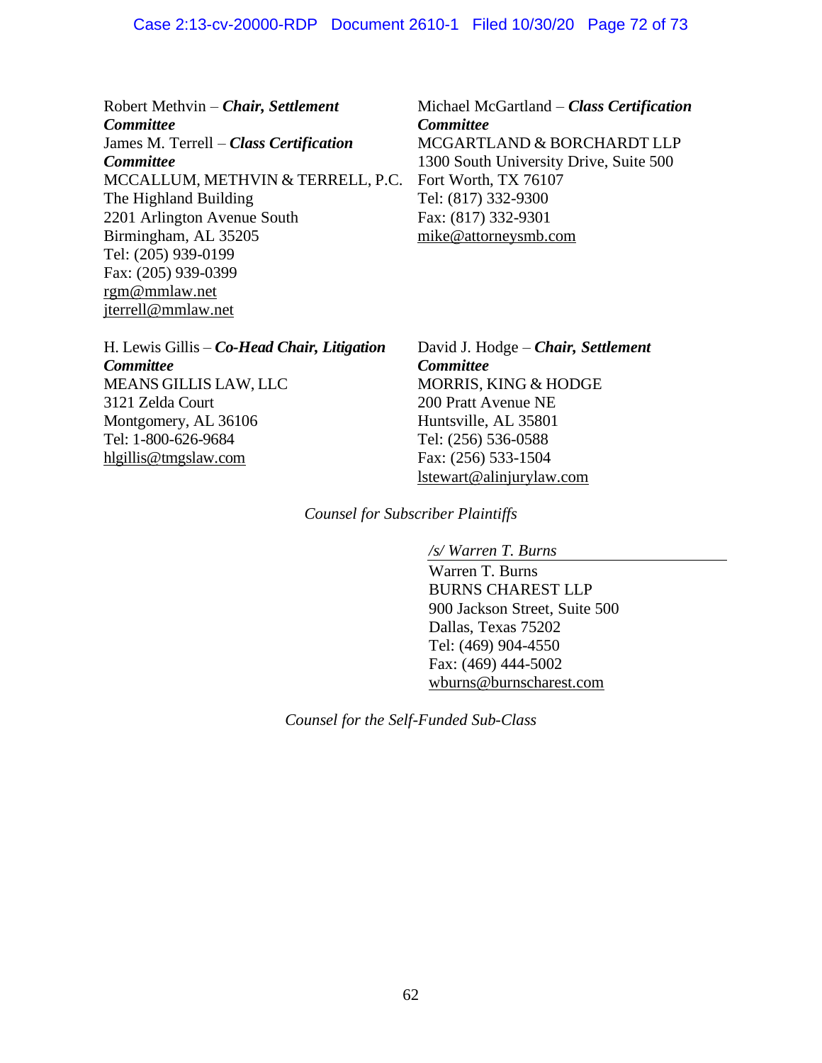### Case 2:13-cv-20000-RDP Document 2610-1 Filed 10/30/20 Page 72 of 73

Robert Methvin – *Chair, Settlement Committee* James M. Terrell – *Class Certification Committee* MCCALLUM, METHVIN & TERRELL, P.C. The Highland Building 2201 Arlington Avenue South Birmingham, AL 35205 Tel: (205) 939-0199 Fax: (205) 939-0399 rgm@mmlaw.net jterrell@mmlaw.net

Michael McGartland – *Class Certification Committee* MCGARTLAND & BORCHARDT LLP 1300 South University Drive, Suite 500 Fort Worth, TX 76107 Tel: (817) 332-9300 Fax: (817) 332-9301 mike@attorneysmb.com

H. Lewis Gillis – *Co-Head Chair, Litigation Committee* MEANS GILLIS LAW, LLC 3121 Zelda Court Montgomery, AL 36106 Tel: 1-800-626-9684 hlgillis@tmgslaw.com

David J. Hodge – *Chair, Settlement Committee* MORRIS, KING & HODGE 200 Pratt Avenue NE Huntsville, AL 35801 Tel: (256) 536-0588 Fax: (256) 533-1504 lstewart@alinjurylaw.com

*Counsel for Subscriber Plaintiffs*

*/s/ Warren T. Burns*

Warren T. Burns BURNS CHAREST LLP 900 Jackson Street, Suite 500 Dallas, Texas 75202 Tel: (469) 904-4550 Fax: (469) 444-5002 wburns@burnscharest.com

*Counsel for the Self-Funded Sub-Class*